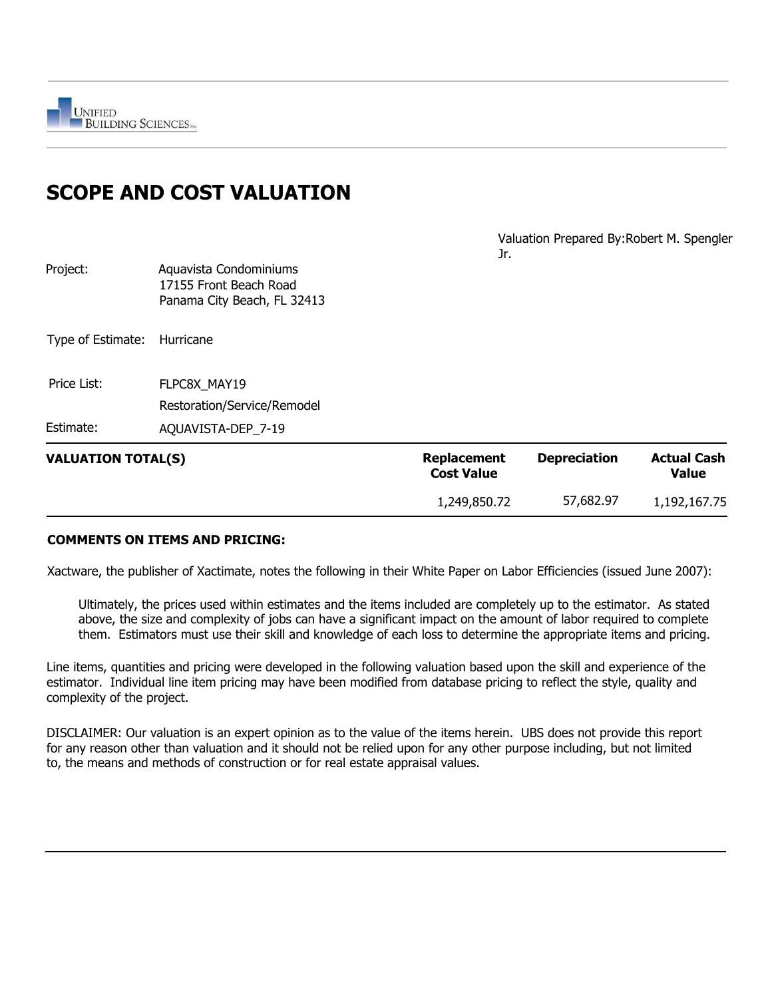# **SCOPE AND COST VALUATION**

Valuation Prepared By:Robert M. Spengler Jr.

|                           |                                                                                 | 1,249,850.72                            | 57,682.97           | 1,192,167.75                       |
|---------------------------|---------------------------------------------------------------------------------|-----------------------------------------|---------------------|------------------------------------|
| <b>VALUATION TOTAL(S)</b> |                                                                                 | <b>Replacement</b><br><b>Cost Value</b> | <b>Depreciation</b> | <b>Actual Cash</b><br><b>Value</b> |
| Estimate:                 | AQUAVISTA-DEP 7-19                                                              |                                         |                     |                                    |
|                           | Restoration/Service/Remodel                                                     |                                         |                     |                                    |
| Price List:               | FLPC8X MAY19                                                                    |                                         |                     |                                    |
| Type of Estimate:         | Hurricane                                                                       |                                         |                     |                                    |
| Project:                  | Aquavista Condominiums<br>17155 Front Beach Road<br>Panama City Beach, FL 32413 |                                         |                     |                                    |

#### **COMMENTS ON ITEMS AND PRICING:**

Xactware, the publisher of Xactimate, notes the following in their White Paper on Labor Efficiencies (issued June 2007):

Ultimately, the prices used within estimates and the items included are completely up to the estimator. As stated above, the size and complexity of jobs can have a significant impact on the amount of labor required to complete them. Estimators must use their skill and knowledge of each loss to determine the appropriate items and pricing.

Line items, quantities and pricing were developed in the following valuation based upon the skill and experience of the estimator. Individual line item pricing may have been modified from database pricing to reflect the style, quality and complexity of the project.

DISCLAIMER: Our valuation is an expert opinion as to the value of the items herein. UBS does not provide this report for any reason other than valuation and it should not be relied upon for any other purpose including, but not limited to, the means and methods of construction or for real estate appraisal values.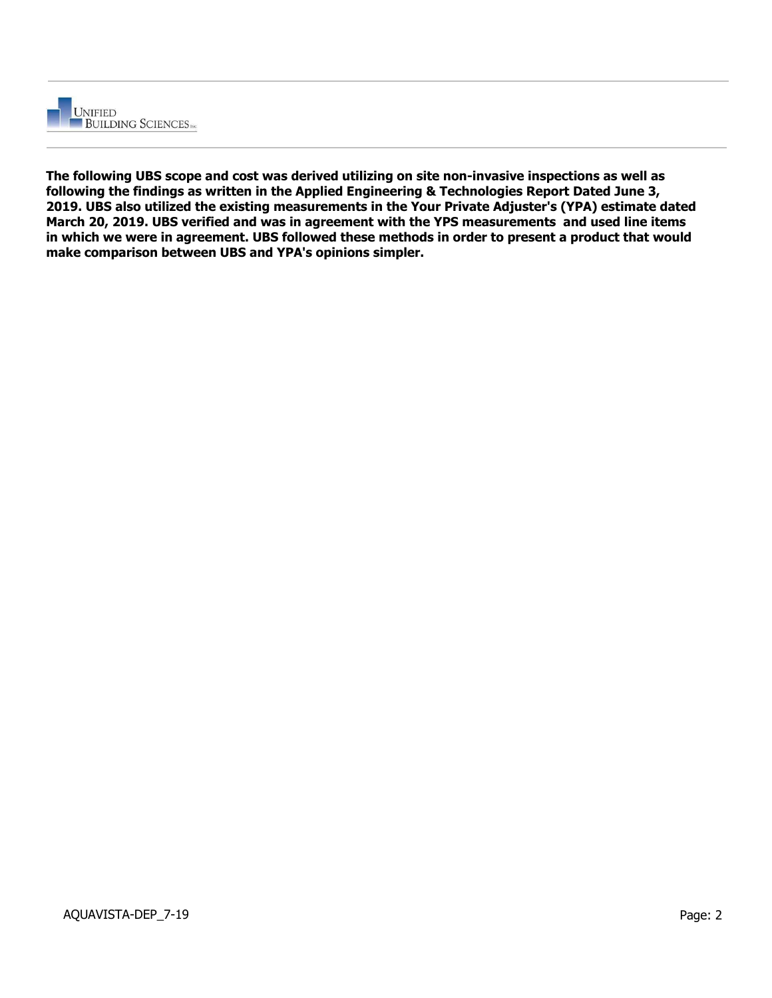

**The following UBS scope and cost was derived utilizing on site non-invasive inspections as well as following the findings as written in the Applied Engineering & Technologies Report Dated June 3, 2019. UBS also utilized the existing measurements in the Your Private Adjuster's (YPA) estimate dated March 20, 2019. UBS verified and was in agreement with the YPS measurements and used line items in which we were in agreement. UBS followed these methods in order to present a product that would make comparison between UBS and YPA's opinions simpler.**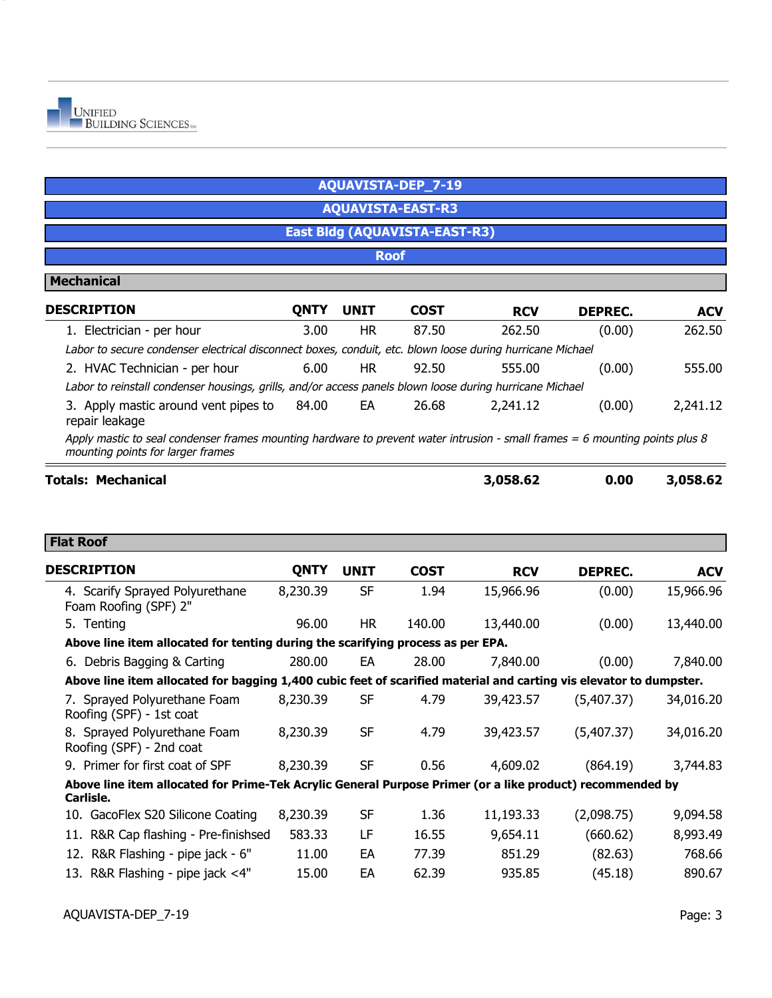|                                                                                                                                                                   |             |             | <b>AQUAVISTA-DEP 7-19</b>            |            |                |            |
|-------------------------------------------------------------------------------------------------------------------------------------------------------------------|-------------|-------------|--------------------------------------|------------|----------------|------------|
|                                                                                                                                                                   |             |             | <b>AQUAVISTA-EAST-R3</b>             |            |                |            |
|                                                                                                                                                                   |             |             | <b>East Bldg (AQUAVISTA-EAST-R3)</b> |            |                |            |
| <b>Roof</b>                                                                                                                                                       |             |             |                                      |            |                |            |
| <b>Mechanical</b>                                                                                                                                                 |             |             |                                      |            |                |            |
| <b>DESCRIPTION</b>                                                                                                                                                | <b>QNTY</b> | <b>UNIT</b> | <b>COST</b>                          | <b>RCV</b> | <b>DEPREC.</b> | <b>ACV</b> |
| 1. Electrician - per hour                                                                                                                                         | 3.00        | <b>HR</b>   | 87.50                                | 262.50     | (0.00)         | 262.50     |
| Labor to secure condenser electrical disconnect boxes, conduit, etc. blown loose during hurricane Michael                                                         |             |             |                                      |            |                |            |
| 2. HVAC Technician - per hour                                                                                                                                     | 6.00        | HR.         | 92.50                                | 555.00     | (0.00)         | 555.00     |
| Labor to reinstall condenser housings, grills, and/or access panels blown loose during hurricane Michael                                                          |             |             |                                      |            |                |            |
| 3. Apply mastic around vent pipes to<br>repair leakage                                                                                                            | 84.00       | EA          | 26.68                                | 2,241.12   | (0.00)         | 2,241.12   |
| Apply mastic to seal condenser frames mounting hardware to prevent water intrusion - small frames = 6 mounting points plus 8<br>mounting points for larger frames |             |             |                                      |            |                |            |
| <b>Totals: Mechanical</b>                                                                                                                                         |             |             |                                      | 3,058.62   | 0.00           | 3,058.62   |

#### **Flat Roof**

| <b>DESCRIPTION</b>                                                                                                     | <b>QNTY</b> | <b>UNIT</b> | <b>COST</b> | <b>RCV</b> | <b>DEPREC.</b> | <b>ACV</b> |
|------------------------------------------------------------------------------------------------------------------------|-------------|-------------|-------------|------------|----------------|------------|
| 4. Scarify Sprayed Polyurethane<br>Foam Roofing (SPF) 2"                                                               | 8,230.39    | <b>SF</b>   | 1.94        | 15,966.96  | (0.00)         | 15,966.96  |
| 5. Tenting                                                                                                             | 96.00       | HR.         | 140.00      | 13,440.00  | (0.00)         | 13,440.00  |
| Above line item allocated for tenting during the scarifying process as per EPA.                                        |             |             |             |            |                |            |
| 6. Debris Bagging & Carting                                                                                            | 280.00      | EA          | 28.00       | 7,840.00   | (0.00)         | 7,840.00   |
| Above line item allocated for bagging 1,400 cubic feet of scarified material and carting vis elevator to dumpster.     |             |             |             |            |                |            |
| 7. Sprayed Polyurethane Foam<br>Roofing (SPF) - 1st coat                                                               | 8,230.39    | <b>SF</b>   | 4.79        | 39,423.57  | (5,407.37)     | 34,016.20  |
| 8. Sprayed Polyurethane Foam<br>Roofing (SPF) - 2nd coat                                                               | 8,230.39    | <b>SF</b>   | 4.79        | 39,423.57  | (5,407.37)     | 34,016.20  |
| 9. Primer for first coat of SPF                                                                                        | 8,230.39    | <b>SF</b>   | 0.56        | 4,609.02   | (864.19)       | 3,744.83   |
| Above line item allocated for Prime-Tek Acrylic General Purpose Primer (or a like product) recommended by<br>Carlisle. |             |             |             |            |                |            |
| 10. GacoFlex S20 Silicone Coating                                                                                      | 8,230.39    | <b>SF</b>   | 1.36        | 11,193.33  | (2,098.75)     | 9,094.58   |
| 11. R&R Cap flashing - Pre-finishsed                                                                                   | 583.33      | LF          | 16.55       | 9,654.11   | (660.62)       | 8,993.49   |
| 12. R&R Flashing - pipe jack - 6"                                                                                      | 11.00       | EA          | 77.39       | 851.29     | (82.63)        | 768.66     |
| 13. R&R Flashing - pipe jack <4"                                                                                       | 15.00       | EA          | 62.39       | 935.85     | (45.18)        | 890.67     |
|                                                                                                                        |             |             |             |            |                |            |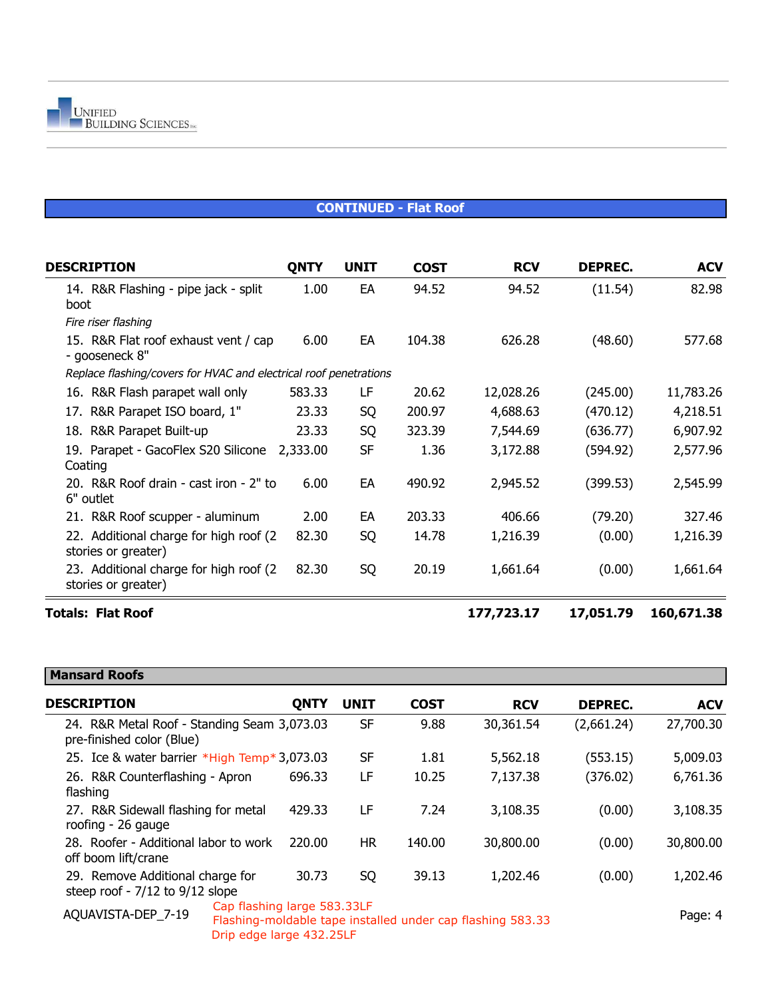

#### **CONTINUED - Flat Roof**

| <b>DESCRIPTION</b>                                                | <b>QNTY</b> | <b>UNIT</b> | <b>COST</b> | <b>RCV</b> | <b>DEPREC.</b> | <b>ACV</b> |
|-------------------------------------------------------------------|-------------|-------------|-------------|------------|----------------|------------|
| 14. R&R Flashing - pipe jack - split<br>boot                      | 1.00        | EA          | 94.52       | 94.52      | (11.54)        | 82.98      |
| Fire riser flashing                                               |             |             |             |            |                |            |
| 15. R&R Flat roof exhaust vent / cap<br>- gooseneck 8"            | 6.00        | EA          | 104.38      | 626.28     | (48.60)        | 577.68     |
| Replace flashing/covers for HVAC and electrical roof penetrations |             |             |             |            |                |            |
| 16. R&R Flash parapet wall only                                   | 583.33      | LF          | 20.62       | 12,028.26  | (245.00)       | 11,783.26  |
| 17. R&R Parapet ISO board, 1"                                     | 23.33       | SQ          | 200.97      | 4,688.63   | (470.12)       | 4,218.51   |
| 18. R&R Parapet Built-up                                          | 23.33       | SQ          | 323.39      | 7,544.69   | (636.77)       | 6,907.92   |
| 19. Parapet - GacoFlex S20 Silicone<br>Coating                    | 2,333.00    | <b>SF</b>   | 1.36        | 3,172.88   | (594.92)       | 2,577.96   |
| 20. R&R Roof drain - cast iron - 2" to<br>6" outlet               | 6.00        | EA          | 490.92      | 2,945.52   | (399.53)       | 2,545.99   |
| 21. R&R Roof scupper - aluminum                                   | 2.00        | EA          | 203.33      | 406.66     | (79.20)        | 327.46     |
| 22. Additional charge for high roof (2)<br>stories or greater)    | 82.30       | SQ          | 14.78       | 1,216.39   | (0.00)         | 1,216.39   |
| 23. Additional charge for high roof (2)<br>stories or greater)    | 82.30       | SQ          | 20.19       | 1,661.64   | (0.00)         | 1,661.64   |
| <b>Totals: Flat Roof</b>                                          |             |             |             | 177,723.17 | 17,051.79      | 160,671.38 |

## **Mansard Roofs**

| <b>DESCRIPTION</b>                                                       | <b>QNTY</b> | <b>UNIT</b> | <b>COST</b> | <b>RCV</b>                                                 | <b>DEPREC.</b> | <b>ACV</b> |
|--------------------------------------------------------------------------|-------------|-------------|-------------|------------------------------------------------------------|----------------|------------|
| 24. R&R Metal Roof - Standing Seam 3,073.03<br>pre-finished color (Blue) |             | <b>SF</b>   | 9.88        | 30,361.54                                                  | (2,661.24)     | 27,700.30  |
| 25. Ice & water barrier *High Temp* 3,073.03                             |             | SF          | 1.81        | 5,562.18                                                   | (553.15)       | 5,009.03   |
| 26. R&R Counterflashing - Apron<br>flashing                              | 696.33      | LF          | 10.25       | 7,137.38                                                   | (376.02)       | 6,761.36   |
| 27. R&R Sidewall flashing for metal<br>roofing - 26 gauge                | 429.33      | LF          | 7.24        | 3,108.35                                                   | (0.00)         | 3,108.35   |
| 28. Roofer - Additional labor to work<br>off boom lift/crane             | 220.00      | HR.         | 140.00      | 30,800.00                                                  | (0.00)         | 30,800.00  |
| 29. Remove Additional charge for<br>steep roof - 7/12 to 9/12 slope      | 30.73       | SQ          | 39.13       | 1,202.46                                                   | (0.00)         | 1,202.46   |
| Cap flashing large 583.33LF<br>AQUAVISTA-DEP 7-19                        |             |             |             | Flashing-moldable tape installed under cap flashing 583.33 |                | Page: 4    |

Drip edge large 432.25LF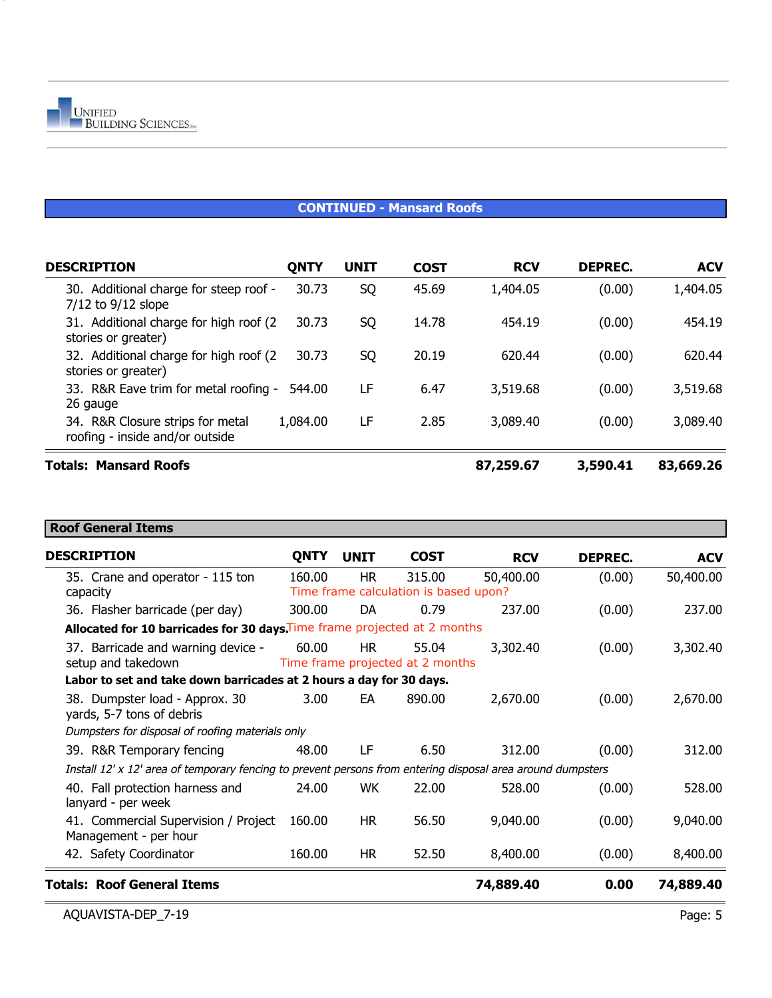#### **CONTINUED - Mansard Roofs**

| <b>DESCRIPTION</b>                                                  | <b>QNTY</b> | <b>UNIT</b> | <b>COST</b> | <b>RCV</b> | <b>DEPREC.</b> | <b>ACV</b> |
|---------------------------------------------------------------------|-------------|-------------|-------------|------------|----------------|------------|
| 30. Additional charge for steep roof -<br>$7/12$ to $9/12$ slope    | 30.73       | SQ          | 45.69       | 1,404.05   | (0.00)         | 1,404.05   |
| 31. Additional charge for high roof (2)<br>stories or greater)      | 30.73       | SQ          | 14.78       | 454.19     | (0.00)         | 454.19     |
| 32. Additional charge for high roof (2)<br>stories or greater)      | 30.73       | SQ          | 20.19       | 620.44     | (0.00)         | 620.44     |
| 33. R&R Eave trim for metal roofing -<br>26 gauge                   | 544.00      | LF          | 6.47        | 3,519.68   | (0.00)         | 3,519.68   |
| 34. R&R Closure strips for metal<br>roofing - inside and/or outside | 1,084.00    | LF          | 2.85        | 3,089.40   | (0.00)         | 3,089.40   |
| <b>Totals: Mansard Roofs</b>                                        |             |             |             | 87,259.67  | 3,590.41       | 83,669.26  |

#### **Roof General Items**

| <b>DESCRIPTION</b>                                                                                          | <b>QNTY</b> | <b>UNIT</b> | <b>COST</b>                                     | <b>RCV</b> | <b>DEPREC.</b> | <b>ACV</b> |
|-------------------------------------------------------------------------------------------------------------|-------------|-------------|-------------------------------------------------|------------|----------------|------------|
| 35. Crane and operator - 115 ton<br>capacity                                                                | 160.00      | <b>HR</b>   | 315.00<br>Time frame calculation is based upon? | 50,400.00  | (0.00)         | 50,400.00  |
| 36. Flasher barricade (per day)                                                                             | 300.00      | DA          | 0.79                                            | 237.00     | (0.00)         | 237.00     |
| Allocated for 10 barricades for 30 days. Time frame projected at 2 months                                   |             |             |                                                 |            |                |            |
| 37. Barricade and warning device -<br>setup and takedown                                                    | 60.00       | <b>HR</b>   | 55.04<br>Time frame projected at 2 months       | 3,302.40   | (0.00)         | 3,302.40   |
| Labor to set and take down barricades at 2 hours a day for 30 days.                                         |             |             |                                                 |            |                |            |
| 38. Dumpster load - Approx. 30<br>yards, 5-7 tons of debris                                                 | 3.00        | EA          | 890.00                                          | 2,670.00   | (0.00)         | 2,670.00   |
| Dumpsters for disposal of roofing materials only                                                            |             |             |                                                 |            |                |            |
| 39. R&R Temporary fencing                                                                                   | 48.00       | LF          | 6.50                                            | 312.00     | (0.00)         | 312.00     |
| Install 12' x 12' area of temporary fencing to prevent persons from entering disposal area around dumpsters |             |             |                                                 |            |                |            |
| 40. Fall protection harness and<br>lanyard - per week                                                       | 24.00       | WK.         | 22.00                                           | 528.00     | (0.00)         | 528.00     |
| 41. Commercial Supervision / Project<br>Management - per hour                                               | 160.00      | <b>HR</b>   | 56.50                                           | 9,040.00   | (0.00)         | 9,040.00   |
| 42. Safety Coordinator                                                                                      | 160.00      | HR.         | 52.50                                           | 8,400.00   | (0.00)         | 8,400.00   |
| <b>Totals: Roof General Items</b>                                                                           |             |             |                                                 | 74,889.40  | 0.00           | 74,889.40  |

 $\equiv$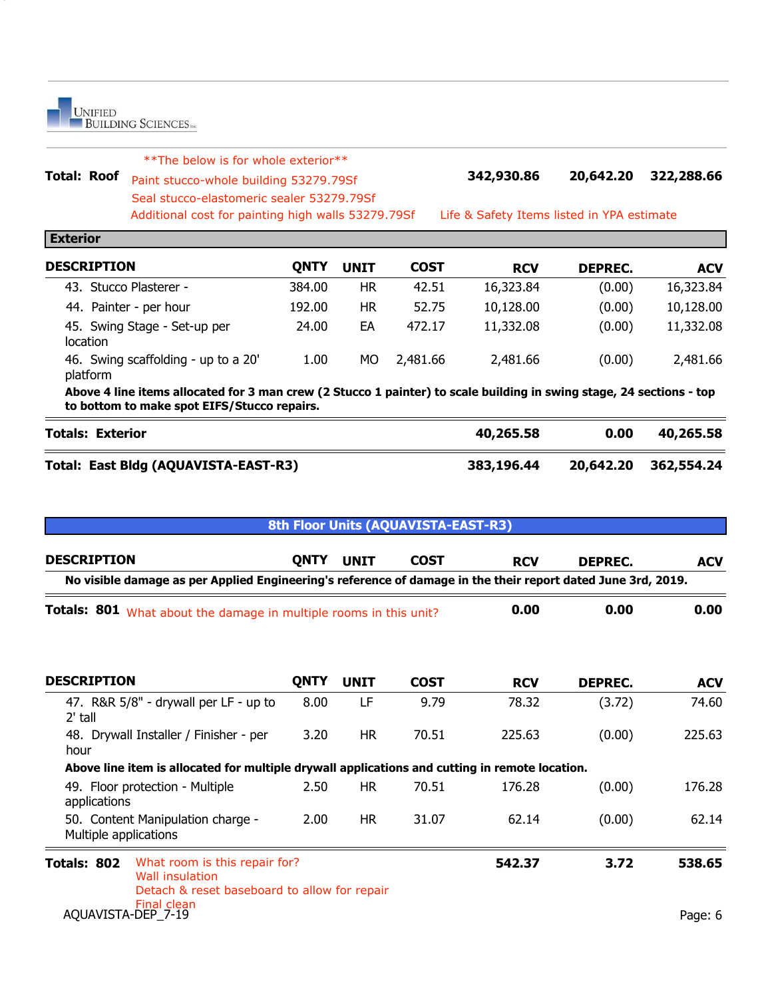**Total: Roof 342,930.86 20,642.20 322,288.66** Paint stucco-whole building 53279.79Sf Additional cost for whole exterior\*\*<br>
Paint stucco-whole building 53279.79Sf<br>
Seal stucco-elastomeric sealer 53279.79Sf<br>
Additional cost for painting high walls 53279.79Sf<br>
Life & Safety Items listed in YPA estimate

**Exterior**

6

| <b>DESCRIPTION</b>                              | ONTY   | <b>UNIT</b> | <b>COST</b> | <b>RCV</b> | DEPREC. | <b>ACV</b> |
|-------------------------------------------------|--------|-------------|-------------|------------|---------|------------|
| 43. Stucco Plasterer -                          | 384.00 | НR          | 42.51       | 16,323.84  | (0.00)  | 16,323.84  |
| 44. Painter - per hour                          | 192.00 | HR          | 52.75       | 10,128.00  | (0.00)  | 10,128.00  |
| 45. Swing Stage - Set-up per<br>location        | 24.00  | EA          | 472.17      | 11,332.08  | (0.00)  | 11,332.08  |
| 46. Swing scaffolding - up to a 20'<br>platform | 1.00   | МO          | 2,481.66    | 2,481.66   | (0.00)  | 2,481.66   |

**Above 4 line items allocated for 3 man crew (2 Stucco 1 painter) to scale building in swing stage, 24 sections - top to bottom to make spot EIFS/Stucco repairs.**

| <b>Totals: Exterior</b>              | 40,265.58  | 0.00 | 40,265.58            |
|--------------------------------------|------------|------|----------------------|
| Total: East Bldg (AQUAVISTA-EAST-R3) | 383,196.44 |      | 20,642.20 362,554.24 |

| 8th Floor Units (AQUAVISTA-EAST-R3)                                                                                    |             |             |             |            |                |            |  |  |
|------------------------------------------------------------------------------------------------------------------------|-------------|-------------|-------------|------------|----------------|------------|--|--|
| <b>DESCRIPTION</b>                                                                                                     | <b>QNTY</b> | <b>UNIT</b> | <b>COST</b> | <b>RCV</b> | <b>DEPREC.</b> | <b>ACV</b> |  |  |
| No visible damage as per Applied Engineering's reference of damage in the their report dated June 3rd, 2019.           |             |             |             |            |                |            |  |  |
| Totals: 801 What about the damage in multiple rooms in this unit?                                                      |             |             |             | 0.00       | 0.00           | 0.00       |  |  |
| <b>DESCRIPTION</b>                                                                                                     | <b>QNTY</b> | <b>UNIT</b> | <b>COST</b> | <b>RCV</b> | DEPREC.        | <b>ACV</b> |  |  |
| 47. R&R 5/8" - drywall per LF - up to<br>$2'$ tall                                                                     | 8.00        | LF          | 9.79        | 78.32      | (3.72)         | 74.60      |  |  |
| 48. Drywall Installer / Finisher - per<br>hour                                                                         | 3.20        | HR.         | 70.51       | 225.63     | (0.00)         | 225.63     |  |  |
| Above line item is allocated for multiple drywall applications and cutting in remote location.                         |             |             |             |            |                |            |  |  |
| 49. Floor protection - Multiple<br>applications                                                                        | 2.50        | <b>HR</b>   | 70.51       | 176.28     | (0.00)         | 176.28     |  |  |
| 50. Content Manipulation charge -<br>Multiple applications                                                             | 2.00        | HR.         | 31.07       | 62.14      | (0.00)         | 62.14      |  |  |
| What room is this repair for?<br>Totals: 802<br><b>Wall insulation</b><br>Detach & reset baseboard to allow for repair |             |             |             | 542.37     | 3.72           | 538.65     |  |  |
| Final clean<br>AQUAVISTA-DEP_7-19                                                                                      |             |             |             |            |                | Page: 6    |  |  |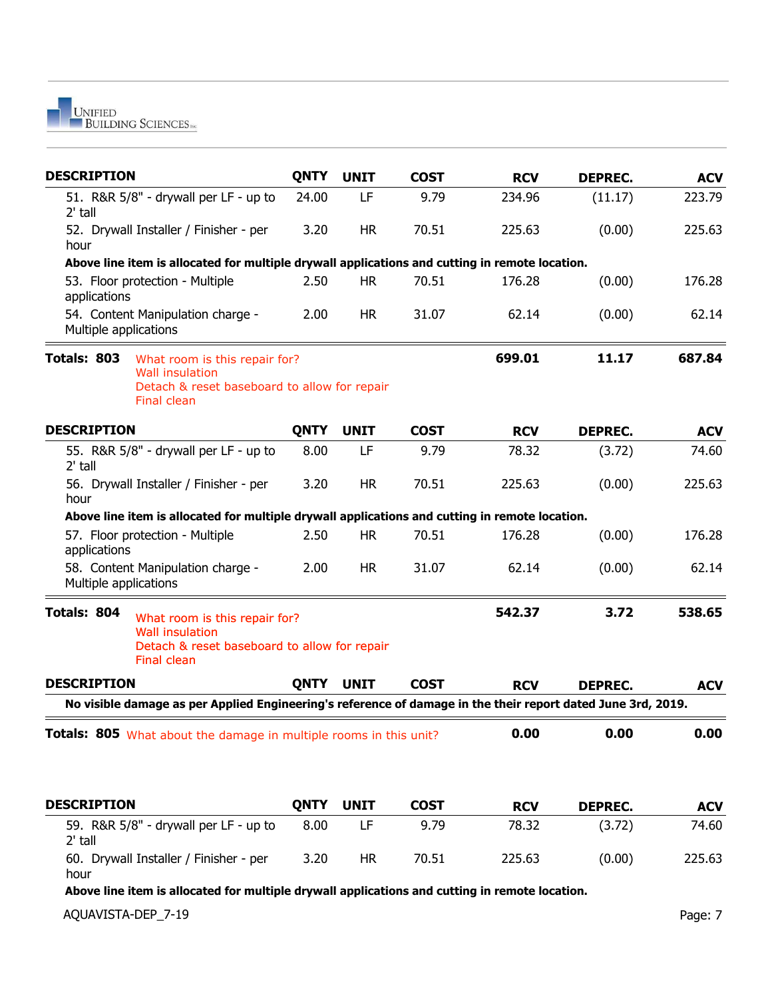

| <b>DESCRIPTION</b>                                                                                                                           | <b>QNTY</b> | <b>UNIT</b> | <b>COST</b> | <b>RCV</b> | <b>DEPREC.</b> | <b>ACV</b> |
|----------------------------------------------------------------------------------------------------------------------------------------------|-------------|-------------|-------------|------------|----------------|------------|
| 51. R&R 5/8" - drywall per LF - up to<br>$2'$ tall                                                                                           | 24.00       | LF          | 9.79        | 234.96     | (11.17)        | 223.79     |
| 52. Drywall Installer / Finisher - per<br>hour                                                                                               | 3.20        | <b>HR</b>   | 70.51       | 225.63     | (0.00)         | 225.63     |
| Above line item is allocated for multiple drywall applications and cutting in remote location.                                               |             |             |             |            |                |            |
| 53. Floor protection - Multiple<br>applications                                                                                              | 2.50        | <b>HR</b>   | 70.51       | 176.28     | (0.00)         | 176.28     |
| 54. Content Manipulation charge -<br>Multiple applications                                                                                   | 2.00        | <b>HR</b>   | 31.07       | 62.14      | (0.00)         | 62.14      |
| Totals: 803<br>What room is this repair for?<br><b>Wall insulation</b><br>Detach & reset baseboard to allow for repair<br>Final clean        |             |             |             | 699.01     | 11.17          | 687.84     |
| <b>DESCRIPTION</b>                                                                                                                           | <b>QNTY</b> | <b>UNIT</b> | <b>COST</b> | <b>RCV</b> | <b>DEPREC.</b> | <b>ACV</b> |
| 55. R&R 5/8" - drywall per LF - up to<br>$2'$ tall                                                                                           | 8.00        | LF          | 9.79        | 78.32      | (3.72)         | 74.60      |
| 56. Drywall Installer / Finisher - per<br>hour                                                                                               | 3.20        | <b>HR</b>   | 70.51       | 225.63     | (0.00)         | 225.63     |
| Above line item is allocated for multiple drywall applications and cutting in remote location.                                               |             |             |             |            |                |            |
| 57. Floor protection - Multiple<br>applications                                                                                              | 2.50        | <b>HR</b>   | 70.51       | 176.28     | (0.00)         | 176.28     |
| 58. Content Manipulation charge -<br>Multiple applications                                                                                   | 2.00        | <b>HR</b>   | 31.07       | 62.14      | (0.00)         | 62.14      |
| Totals: 804<br>What room is this repair for?<br><b>Wall insulation</b><br>Detach & reset baseboard to allow for repair<br><b>Final clean</b> |             |             |             | 542.37     | 3.72           | 538.65     |
| <b>DESCRIPTION</b>                                                                                                                           | <b>QNTY</b> | <b>UNIT</b> | <b>COST</b> | <b>RCV</b> | <b>DEPREC.</b> | <b>ACV</b> |
| No visible damage as per Applied Engineering's reference of damage in the their report dated June 3rd, 2019.                                 |             |             |             |            |                |            |
| <b>Totals: 805</b> What about the damage in multiple rooms in this unit?                                                                     |             |             |             | 0.00       | 0.00           | 0.00       |
| <b>DESCRIPTION</b>                                                                                                                           | <b>QNTY</b> | <b>UNIT</b> | <b>COST</b> | <b>RCV</b> | <b>DEPREC.</b> | <b>ACV</b> |
| 59. R&R 5/8" - drywall per LF - up to<br>$2'$ tall                                                                                           | 8.00        | LF          | 9.79        | 78.32      | (3.72)         | 74.60      |
| 60. Drywall Installer / Finisher - per                                                                                                       | 3.20        | <b>HR</b>   | 70.51       | 225.63     | (0.00)         | 225.63     |

hour

**Above line item is allocated for multiple drywall applications and cutting in remote location.**

AQUAVISTA-DEP\_7-19 Page: 7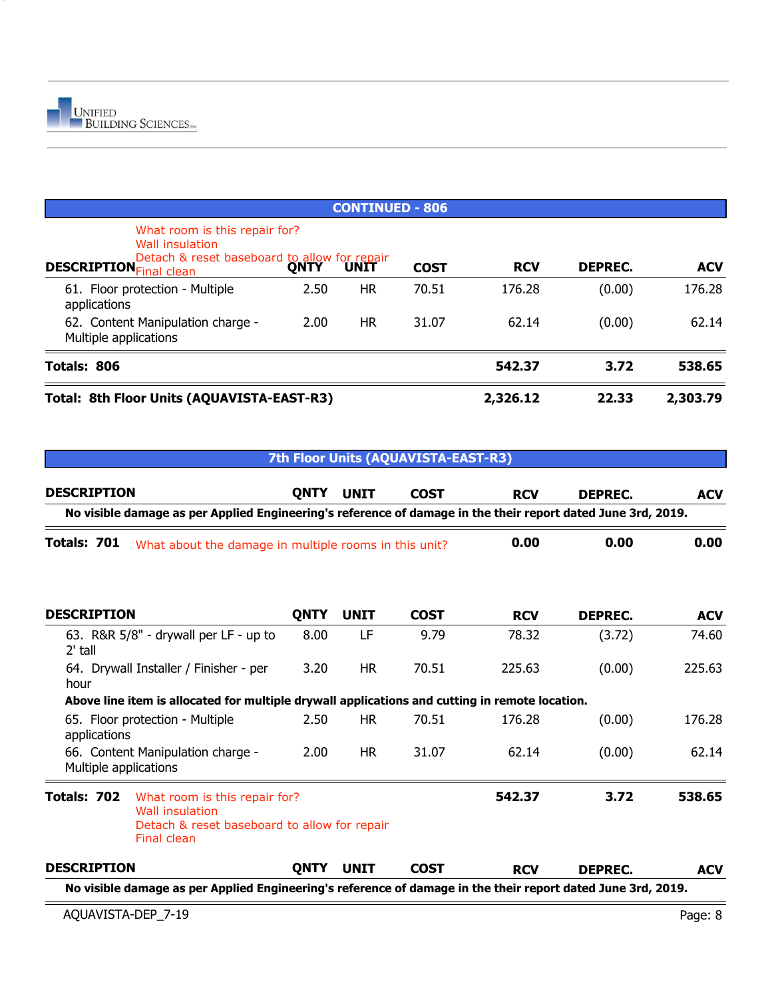

| Total: 8th Floor Units (AQUAVISTA-EAST-R3)                                                                                                               |      |                        |             | 2,326.12   | 22.33          | 2,303.79   |
|----------------------------------------------------------------------------------------------------------------------------------------------------------|------|------------------------|-------------|------------|----------------|------------|
| Totals: 806                                                                                                                                              |      |                        |             | 542.37     | 3.72           | 538.65     |
| 62. Content Manipulation charge -<br>Multiple applications                                                                                               | 2.00 | <b>HR</b>              | 31.07       | 62.14      | (0.00)         | 62.14      |
| 61. Floor protection - Multiple<br>applications                                                                                                          | 2.50 | <b>HR</b>              | 70.51       | 176.28     | (0.00)         | 176.28     |
| What room is this repair for?<br><b>Wall insulation</b><br>Detach & reset baseboard to allow for repair<br>Final clean<br><b>DESCRIPTION</b> Final clean |      |                        | <b>COST</b> | <b>RCV</b> | <b>DEPREC.</b> | <b>ACV</b> |
|                                                                                                                                                          |      | <b>CONTINUED - 806</b> |             |            |                |            |

#### **7th Floor Units (AQUAVISTA-EAST-R3)**

| <b>DESCRIPTION</b>    |                                                                                                                        | <b>QNTY</b> | <b>UNIT</b> | <b>COST</b> | <b>RCV</b> | <b>DEPREC.</b> | <b>ACV</b> |
|-----------------------|------------------------------------------------------------------------------------------------------------------------|-------------|-------------|-------------|------------|----------------|------------|
|                       | No visible damage as per Applied Engineering's reference of damage in the their report dated June 3rd, 2019.           |             |             |             |            |                |            |
| Totals: 701           | What about the damage in multiple rooms in this unit?                                                                  |             |             |             | 0.00       | 0.00           | 0.00       |
| <b>DESCRIPTION</b>    |                                                                                                                        | <b>QNTY</b> | <b>UNIT</b> | <b>COST</b> | <b>RCV</b> | DEPREC.        | <b>ACV</b> |
| $2'$ tall             | 63. R&R 5/8" - drywall per LF - up to                                                                                  | 8.00        | LF          | 9.79        | 78.32      | (3.72)         | 74.60      |
| hour                  | 64. Drywall Installer / Finisher - per                                                                                 | 3.20        | <b>HR</b>   | 70.51       | 225.63     | (0.00)         | 225.63     |
|                       | Above line item is allocated for multiple drywall applications and cutting in remote location.                         |             |             |             |            |                |            |
| applications          | 65. Floor protection - Multiple                                                                                        | 2.50        | <b>HR</b>   | 70.51       | 176.28     | (0.00)         | 176.28     |
| Multiple applications | 66. Content Manipulation charge -                                                                                      | 2.00        | <b>HR</b>   | 31.07       | 62.14      | (0.00)         | 62.14      |
| Totals: 702           | What room is this repair for?<br><b>Wall insulation</b><br>Detach & reset baseboard to allow for repair<br>Final clean |             |             |             | 542.37     | 3.72           | 538.65     |
| <b>DESCRIPTION</b>    |                                                                                                                        | <b>QNTY</b> | <b>UNIT</b> | <b>COST</b> | <b>RCV</b> | DEPREC.        | <b>ACV</b> |
|                       | No visible damage as per Applied Engineering's reference of damage in the their report dated June 3rd, 2019.           |             |             |             |            |                |            |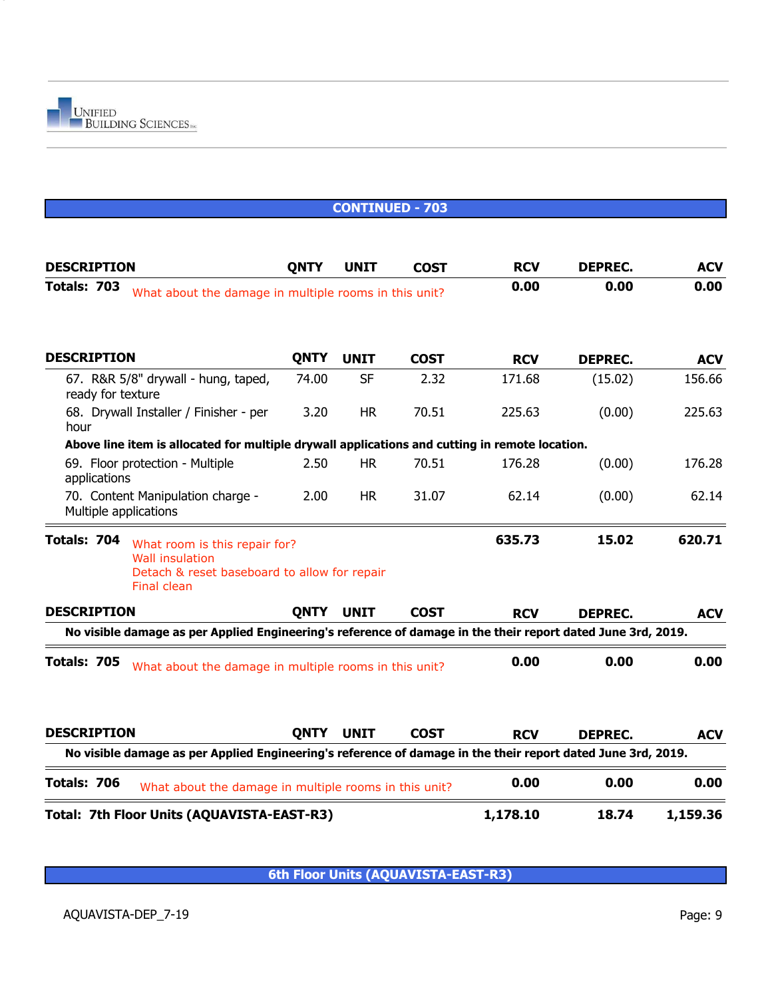|                       |                                                                                                                               |             |             | <b>CONTINUED - 703</b> |            |                |            |
|-----------------------|-------------------------------------------------------------------------------------------------------------------------------|-------------|-------------|------------------------|------------|----------------|------------|
| <b>DESCRIPTION</b>    |                                                                                                                               | <b>QNTY</b> | <b>UNIT</b> | <b>COST</b>            | <b>RCV</b> | <b>DEPREC.</b> | <b>ACV</b> |
| Totals: 703           | What about the damage in multiple rooms in this unit?                                                                         |             |             |                        | 0.00       | 0.00           | 0.00       |
|                       |                                                                                                                               |             |             |                        |            |                |            |
| <b>DESCRIPTION</b>    |                                                                                                                               | <b>QNTY</b> | <b>UNIT</b> | <b>COST</b>            | <b>RCV</b> | <b>DEPREC.</b> | <b>ACV</b> |
| ready for texture     | 67. R&R 5/8" drywall - hung, taped,                                                                                           | 74.00       | <b>SF</b>   | 2.32                   | 171.68     | (15.02)        | 156.66     |
| hour                  | 68. Drywall Installer / Finisher - per                                                                                        | 3.20        | <b>HR</b>   | 70.51                  | 225.63     | (0.00)         | 225.63     |
|                       | Above line item is allocated for multiple drywall applications and cutting in remote location.                                |             |             |                        |            |                |            |
| applications          | 69. Floor protection - Multiple                                                                                               | 2.50        | <b>HR</b>   | 70.51                  | 176.28     | (0.00)         | 176.28     |
| Multiple applications | 70. Content Manipulation charge -                                                                                             | 2.00        | <b>HR</b>   | 31.07                  | 62.14      | (0.00)         | 62.14      |
| Totals: 704           | What room is this repair for?<br><b>Wall insulation</b><br>Detach & reset baseboard to allow for repair<br><b>Final clean</b> |             |             |                        | 635.73     | 15.02          | 620.71     |
| <b>DESCRIPTION</b>    |                                                                                                                               | <b>QNTY</b> | <b>UNIT</b> | <b>COST</b>            | <b>RCV</b> | <b>DEPREC.</b> | <b>ACV</b> |
|                       | No visible damage as per Applied Engineering's reference of damage in the their report dated June 3rd, 2019.                  |             |             |                        |            |                |            |
| Totals: 705           | What about the damage in multiple rooms in this unit?                                                                         |             |             |                        | 0.00       | 0.00           | 0.00       |
| <b>DESCRIPTION</b>    |                                                                                                                               | <b>QNTY</b> | <b>UNIT</b> | <b>COST</b>            | <b>RCV</b> | DEPREC.        | <b>ACV</b> |
|                       | No visible damage as per Applied Engineering's reference of damage in the their report dated June 3rd, 2019.                  |             |             |                        |            |                |            |
| Totals: 706           | What about the damage in multiple rooms in this unit?                                                                         |             |             |                        | 0.00       | 0.00           | 0.00       |
|                       | Total: 7th Floor Units (AQUAVISTA-EAST-R3)                                                                                    |             |             |                        | 1,178.10   | 18.74          | 1,159.36   |

**6th Floor Units (AQUAVISTA-EAST-R3)**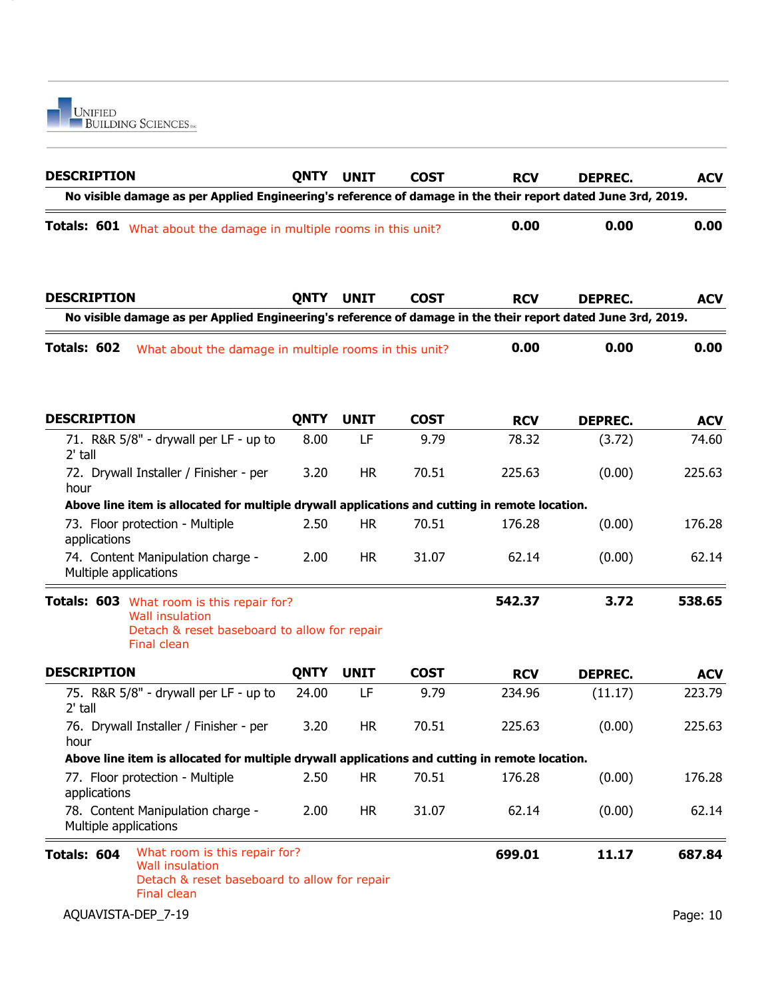

| <b>DESCRIPTION</b>                                                                                                                    | <b>QNTY</b> | <b>UNIT</b> | <b>COST</b> | <b>RCV</b> | <b>DEPREC.</b> | <b>ACV</b> |
|---------------------------------------------------------------------------------------------------------------------------------------|-------------|-------------|-------------|------------|----------------|------------|
| No visible damage as per Applied Engineering's reference of damage in the their report dated June 3rd, 2019.                          |             |             |             |            |                |            |
| Totals: 601 What about the damage in multiple rooms in this unit?                                                                     |             |             |             | 0.00       | 0.00           |            |
| <b>DESCRIPTION</b>                                                                                                                    | <b>QNTY</b> | <b>UNIT</b> | <b>COST</b> | <b>RCV</b> | <b>DEPREC.</b> | <b>ACV</b> |
| No visible damage as per Applied Engineering's reference of damage in the their report dated June 3rd, 2019.                          |             |             |             |            |                |            |
| Totals: 602<br>What about the damage in multiple rooms in this unit?                                                                  |             |             |             | 0.00       | 0.00           | 0.00       |
| <b>DESCRIPTION</b>                                                                                                                    | <b>QNTY</b> | <b>UNIT</b> | <b>COST</b> | <b>RCV</b> | <b>DEPREC.</b> | <b>ACV</b> |
| 71. R&R 5/8" - drywall per LF - up to<br>2' tall                                                                                      | 8.00        | LF          | 9.79        | 78.32      | (3.72)         | 74.60      |
| 72. Drywall Installer / Finisher - per<br>hour                                                                                        | 3.20        | <b>HR</b>   | 70.51       | 225.63     | (0.00)         | 225.63     |
| Above line item is allocated for multiple drywall applications and cutting in remote location.                                        |             |             |             |            |                |            |
| 73. Floor protection - Multiple<br>applications                                                                                       | 2.50        | <b>HR</b>   | 70.51       | 176.28     | (0.00)         | 176.28     |
| 74. Content Manipulation charge -<br>Multiple applications                                                                            | 2.00        | <b>HR</b>   | 31.07       | 62.14      | (0.00)         | 62.14      |
| Totals: 603 What room is this repair for?<br><b>Wall insulation</b><br>Detach & reset baseboard to allow for repair<br>Final clean    |             |             |             | 542.37     | 3.72           | 538.65     |
| <b>DESCRIPTION</b>                                                                                                                    | <b>QNTY</b> | <b>UNIT</b> | <b>COST</b> | <b>RCV</b> | <b>DEPREC.</b> | <b>ACV</b> |
| 75. R&R 5/8" - drywall per LF - up to<br>2' tall                                                                                      | 24.00       | LF          | 9.79        | 234.96     | (11.17)        | 223.79     |
| 76. Drywall Installer / Finisher - per<br>hour                                                                                        | 3.20        | <b>HR</b>   | 70.51       | 225.63     | (0.00)         | 225.63     |
| Above line item is allocated for multiple drywall applications and cutting in remote location.                                        |             |             |             |            |                |            |
| 77. Floor protection - Multiple<br>applications                                                                                       | 2.50        | <b>HR</b>   | 70.51       | 176.28     | (0.00)         | 176.28     |
| 78. Content Manipulation charge -<br>Multiple applications                                                                            | 2.00        | <b>HR</b>   | 31.07       | 62.14      | (0.00)         | 62.14      |
| What room is this repair for?<br>Totals: 604<br><b>Wall insulation</b><br>Detach & reset baseboard to allow for repair<br>Final clean |             |             |             | 699.01     | 11.17          | 687.84     |
| AQUAVISTA-DEP_7-19                                                                                                                    |             |             |             |            |                | Page: 10   |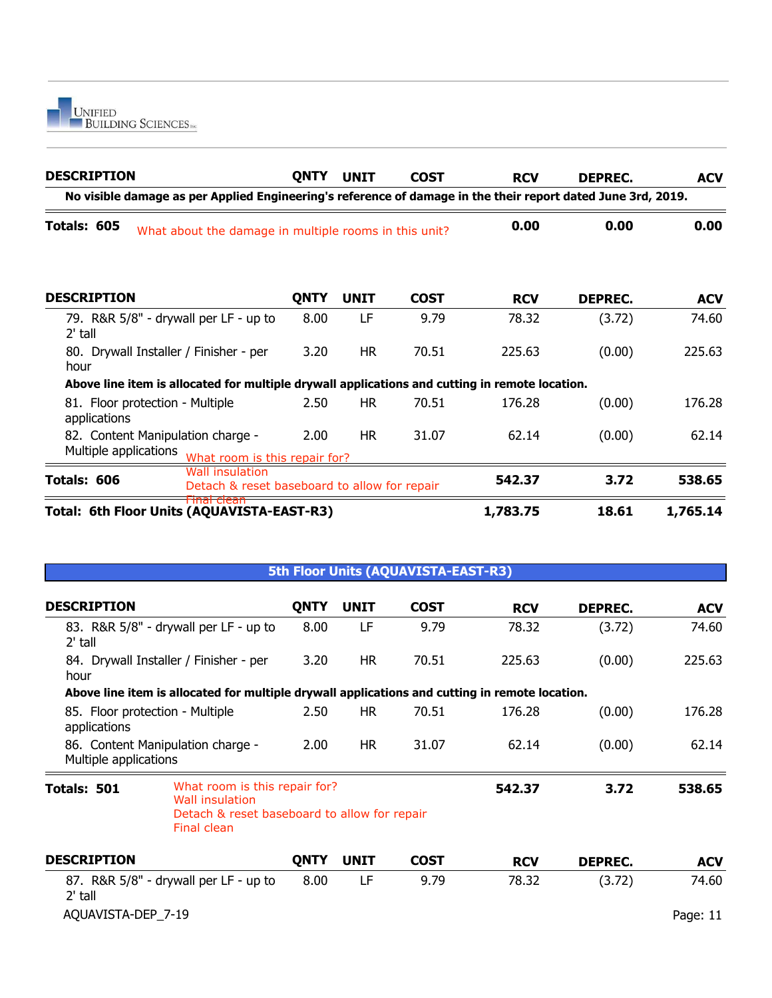

| <b>DESCRIPTION</b>                                                                                           | <b>QNTY</b> | <b>UNIT</b> | <b>COST</b> | <b>RCV</b> | DEPREC.        | <b>ACV</b> |
|--------------------------------------------------------------------------------------------------------------|-------------|-------------|-------------|------------|----------------|------------|
| No visible damage as per Applied Engineering's reference of damage in the their report dated June 3rd, 2019. |             |             |             |            |                |            |
| Totals: 605<br>What about the damage in multiple rooms in this unit?                                         |             |             |             | 0.00       | 0.00           | 0.00       |
| <b>DESCRIPTION</b>                                                                                           | <b>QNTY</b> | <b>UNIT</b> | <b>COST</b> | <b>RCV</b> | <b>DEPREC.</b> | <b>ACV</b> |
| 79. R&R 5/8" - drywall per LF - up to<br>$2'$ tall                                                           | 8.00        | LF          | 9.79        | 78.32      | (3.72)         | 74.60      |
| 80. Drywall Installer / Finisher - per<br>hour                                                               | 3.20        | <b>HR</b>   | 70.51       | 225.63     | (0.00)         | 225.63     |
| Above line item is allocated for multiple drywall applications and cutting in remote location.               |             |             |             |            |                |            |
| 81. Floor protection - Multiple<br>applications                                                              | 2.50        | <b>HR</b>   | 70.51       | 176.28     | (0.00)         | 176.28     |
| 82. Content Manipulation charge -<br>Multiple applications<br>What room is this repair for?                  | 2.00        | HR.         | 31.07       | 62.14      | (0.00)         | 62.14      |
| <b>Wall insulation</b><br>Totals: 606<br>Detach & reset baseboard to allow for repair                        |             |             |             | 542.37     | 3.72           | 538.65     |
| <del>Final clean</del><br>Total: 6th Floor Units (AQUAVISTA-EAST-R3)                                         |             |             |             | 1,783.75   | 18.61          | 1,765.14   |
|                                                                                                              |             |             |             |            |                |            |

#### **5th Floor Units (AQUAVISTA-EAST-R3)**

| <b>DESCRIPTION</b>                                                                                                             | <b>QNTY</b> | <b>UNIT</b> | <b>COST</b> | <b>RCV</b> | <b>DEPREC.</b> | <b>ACV</b> |
|--------------------------------------------------------------------------------------------------------------------------------|-------------|-------------|-------------|------------|----------------|------------|
| 83. R&R 5/8" - drywall per LF - up to<br>2' tall                                                                               | 8.00        | LF          | 9.79        | 78.32      | (3.72)         | 74.60      |
| 84. Drywall Installer / Finisher - per<br>hour                                                                                 | 3.20        | <b>HR</b>   | 70.51       | 225.63     | (0.00)         | 225.63     |
| Above line item is allocated for multiple drywall applications and cutting in remote location.                                 |             |             |             |            |                |            |
| 85. Floor protection - Multiple<br>applications                                                                                | 2.50        | <b>HR</b>   | 70.51       | 176.28     | (0.00)         | 176.28     |
| 86. Content Manipulation charge -<br>Multiple applications                                                                     | 2.00        | HR.         | 31.07       | 62.14      | (0.00)         | 62.14      |
| What room is this repair for?<br>Totals: 501<br>Wall insulation<br>Detach & reset baseboard to allow for repair<br>Final clean |             |             |             | 542.37     | 3.72           | 538.65     |
| <b>DESCRIPTION</b>                                                                                                             | <b>QNTY</b> | <b>UNIT</b> | <b>COST</b> | <b>RCV</b> | <b>DEPREC.</b> | <b>ACV</b> |
| 87. R&R 5/8" - drywall per LF - up to<br>2' tall                                                                               | 8.00        | LF          | 9.79        | 78.32      | (3.72)         | 74.60      |

AQUAVISTA-DEP\_7-19 Page: 11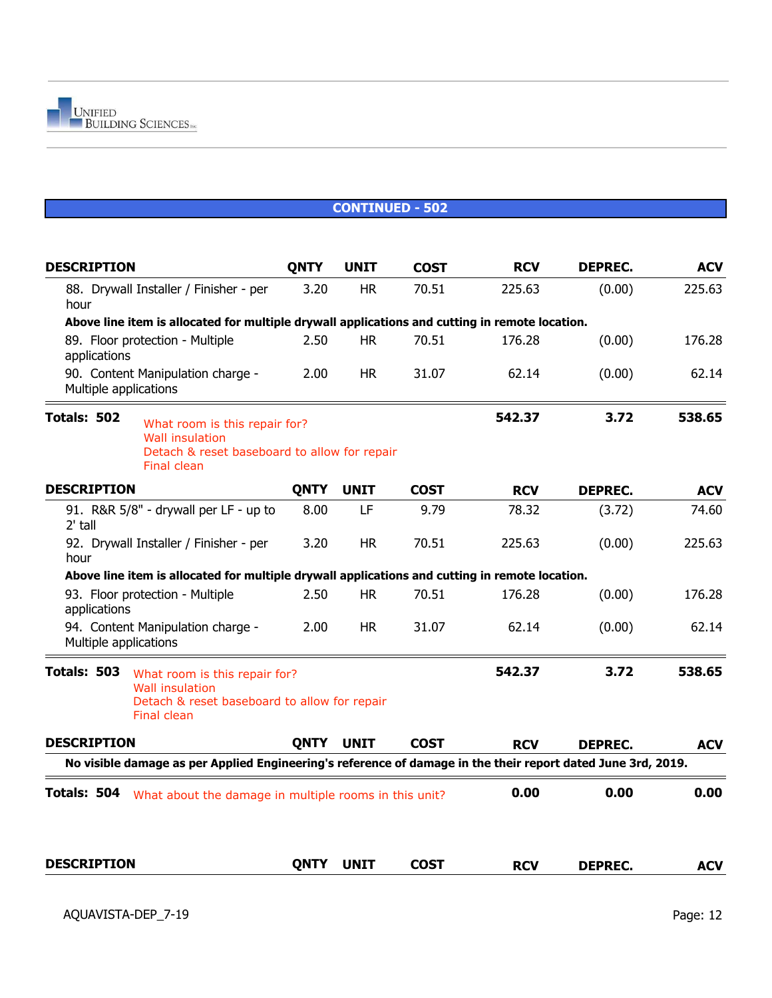| <b>DESCRIPTION</b>                                                                                                                           | <b>QNTY</b> | <b>UNIT</b> | <b>COST</b> | <b>RCV</b> | <b>DEPREC.</b> | <b>ACV</b> |
|----------------------------------------------------------------------------------------------------------------------------------------------|-------------|-------------|-------------|------------|----------------|------------|
| 88. Drywall Installer / Finisher - per<br>hour                                                                                               | 3.20        | <b>HR</b>   | 70.51       | 225.63     | (0.00)         | 225.63     |
| Above line item is allocated for multiple drywall applications and cutting in remote location.                                               |             |             |             |            |                |            |
| 89. Floor protection - Multiple<br>applications                                                                                              | 2.50        | <b>HR</b>   | 70.51       | 176.28     | (0.00)         | 176.28     |
| 90. Content Manipulation charge -<br>Multiple applications                                                                                   | 2.00        | <b>HR</b>   | 31.07       | 62.14      | (0.00)         | 62.14      |
| Totals: 502<br>What room is this repair for?<br><b>Wall insulation</b><br>Detach & reset baseboard to allow for repair<br>Final clean        |             |             |             | 542.37     | 3.72           | 538.65     |
| <b>DESCRIPTION</b>                                                                                                                           | <b>QNTY</b> | <b>UNIT</b> | <b>COST</b> | <b>RCV</b> | <b>DEPREC.</b> | <b>ACV</b> |
| 91. R&R 5/8" - drywall per LF - up to<br>2' tall                                                                                             | 8.00        | LF          | 9.79        | 78.32      | (3.72)         | 74.60      |
| 92. Drywall Installer / Finisher - per<br>hour                                                                                               | 3.20        | <b>HR</b>   | 70.51       | 225.63     | (0.00)         | 225.63     |
| Above line item is allocated for multiple drywall applications and cutting in remote location.                                               |             |             |             |            |                |            |
| 93. Floor protection - Multiple<br>applications                                                                                              | 2.50        | <b>HR</b>   | 70.51       | 176.28     | (0.00)         | 176.28     |
| 94. Content Manipulation charge -<br>Multiple applications                                                                                   | 2.00        | <b>HR</b>   | 31.07       | 62.14      | (0.00)         | 62.14      |
| Totals: 503<br>What room is this repair for?<br><b>Wall insulation</b><br>Detach & reset baseboard to allow for repair<br><b>Final clean</b> |             |             |             | 542.37     | 3.72           | 538.65     |
| <b>DESCRIPTION</b>                                                                                                                           | <b>QNTY</b> | <b>UNIT</b> | <b>COST</b> | <b>RCV</b> | <b>DEPREC.</b> | <b>ACV</b> |
| No visible damage as per Applied Engineering's reference of damage in the their report dated June 3rd, 2019.                                 |             |             |             |            |                |            |
| Totals: 504<br>What about the damage in multiple rooms in this unit?                                                                         |             |             |             | 0.00       | 0.00           | 0.00       |
|                                                                                                                                              |             |             |             |            |                |            |
| <b>DESCRIPTION</b>                                                                                                                           | <b>QNTY</b> | <b>UNIT</b> | <b>COST</b> | <b>RCV</b> | <b>DEPREC.</b> | <b>ACV</b> |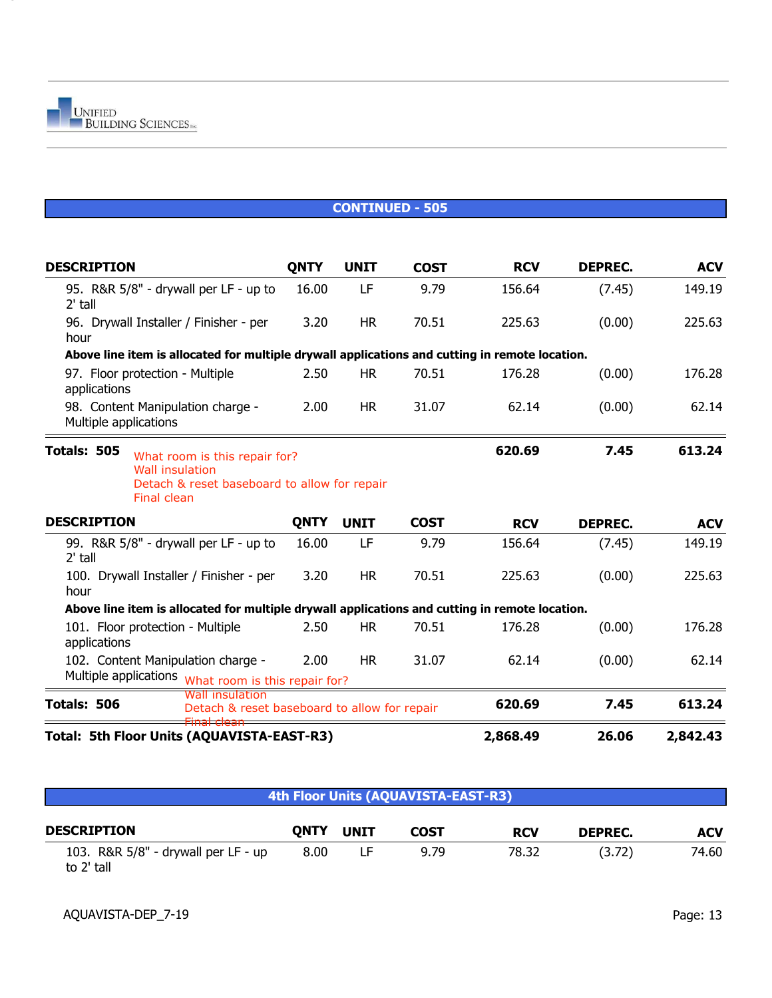| <b>DESCRIPTION</b>                                                                                                                           | <b>QNTY</b> | <b>UNIT</b> | <b>COST</b> | <b>RCV</b> | <b>DEPREC.</b> | <b>ACV</b> |
|----------------------------------------------------------------------------------------------------------------------------------------------|-------------|-------------|-------------|------------|----------------|------------|
| 95. R&R 5/8" - drywall per LF - up to<br>2' tall                                                                                             | 16.00       | LF          | 9.79        | 156.64     | (7.45)         | 149.19     |
| 96. Drywall Installer / Finisher - per<br>hour                                                                                               | 3.20        | <b>HR</b>   | 70.51       | 225.63     | (0.00)         | 225.63     |
| Above line item is allocated for multiple drywall applications and cutting in remote location.                                               |             |             |             |            |                |            |
| 97. Floor protection - Multiple<br>applications                                                                                              | 2.50        | <b>HR</b>   | 70.51       | 176.28     | (0.00)         | 176.28     |
| 98. Content Manipulation charge -<br>Multiple applications                                                                                   | 2.00        | <b>HR</b>   | 31.07       | 62.14      | (0.00)         | 62.14      |
| Totals: 505<br>What room is this repair for?<br><b>Wall insulation</b><br>Detach & reset baseboard to allow for repair<br><b>Final clean</b> |             |             |             | 620.69     | 7.45           | 613.24     |
| <b>DESCRIPTION</b>                                                                                                                           | <b>QNTY</b> | <b>UNIT</b> | <b>COST</b> | <b>RCV</b> | <b>DEPREC.</b> | <b>ACV</b> |
| 99. R&R 5/8" - drywall per LF - up to<br>$2'$ tall                                                                                           | 16.00       | LF          | 9.79        | 156.64     | (7.45)         | 149.19     |
| 100. Drywall Installer / Finisher - per<br>hour                                                                                              | 3.20        | <b>HR</b>   | 70.51       | 225.63     | (0.00)         | 225.63     |
| Above line item is allocated for multiple drywall applications and cutting in remote location.                                               |             |             |             |            |                |            |
| 101. Floor protection - Multiple<br>applications                                                                                             | 2.50        | HR.         | 70.51       | 176.28     | (0.00)         | 176.28     |
| 102. Content Manipulation charge -<br>Multiple applications what room is this repair for?                                                    | 2.00        | <b>HR</b>   | 31.07       | 62.14      | (0.00)         | 62.14      |
| Wall insulation                                                                                                                              |             |             |             |            |                |            |
| Totals: 506<br>Detach & reset baseboard to allow for repair                                                                                  |             |             |             | 620.69     | 7.45           | 613.24     |
| Total: 5th Floor Units (AQUAVISTA-EAST-R3)                                                                                                   |             |             |             | 2,868.49   | 26.06          | 2,842.43   |

| 4th Floor Units (AQUAVISTA-EAST-R3) |
|-------------------------------------|
|                                     |

| <b>DESCRIPTION</b>                                | <b>ONTY</b> | <b>UNIT</b> | <b>COST</b> | <b>RCV</b> | <b>DEPREC.</b> | <b>ACV</b> |
|---------------------------------------------------|-------------|-------------|-------------|------------|----------------|------------|
| 103. R&R 5/8" - drywall per LF - up<br>to 2' tall | 8.00        |             | 9.79        | 78.32      | (3.72)         | 74.60      |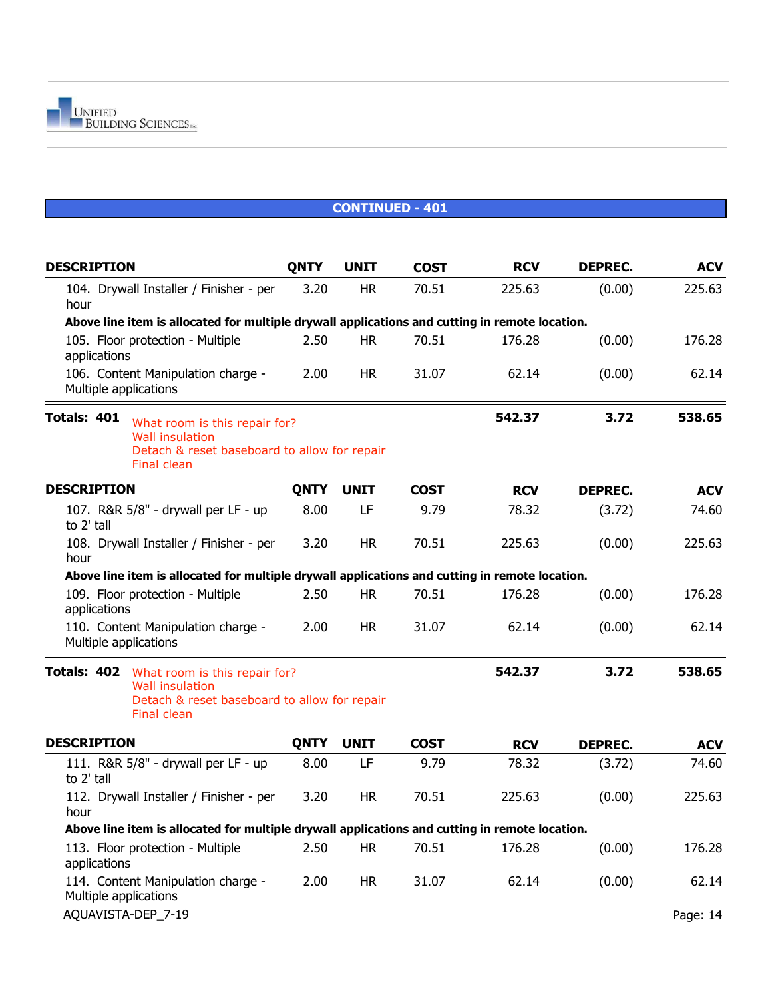| <b>DESCRIPTION</b>                                                                                                                    | <b>QNTY</b> | <b>UNIT</b> | <b>COST</b> | <b>RCV</b> | <b>DEPREC.</b> | <b>ACV</b> |
|---------------------------------------------------------------------------------------------------------------------------------------|-------------|-------------|-------------|------------|----------------|------------|
| 104. Drywall Installer / Finisher - per<br>hour                                                                                       | 3.20        | <b>HR</b>   | 70.51       | 225.63     | (0.00)         | 225.63     |
| Above line item is allocated for multiple drywall applications and cutting in remote location.                                        |             |             |             |            |                |            |
| 105. Floor protection - Multiple<br>applications                                                                                      | 2.50        | <b>HR</b>   | 70.51       | 176.28     | (0.00)         | 176.28     |
| 106. Content Manipulation charge -<br>Multiple applications                                                                           | 2.00        | <b>HR</b>   | 31.07       | 62.14      | (0.00)         | 62.14      |
| Totals: 401<br>What room is this repair for?<br><b>Wall insulation</b><br>Detach & reset baseboard to allow for repair<br>Final clean |             |             |             | 542.37     | 3.72           | 538.65     |
| <b>DESCRIPTION</b>                                                                                                                    | <b>QNTY</b> | <b>UNIT</b> | <b>COST</b> | <b>RCV</b> | <b>DEPREC.</b> | <b>ACV</b> |
| 107. R&R 5/8" - drywall per LF - up<br>to 2' tall                                                                                     | 8.00        | LF          | 9.79        | 78.32      | (3.72)         | 74.60      |
| 108. Drywall Installer / Finisher - per<br>hour                                                                                       | 3.20        | <b>HR</b>   | 70.51       | 225.63     | (0.00)         | 225.63     |
| Above line item is allocated for multiple drywall applications and cutting in remote location.                                        |             |             |             |            |                |            |
| 109. Floor protection - Multiple<br>applications                                                                                      | 2.50        | <b>HR</b>   | 70.51       | 176.28     | (0.00)         | 176.28     |
| 110. Content Manipulation charge -<br>Multiple applications                                                                           | 2.00        | <b>HR</b>   | 31.07       | 62.14      | (0.00)         | 62.14      |
| Totals: 402<br>What room is this repair for?<br><b>Wall insulation</b><br>Detach & reset baseboard to allow for repair<br>Final clean |             |             |             | 542.37     | 3.72           | 538.65     |
| <b>DESCRIPTION</b>                                                                                                                    | <b>QNTY</b> | <b>UNIT</b> | <b>COST</b> | <b>RCV</b> | <b>DEPREC.</b> | <b>ACV</b> |
| 111. R&R 5/8" - drywall per LF - up<br>to 2' tall                                                                                     | 8.00        | LF          | 9.79        | 78.32      | (3.72)         | 74.60      |
| 112. Drywall Installer / Finisher - per<br>hour                                                                                       | 3.20        | <b>HR</b>   | 70.51       | 225.63     | (0.00)         | 225.63     |
| Above line item is allocated for multiple drywall applications and cutting in remote location.                                        |             |             |             |            |                |            |
| 113. Floor protection - Multiple<br>applications                                                                                      | 2.50        | <b>HR</b>   | 70.51       | 176.28     | (0.00)         | 176.28     |
| 114. Content Manipulation charge -<br>Multiple applications                                                                           | 2.00        | <b>HR</b>   | 31.07       | 62.14      | (0.00)         | 62.14      |
| AQUAVISTA-DEP_7-19                                                                                                                    |             |             |             |            |                | Page: 14   |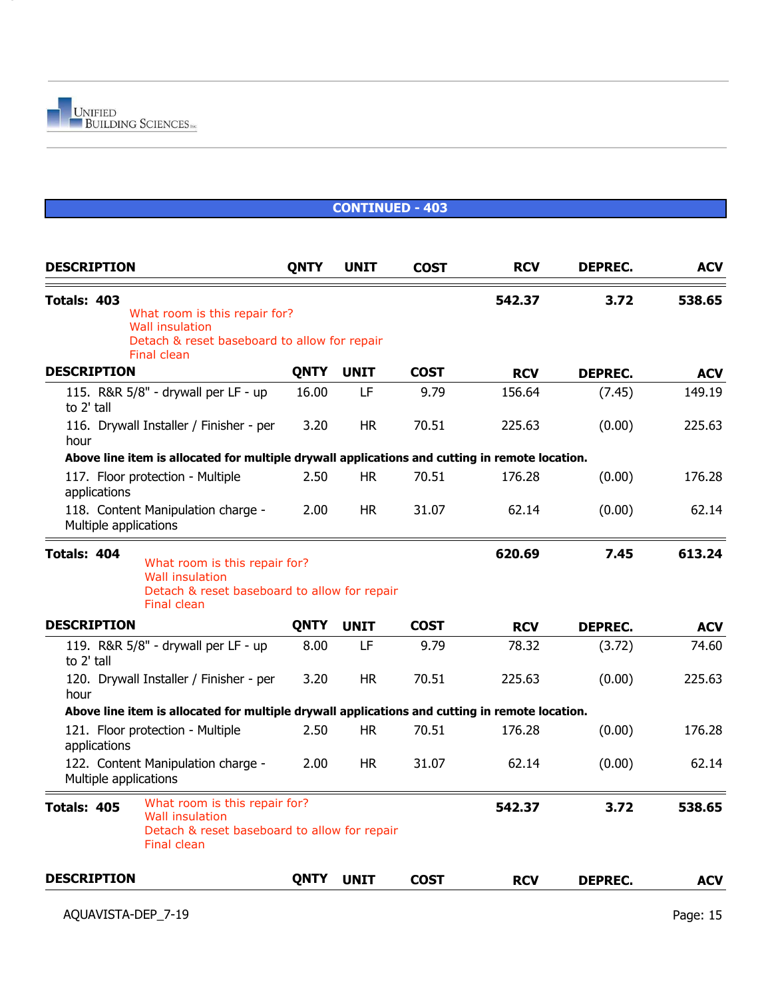#### **CONTINUED - 403 DESCRIPTION QNTY UNIT COST RCV DEPREC. ACV Totals: 403 542.37 3.72 538.65 DESCRIPTION QNTY UNIT COST RCV DEPREC. ACV** 115. R&R 5/8" - drywall per LF - up 16.00 LF 9.79 156.64 (7.45) 149.19 to 2' tall 116. Drywall Installer / Finisher - per 3.20 HR 70.51 225.63 (0.00) 225.63 hour **Above line item is allocated for multiple drywall applications and cutting in remote location.** 117. Floor protection - Multiple 2.50 HR 70.51 176.28 (0.00) 176.28 applications 118. Content Manipulation charge - 2.00 HR 31.07 62.14 (0.00) 62.14 Multiple applications **Totals: 404 620.69 7.45 613.24 DESCRIPTION QNTY UNIT COST RCV DEPREC. ACV** 119. R&R 5/8" - drywall per LF - up 8.00 LF 9.79 78.32 (3.72) 74.60 to 2' tall 120. Drywall Installer / Finisher - per 3.20 HR 70.51 225.63 (0.00) 225.63 hour **Above line item is allocated for multiple drywall applications and cutting in remote location.** 121. Floor protection - Multiple 2.50 HR 70.51 176.28 (0.00) 176.28 applications 122. Content Manipulation charge - 2.00 HR 31.07 62.14 (0.00) 62.14 Multiple applications What room is this repair for? Wall insulation Detach & reset baseboard to allow for repair Final clean What room is this repair for? Wall insulation Detach & reset baseboard to allow for repair Final clean

**Totals: 405 542.37 3.72 538.65** What room is this repair for? Wall insulation Detach & reset baseboard to allow for repair Final clean

|                    |      |             |             |            | $\sim$ $\sim$  |            |
|--------------------|------|-------------|-------------|------------|----------------|------------|
| <b>DESCRIPTION</b> | ONTY | <b>UNIT</b> | <b>COST</b> | <b>RCV</b> | <b>DEPREC.</b> | <b>ACV</b> |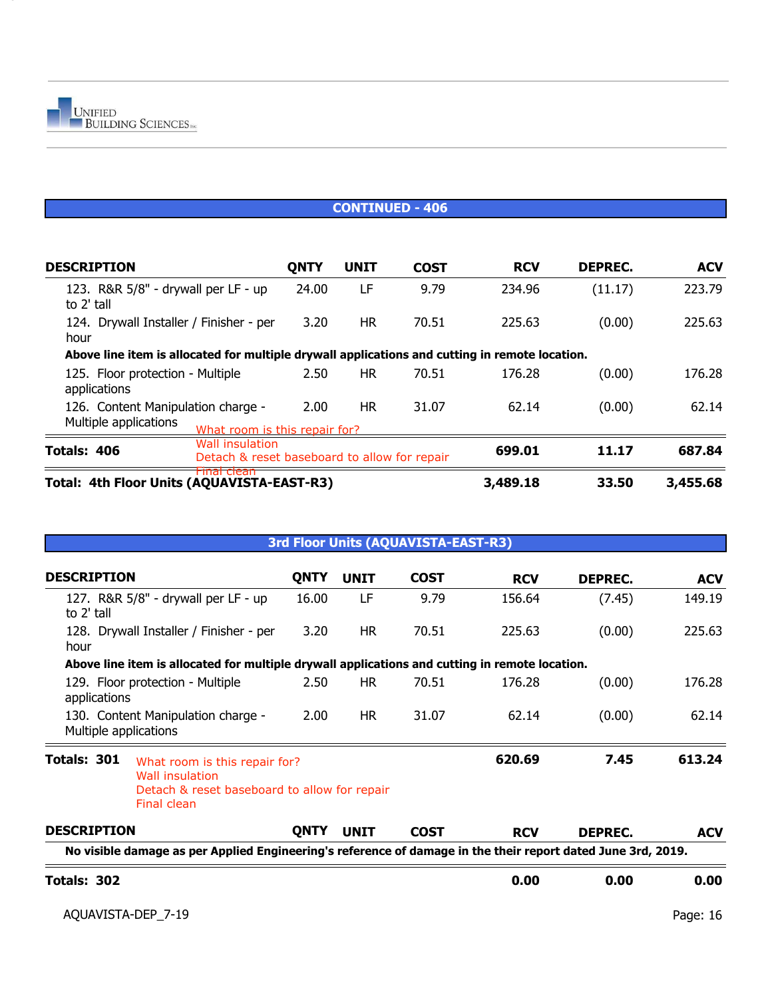

#### **CONTINUED - 406**

| <b>DESCRIPTION</b>                                                                             | <b>QNTY</b>                                                     | <b>UNIT</b> | <b>COST</b> | <b>RCV</b> | <b>DEPREC.</b> | <b>ACV</b> |
|------------------------------------------------------------------------------------------------|-----------------------------------------------------------------|-------------|-------------|------------|----------------|------------|
| 123. R&R 5/8" - drywall per LF - up<br>to 2' tall                                              | 24.00                                                           | LF          | 9.79        | 234.96     | (11.17)        | 223.79     |
| 124. Drywall Installer / Finisher - per<br>hour                                                | 3.20                                                            | HR.         | 70.51       | 225.63     | (0.00)         | 225.63     |
| Above line item is allocated for multiple drywall applications and cutting in remote location. |                                                                 |             |             |            |                |            |
| 125. Floor protection - Multiple<br>applications                                               | 2.50                                                            | <b>HR</b>   | 70.51       | 176.28     | (0.00)         | 176.28     |
| 126. Content Manipulation charge -<br>Multiple applications                                    | 2.00<br>What room is this repair for?                           | HR.         | 31.07       | 62.14      | (0.00)         | 62.14      |
| Totals: 406                                                                                    | Wall insulation<br>Detach & reset baseboard to allow for repair |             |             | 699.01     | 11.17          | 687.84     |
| <del>Final clean</del><br>Total: 4th Floor Units (AQUAVISTA-EAST-R3)                           |                                                                 |             |             | 3,489.18   | 33.50          | 3,455.68   |

#### **3rd Floor Units (AQUAVISTA-EAST-R3)**

| <b>DESCRIPTION</b>    |                                                                                                                 | <b>QNTY</b> | <b>UNIT</b> | <b>COST</b> | <b>RCV</b> | <b>DEPREC.</b> | <b>ACV</b> |
|-----------------------|-----------------------------------------------------------------------------------------------------------------|-------------|-------------|-------------|------------|----------------|------------|
| to 2' tall            | 127. R&R 5/8" - drywall per LF - up                                                                             | 16.00       | LF          | 9.79        | 156.64     | (7.45)         | 149.19     |
| hour                  | 128. Drywall Installer / Finisher - per                                                                         | 3.20        | HR.         | 70.51       | 225.63     | (0.00)         | 225.63     |
|                       | Above line item is allocated for multiple drywall applications and cutting in remote location.                  |             |             |             |            |                |            |
| applications          | 129. Floor protection - Multiple                                                                                | 2.50        | <b>HR</b>   | 70.51       | 176.28     | (0.00)         | 176.28     |
| Multiple applications | 130. Content Manipulation charge -                                                                              | 2.00        | HR.         | 31.07       | 62.14      | (0.00)         | 62.14      |
| Totals: 301           | What room is this repair for?<br>Wall insulation<br>Detach & reset baseboard to allow for repair<br>Final clean |             |             |             | 620.69     | 7.45           | 613.24     |
| <b>DESCRIPTION</b>    |                                                                                                                 | <b>QNTY</b> | <b>UNIT</b> | <b>COST</b> | <b>RCV</b> | <b>DEPREC.</b> | <b>ACV</b> |
|                       | No visible damage as per Applied Engineering's reference of damage in the their report dated June 3rd, 2019.    |             |             |             |            |                |            |
| Totals: 302           |                                                                                                                 |             |             |             | 0.00       | 0.00           | 0.00       |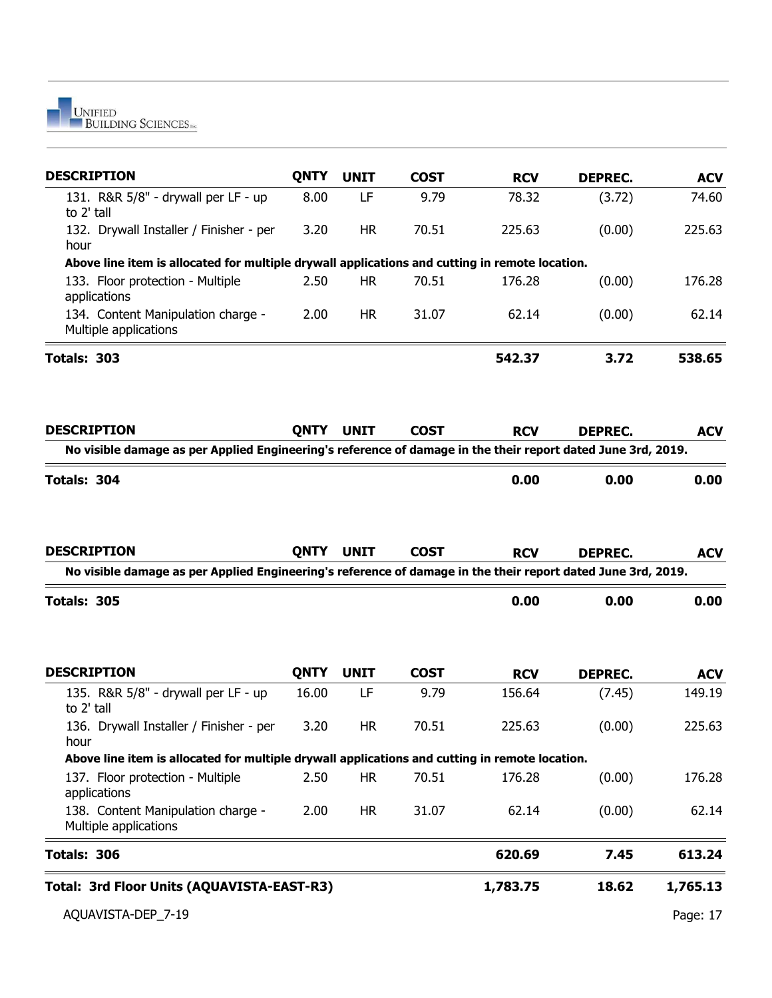

| <b>DESCRIPTION</b>                                                                                                                 | <b>QNTY</b> | <b>UNIT</b> | <b>COST</b> | <b>RCV</b> | <b>DEPREC.</b> | <b>ACV</b> |
|------------------------------------------------------------------------------------------------------------------------------------|-------------|-------------|-------------|------------|----------------|------------|
| 131. R&R 5/8" - drywall per LF - up<br>to 2' tall                                                                                  | 8.00        | LF          | 9.79        | 78.32      | (3.72)         | 74.60      |
| 132. Drywall Installer / Finisher - per<br>hour                                                                                    | 3.20        | <b>HR</b>   | 70.51       | 225.63     | (0.00)         | 225.63     |
| Above line item is allocated for multiple drywall applications and cutting in remote location.                                     |             |             |             |            |                |            |
| 133. Floor protection - Multiple<br>applications                                                                                   | 2.50        | <b>HR</b>   | 70.51       | 176.28     | (0.00)         | 176.28     |
| 134. Content Manipulation charge -<br>Multiple applications                                                                        | 2.00        | <b>HR</b>   | 31.07       | 62.14      | (0.00)         | 62.14      |
| Totals: 303                                                                                                                        |             |             |             | 542.37     | 3.72           | 538.65     |
| <b>DESCRIPTION</b>                                                                                                                 | <b>QNTY</b> | <b>UNIT</b> | <b>COST</b> | <b>RCV</b> | <b>DEPREC.</b> | <b>ACV</b> |
| No visible damage as per Applied Engineering's reference of damage in the their report dated June 3rd, 2019.                       |             |             |             |            |                |            |
| Totals: 304                                                                                                                        |             |             |             | 0.00       | 0.00           | 0.00       |
| <b>DESCRIPTION</b><br>No visible damage as per Applied Engineering's reference of damage in the their report dated June 3rd, 2019. | <b>QNTY</b> | <b>UNIT</b> | <b>COST</b> | <b>RCV</b> | <b>DEPREC.</b> | <b>ACV</b> |
| Totals: 305                                                                                                                        |             |             |             | 0.00       | 0.00           | 0.00       |
| <b>DESCRIPTION</b>                                                                                                                 | <b>QNTY</b> | <b>UNIT</b> | <b>COST</b> | <b>RCV</b> | <b>DEPREC.</b> | <b>ACV</b> |
| 135. R&R 5/8" - drywall per LF - up<br>to 2' tall                                                                                  | 16.00       | LF          | 9.79        | 156.64     | (7.45)         | 149.19     |
| 136. Drywall Installer / Finisher - per<br>hour                                                                                    | 3.20        | <b>HR</b>   | 70.51       | 225.63     | (0.00)         | 225.63     |
| Above line item is allocated for multiple drywall applications and cutting in remote location.                                     |             |             |             |            |                |            |
| 137. Floor protection - Multiple<br>applications                                                                                   | 2.50        | <b>HR</b>   | 70.51       | 176.28     | (0.00)         | 176.28     |
| 138. Content Manipulation charge -<br>Multiple applications                                                                        | 2.00        | <b>HR</b>   | 31.07       | 62.14      | (0.00)         | 62.14      |
| Totals: 306                                                                                                                        |             |             |             |            |                |            |
|                                                                                                                                    |             |             |             | 620.69     | 7.45           | 613.24     |
| Total: 3rd Floor Units (AQUAVISTA-EAST-R3)                                                                                         |             |             |             | 1,783.75   | 18.62          | 1,765.13   |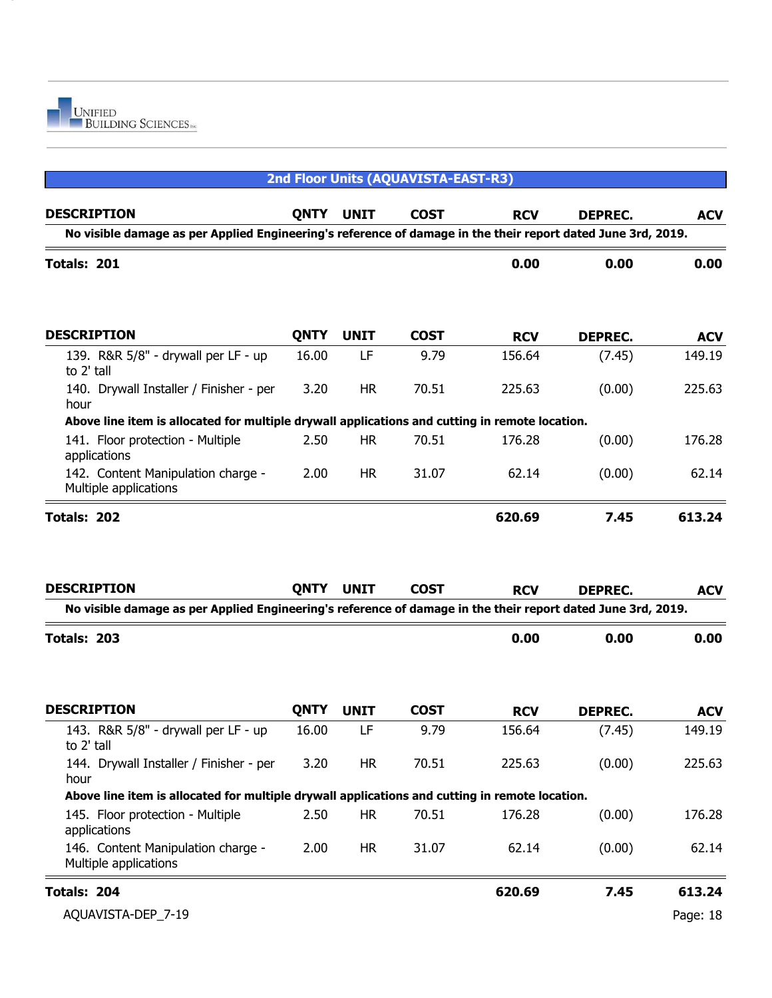

| 2nd Floor Units (AQUAVISTA-EAST-R3)                                                                          |             |             |             |            |                |            |  |
|--------------------------------------------------------------------------------------------------------------|-------------|-------------|-------------|------------|----------------|------------|--|
| <b>DESCRIPTION</b>                                                                                           | <b>QNTY</b> | <b>UNIT</b> | <b>COST</b> | <b>RCV</b> | <b>DEPREC.</b> | <b>ACV</b> |  |
| No visible damage as per Applied Engineering's reference of damage in the their report dated June 3rd, 2019. |             |             |             |            |                |            |  |
| Totals: 201                                                                                                  |             |             |             | 0.00       | 0.00           | 0.00       |  |
| <b>DESCRIPTION</b>                                                                                           | <b>QNTY</b> | <b>UNIT</b> | <b>COST</b> | <b>RCV</b> | <b>DEPREC.</b> | <b>ACV</b> |  |
| 139. R&R 5/8" - drywall per LF - up<br>to 2' tall                                                            | 16.00       | LF          | 9.79        | 156.64     | (7.45)         | 149.19     |  |
| 140. Drywall Installer / Finisher - per<br>hour                                                              | 3.20        | <b>HR</b>   | 70.51       | 225.63     | (0.00)         | 225.63     |  |
| Above line item is allocated for multiple drywall applications and cutting in remote location.               |             |             |             |            |                |            |  |
| 141. Floor protection - Multiple<br>applications                                                             | 2.50        | <b>HR</b>   | 70.51       | 176.28     | (0.00)         | 176.28     |  |
| 142. Content Manipulation charge -<br>Multiple applications                                                  | 2.00        | <b>HR</b>   | 31.07       | 62.14      | (0.00)         | 62.14      |  |
| Totals: 202                                                                                                  |             |             |             | 620.69     | 7.45           | 613.24     |  |
| <b>DESCRIPTION</b>                                                                                           | <b>QNTY</b> | <b>UNIT</b> | <b>COST</b> | <b>RCV</b> | <b>DEPREC.</b> | <b>ACV</b> |  |
| No visible damage as per Applied Engineering's reference of damage in the their report dated June 3rd, 2019. |             |             |             |            |                |            |  |
| Totals: 203                                                                                                  |             |             |             | 0.00       | 0.00           | 0.00       |  |
| <b>DESCRIPTION</b>                                                                                           | <b>QNTY</b> | <b>UNIT</b> | <b>COST</b> | <b>RCV</b> | <b>DEPREC.</b> | <b>ACV</b> |  |
| 143. R&R 5/8" - drywall per LF - up<br>to 2' tall                                                            | 16.00       | LF          | 9.79        | 156.64     | (7.45)         | 149.19     |  |
| 144. Drywall Installer / Finisher - per<br>hour                                                              | 3.20        | <b>HR</b>   | 70.51       | 225.63     | (0.00)         | 225.63     |  |
| Above line item is allocated for multiple drywall applications and cutting in remote location.               |             |             |             |            |                |            |  |
| 145. Floor protection - Multiple<br>applications                                                             | 2.50        | <b>HR</b>   | 70.51       | 176.28     | (0.00)         | 176.28     |  |
| 146. Content Manipulation charge -<br>Multiple applications                                                  | 2.00        | <b>HR</b>   | 31.07       | 62.14      | (0.00)         | 62.14      |  |
| Totals: 204                                                                                                  |             |             |             | 620.69     | 7.45           | 613.24     |  |
| AQUAVISTA-DEP_7-19                                                                                           |             |             |             |            |                | Page: 18   |  |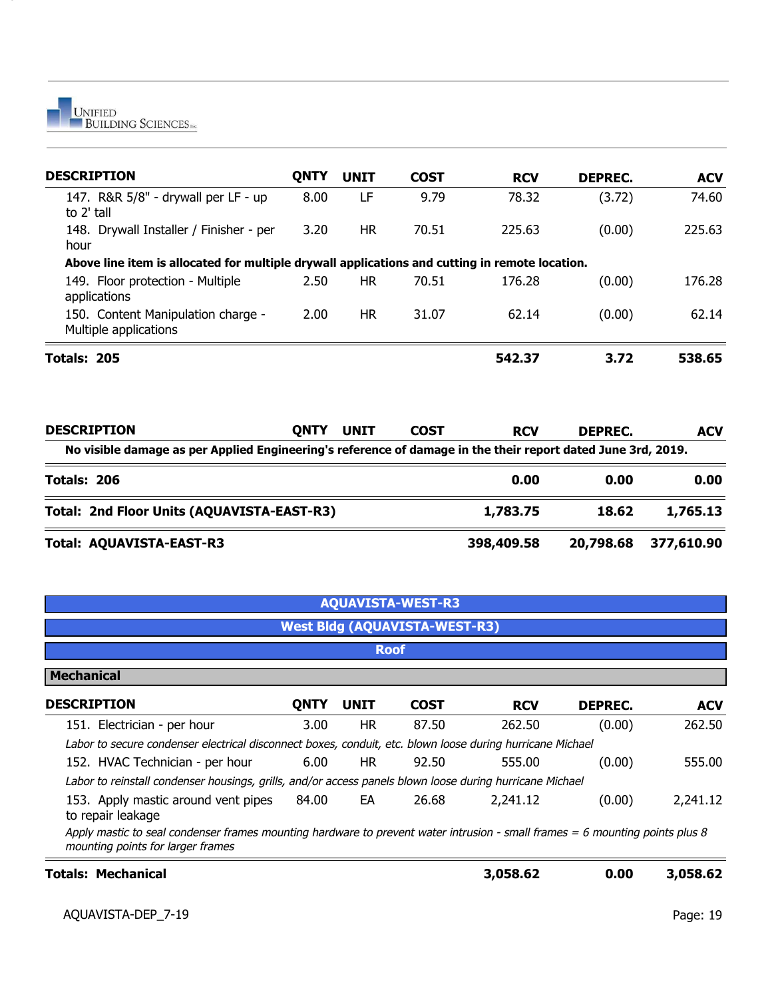

| <b>DESCRIPTION</b>                                                                                           | <b>QNTY</b> | <b>UNIT</b> | <b>COST</b> | <b>RCV</b> | <b>DEPREC.</b> | <b>ACV</b> |
|--------------------------------------------------------------------------------------------------------------|-------------|-------------|-------------|------------|----------------|------------|
| 147. R&R 5/8" - drywall per LF - up<br>to 2' tall                                                            | 8.00        | LF          | 9.79        | 78.32      | (3.72)         | 74.60      |
| 148. Drywall Installer / Finisher - per<br>hour                                                              | 3.20        | HR.         | 70.51       | 225.63     | (0.00)         | 225.63     |
| Above line item is allocated for multiple drywall applications and cutting in remote location.               |             |             |             |            |                |            |
| 149. Floor protection - Multiple<br>applications                                                             | 2.50        | HR.         | 70.51       | 176.28     | (0.00)         | 176.28     |
| 150. Content Manipulation charge -<br>Multiple applications                                                  | 2.00        | <b>HR</b>   | 31.07       | 62.14      | (0.00)         | 62.14      |
| Totals: 205                                                                                                  |             |             |             | 542.37     | 3.72           | 538.65     |
| <b>DESCRIPTION</b>                                                                                           | <b>QNTY</b> | <b>UNIT</b> | <b>COST</b> | <b>RCV</b> | <b>DEPREC.</b> | <b>ACV</b> |
| No visible damage as per Applied Engineering's reference of damage in the their report dated June 3rd, 2019. |             |             |             |            |                |            |
| Totals: 206                                                                                                  |             |             |             | 0.00       | 0.00           | 0.00       |
| Total: 2nd Floor Units (AQUAVISTA-EAST-R3)                                                                   |             |             |             | 1,783.75   | 18.62          | 1,765.13   |
| Total: AQUAVISTA-EAST-R3                                                                                     |             |             |             | 398,409.58 | 20,798.68      | 377,610.90 |

|                                                                                                                                                                   |             |             | <b>AQUAVISTA-WEST-R3</b>             |            |                |            |
|-------------------------------------------------------------------------------------------------------------------------------------------------------------------|-------------|-------------|--------------------------------------|------------|----------------|------------|
|                                                                                                                                                                   |             |             | <b>West Bldg (AQUAVISTA-WEST-R3)</b> |            |                |            |
|                                                                                                                                                                   |             |             | <b>Roof</b>                          |            |                |            |
| <b>Mechanical</b>                                                                                                                                                 |             |             |                                      |            |                |            |
| <b>DESCRIPTION</b>                                                                                                                                                | <b>ONTY</b> | <b>UNIT</b> | <b>COST</b>                          | <b>RCV</b> | <b>DEPREC.</b> | <b>ACV</b> |
| 151. Electrician - per hour                                                                                                                                       | 3.00        | <b>HR</b>   | 87.50                                | 262.50     | (0.00)         | 262.50     |
| Labor to secure condenser electrical disconnect boxes, conduit, etc. blown loose during hurricane Michael                                                         |             |             |                                      |            |                |            |
| 152. HVAC Technician - per hour                                                                                                                                   | 6.00        | HR.         | 92.50                                | 555.00     | (0.00)         | 555.00     |
| Labor to reinstall condenser housings, grills, and/or access panels blown loose during hurricane Michael                                                          |             |             |                                      |            |                |            |
| 153. Apply mastic around vent pipes<br>to repair leakage                                                                                                          | 84.00       | EA          | 26.68                                | 2,241.12   | (0.00)         | 2,241.12   |
| Apply mastic to seal condenser frames mounting hardware to prevent water intrusion - small frames = 6 mounting points plus 8<br>mounting points for larger frames |             |             |                                      |            |                |            |
| Totals: Mechanical                                                                                                                                                |             |             |                                      | 3,058.62   | 0.00           | 3,058.62   |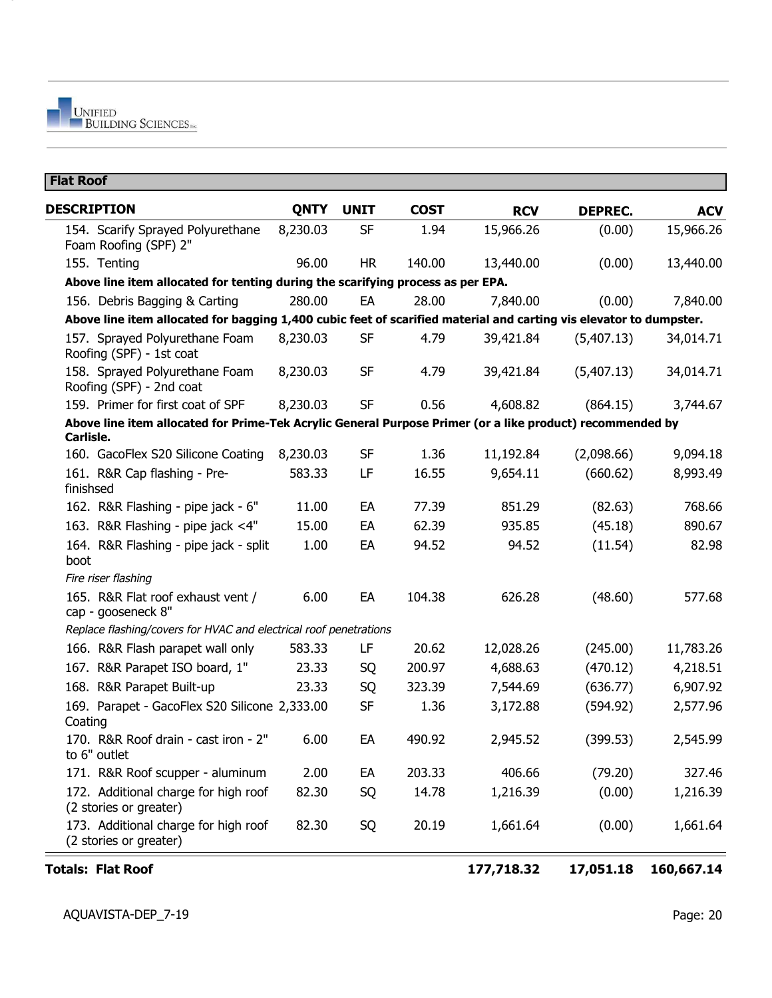| <b>DESCRIPTION</b>                                                                                                     | <b>QNTY</b> | <b>UNIT</b> | <b>COST</b> | <b>RCV</b> | <b>DEPREC.</b> | <b>ACV</b> |
|------------------------------------------------------------------------------------------------------------------------|-------------|-------------|-------------|------------|----------------|------------|
| 154. Scarify Sprayed Polyurethane<br>Foam Roofing (SPF) 2"                                                             | 8,230.03    | SF          | 1.94        | 15,966.26  | (0.00)         | 15,966.26  |
| 155. Tenting                                                                                                           | 96.00       | <b>HR</b>   | 140.00      | 13,440.00  | (0.00)         | 13,440.00  |
| Above line item allocated for tenting during the scarifying process as per EPA.                                        |             |             |             |            |                |            |
| 156. Debris Bagging & Carting                                                                                          | 280.00      | EA          | 28.00       | 7,840.00   | (0.00)         | 7,840.00   |
| Above line item allocated for bagging 1,400 cubic feet of scarified material and carting vis elevator to dumpster.     |             |             |             |            |                |            |
| 157. Sprayed Polyurethane Foam<br>Roofing (SPF) - 1st coat                                                             | 8,230.03    | <b>SF</b>   | 4.79        | 39,421.84  | (5,407.13)     | 34,014.71  |
| 158. Sprayed Polyurethane Foam<br>Roofing (SPF) - 2nd coat                                                             | 8,230.03    | <b>SF</b>   | 4.79        | 39,421.84  | (5,407.13)     | 34,014.71  |
| 159. Primer for first coat of SPF                                                                                      | 8,230.03    | <b>SF</b>   | 0.56        | 4,608.82   | (864.15)       | 3,744.67   |
| Above line item allocated for Prime-Tek Acrylic General Purpose Primer (or a like product) recommended by<br>Carlisle. |             |             |             |            |                |            |
| 160. GacoFlex S20 Silicone Coating                                                                                     | 8,230.03    | <b>SF</b>   | 1.36        | 11,192.84  | (2,098.66)     | 9,094.18   |
| 161. R&R Cap flashing - Pre-<br>finishsed                                                                              | 583.33      | LF          | 16.55       | 9,654.11   | (660.62)       | 8,993.49   |
| 162. R&R Flashing - pipe jack - 6"                                                                                     | 11.00       | EA          | 77.39       | 851.29     | (82.63)        | 768.66     |
| 163. R&R Flashing - pipe jack <4"                                                                                      | 15.00       | EA          | 62.39       | 935.85     | (45.18)        | 890.67     |
| 164. R&R Flashing - pipe jack - split<br>boot                                                                          | 1.00        | EA          | 94.52       | 94.52      | (11.54)        | 82.98      |
| Fire riser flashing                                                                                                    |             |             |             |            |                |            |
| 165. R&R Flat roof exhaust vent /<br>cap - gooseneck 8"                                                                | 6.00        | EA          | 104.38      | 626.28     | (48.60)        | 577.68     |
| Replace flashing/covers for HVAC and electrical roof penetrations                                                      |             |             |             |            |                |            |
| 166. R&R Flash parapet wall only                                                                                       | 583.33      | LF          | 20.62       | 12,028.26  | (245.00)       | 11,783.26  |
| 167. R&R Parapet ISO board, 1"                                                                                         | 23.33       | SQ          | 200.97      | 4,688.63   | (470.12)       | 4,218.51   |
| 168. R&R Parapet Built-up                                                                                              | 23.33       | SQ          | 323.39      | 7,544.69   | (636.77)       | 6,907.92   |
| 169. Parapet - GacoFlex S20 Silicone 2,333.00<br>Coating                                                               |             | <b>SF</b>   | 1.36        | 3,172.88   | (594.92)       | 2,577.96   |
| 170. R&R Roof drain - cast iron - 2"<br>to 6" outlet                                                                   | 6.00        | EA          | 490.92      | 2,945.52   | (399.53)       | 2,545.99   |
| 171. R&R Roof scupper - aluminum                                                                                       | 2.00        | EA          | 203.33      | 406.66     | (79.20)        | 327.46     |
| 172. Additional charge for high roof<br>(2 stories or greater)                                                         | 82.30       | SQ          | 14.78       | 1,216.39   | (0.00)         | 1,216.39   |
| 173. Additional charge for high roof<br>(2 stories or greater)                                                         | 82.30       | SQ          | 20.19       | 1,661.64   | (0.00)         | 1,661.64   |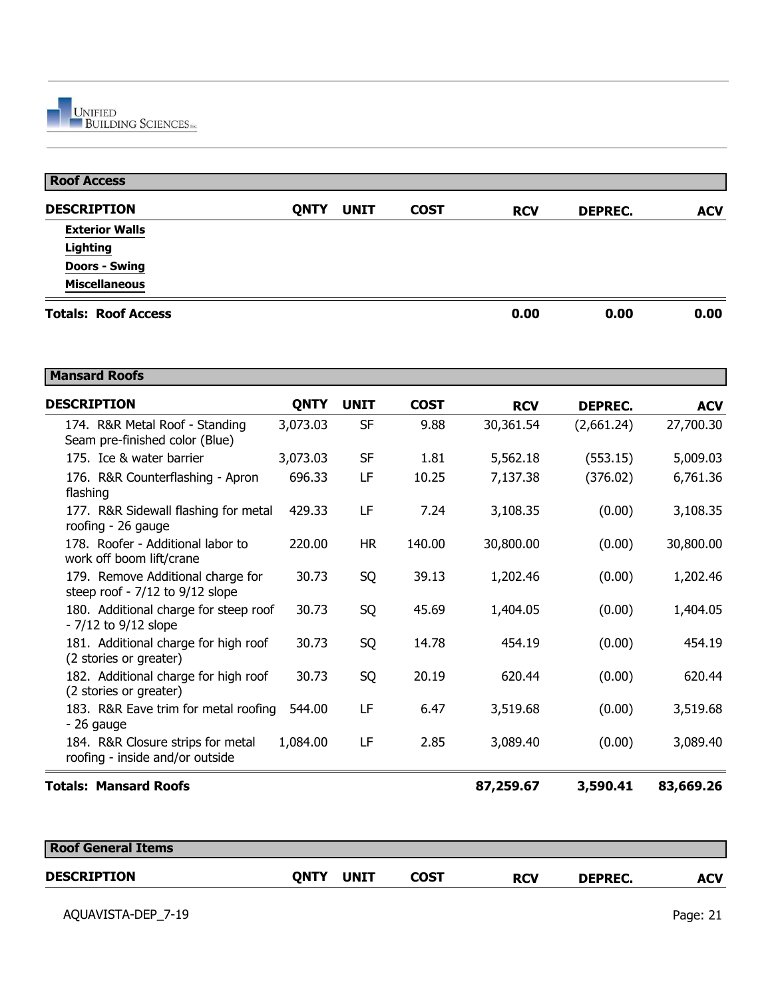| <b>Roof Access</b>         |             |             |             |            |                |            |
|----------------------------|-------------|-------------|-------------|------------|----------------|------------|
| <b>DESCRIPTION</b>         | <b>QNTY</b> | <b>UNIT</b> | <b>COST</b> | <b>RCV</b> | <b>DEPREC.</b> | <b>ACV</b> |
| <b>Exterior Walls</b>      |             |             |             |            |                |            |
| Lighting                   |             |             |             |            |                |            |
| <b>Doors - Swing</b>       |             |             |             |            |                |            |
| <b>Miscellaneous</b>       |             |             |             |            |                |            |
| <b>Totals: Roof Access</b> |             |             |             | 0.00       | 0.00           | 0.00       |

| <b>Mansard Roofs</b>                                                     |             |             |             |            |                |            |
|--------------------------------------------------------------------------|-------------|-------------|-------------|------------|----------------|------------|
| <b>DESCRIPTION</b>                                                       | <b>QNTY</b> | <b>UNIT</b> | <b>COST</b> | <b>RCV</b> | <b>DEPREC.</b> | <b>ACV</b> |
| 174. R&R Metal Roof - Standing<br>Seam pre-finished color (Blue)         | 3,073.03    | <b>SF</b>   | 9.88        | 30,361.54  | (2,661.24)     | 27,700.30  |
| 175. Ice & water barrier                                                 | 3,073.03    | <b>SF</b>   | 1.81        | 5,562.18   | (553.15)       | 5,009.03   |
| 176. R&R Counterflashing - Apron<br>flashing                             | 696.33      | LF          | 10.25       | 7,137.38   | (376.02)       | 6,761.36   |
| 177. R&R Sidewall flashing for metal<br>roofing - 26 gauge               | 429.33      | LF          | 7.24        | 3,108.35   | (0.00)         | 3,108.35   |
| 178. Roofer - Additional labor to<br>work off boom lift/crane            | 220,00      | <b>HR</b>   | 140.00      | 30,800.00  | (0.00)         | 30,800.00  |
| 179. Remove Additional charge for<br>steep roof - $7/12$ to $9/12$ slope | 30.73       | SQ          | 39.13       | 1,202.46   | (0.00)         | 1,202.46   |
| 180. Additional charge for steep roof<br>$-7/12$ to $9/12$ slope         | 30.73       | SQ          | 45.69       | 1,404.05   | (0.00)         | 1,404.05   |
| 181. Additional charge for high roof<br>(2 stories or greater)           | 30.73       | SQ          | 14.78       | 454.19     | (0.00)         | 454.19     |
| 182. Additional charge for high roof<br>(2 stories or greater)           | 30.73       | SQ          | 20.19       | 620.44     | (0.00)         | 620.44     |
| 183. R&R Eave trim for metal roofing<br>$-26$ gauge                      | 544.00      | LF          | 6.47        | 3,519.68   | (0.00)         | 3,519.68   |
| 184. R&R Closure strips for metal<br>roofing - inside and/or outside     | 1,084.00    | LF          | 2.85        | 3,089.40   | (0.00)         | 3,089.40   |
| <b>Totals: Mansard Roofs</b>                                             |             |             |             | 87,259.67  | 3,590.41       | 83,669.26  |

| <b>Roof General Items</b> |      |             |      |            |                |     |
|---------------------------|------|-------------|------|------------|----------------|-----|
| <b>DESCRIPTION</b>        | ONTY | <b>UNIT</b> | COST | <b>RCV</b> | <b>DEPREC.</b> | ACV |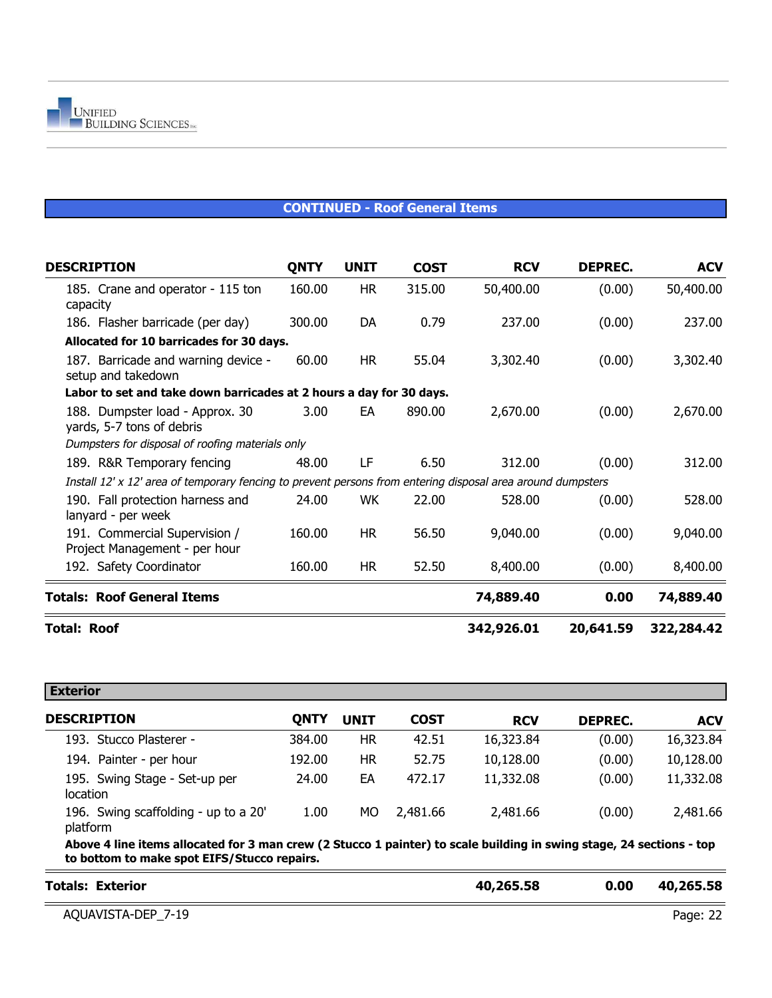#### **CONTINUED - Roof General Items**

| <b>DESCRIPTION</b>                                                                                          | <b>QNTY</b> | <b>UNIT</b> | <b>COST</b> | <b>RCV</b> | DEPREC.   | <b>ACV</b> |
|-------------------------------------------------------------------------------------------------------------|-------------|-------------|-------------|------------|-----------|------------|
| 185. Crane and operator - 115 ton<br>capacity                                                               | 160.00      | <b>HR</b>   | 315.00      | 50,400.00  | (0.00)    | 50,400.00  |
| 186. Flasher barricade (per day)                                                                            | 300.00      | DA          | 0.79        | 237.00     | (0.00)    | 237.00     |
| Allocated for 10 barricades for 30 days.                                                                    |             |             |             |            |           |            |
| 187. Barricade and warning device -<br>setup and takedown                                                   | 60.00       | HR.         | 55.04       | 3,302.40   | (0.00)    | 3,302.40   |
| Labor to set and take down barricades at 2 hours a day for 30 days.                                         |             |             |             |            |           |            |
| 188. Dumpster load - Approx. 30<br>yards, 5-7 tons of debris                                                | 3.00        | EA          | 890.00      | 2,670.00   | (0.00)    | 2,670.00   |
| Dumpsters for disposal of roofing materials only                                                            |             |             |             |            |           |            |
| 189. R&R Temporary fencing                                                                                  | 48.00       | LF          | 6.50        | 312.00     | (0.00)    | 312.00     |
| Install 12' x 12' area of temporary fencing to prevent persons from entering disposal area around dumpsters |             |             |             |            |           |            |
| 190. Fall protection harness and<br>lanyard - per week                                                      | 24.00       | <b>WK</b>   | 22.00       | 528.00     | (0.00)    | 528.00     |
| 191. Commercial Supervision /<br>Project Management - per hour                                              | 160.00      | <b>HR</b>   | 56.50       | 9,040.00   | (0.00)    | 9,040.00   |
| 192. Safety Coordinator                                                                                     | 160.00      | <b>HR</b>   | 52.50       | 8,400.00   | (0.00)    | 8,400.00   |
| <b>Totals: Roof General Items</b>                                                                           |             |             |             | 74,889.40  | 0.00      | 74,889.40  |
| <b>Total: Roof</b>                                                                                          |             |             |             | 342,926.01 | 20,641.59 | 322,284.42 |

| <b>Exterior</b><br><b>DESCRIPTION</b>                                                                                                                               | QNTY   | <b>UNIT</b> | <b>COST</b> | <b>RCV</b> | <b>DEPREC.</b> | <b>ACV</b> |
|---------------------------------------------------------------------------------------------------------------------------------------------------------------------|--------|-------------|-------------|------------|----------------|------------|
| 193. Stucco Plasterer -                                                                                                                                             | 384.00 | <b>HR</b>   | 42.51       | 16,323.84  | (0.00)         | 16,323.84  |
| 194. Painter - per hour                                                                                                                                             | 192.00 | <b>HR</b>   | 52.75       | 10,128.00  | (0.00)         | 10,128.00  |
| 195. Swing Stage - Set-up per<br>location                                                                                                                           | 24.00  | EA          | 472.17      | 11,332.08  | (0.00)         | 11,332.08  |
| 196. Swing scaffolding - up to a 20'<br>platform                                                                                                                    | 1.00   | МO          | 2,481.66    | 2,481.66   | (0.00)         | 2,481.66   |
| Above 4 line items allocated for 3 man crew (2 Stucco 1 painter) to scale building in swing stage, 24 sections - top<br>to bottom to make spot EIFS/Stucco repairs. |        |             |             |            |                |            |

| <b>Totals: Exterior</b> | 40,265.58 | 0.00 | 40,265.58 |
|-------------------------|-----------|------|-----------|
| AQUAVISTA-DEP 7-19      |           |      | Page: 22  |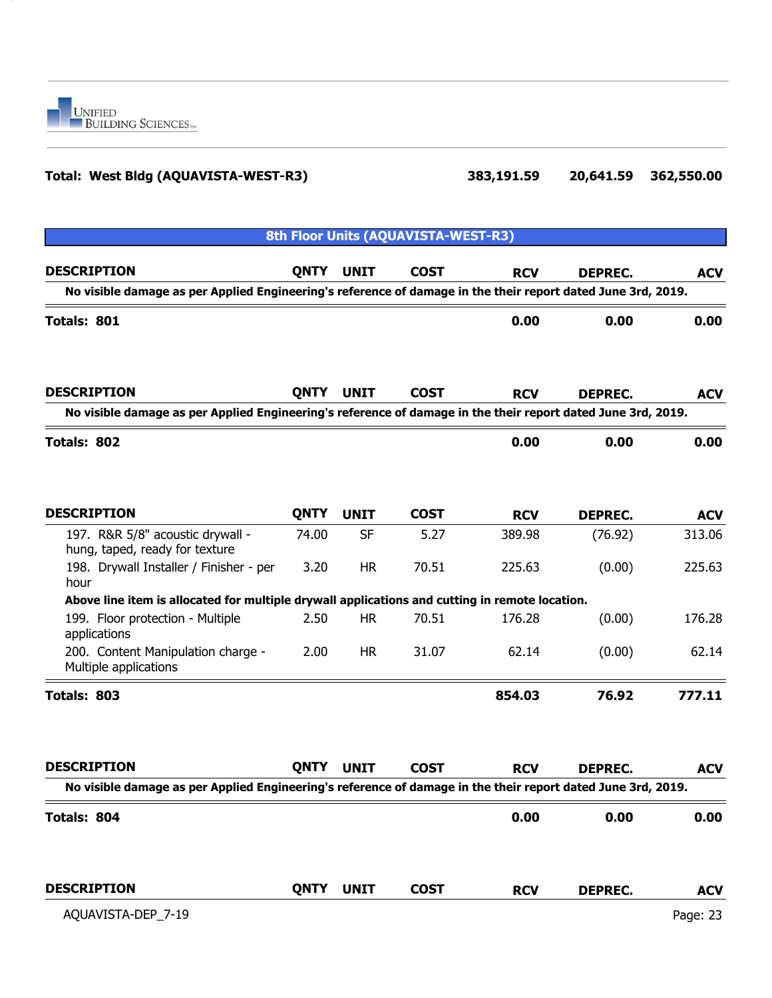

### **Total: West Bldg (AQUAVISTA-WEST-R3) 383,191.59 20,641.59 362,550.00**

|                                                                                                              |             |             | 8th Floor Units (AQUAVISTA-WEST-R3) |            |                |            |
|--------------------------------------------------------------------------------------------------------------|-------------|-------------|-------------------------------------|------------|----------------|------------|
| <b>DESCRIPTION</b>                                                                                           | <b>QNTY</b> | <b>UNIT</b> | <b>COST</b>                         | <b>RCV</b> | <b>DEPREC.</b> | <b>ACV</b> |
| No visible damage as per Applied Engineering's reference of damage in the their report dated June 3rd, 2019. |             |             |                                     |            |                |            |
| Totals: 801                                                                                                  |             |             |                                     | 0.00       | 0.00           | 0.00       |
| <b>DESCRIPTION</b>                                                                                           | <b>QNTY</b> | <b>UNIT</b> | <b>COST</b>                         | <b>RCV</b> | <b>DEPREC.</b> | <b>ACV</b> |
| No visible damage as per Applied Engineering's reference of damage in the their report dated June 3rd, 2019. |             |             |                                     |            |                |            |
| Totals: 802                                                                                                  |             |             |                                     | 0.00       | 0.00           | 0.00       |
| <b>DESCRIPTION</b>                                                                                           | <b>QNTY</b> | <b>UNIT</b> | <b>COST</b>                         | <b>RCV</b> | <b>DEPREC.</b> | <b>ACV</b> |
| 197. R&R 5/8" acoustic drywall -<br>hung, taped, ready for texture                                           | 74.00       | <b>SF</b>   | 5.27                                | 389.98     | (76.92)        | 313.06     |
| 198. Drywall Installer / Finisher - per<br>hour                                                              | 3.20        | <b>HR</b>   | 70.51                               | 225.63     | (0.00)         | 225.63     |
| Above line item is allocated for multiple drywall applications and cutting in remote location.               |             |             |                                     |            |                |            |
| 199. Floor protection - Multiple<br>applications                                                             | 2.50        | <b>HR</b>   | 70.51                               | 176.28     | (0.00)         | 176.28     |
| 200. Content Manipulation charge -<br>Multiple applications                                                  | 2.00        | <b>HR</b>   | 31.07                               | 62.14      | (0.00)         | 62.14      |
| Totals: 803                                                                                                  |             |             |                                     | 854.03     | 76.92          | 777.11     |
| <b>DESCRIPTION</b>                                                                                           | <b>QNTY</b> | <b>UNIT</b> | <b>COST</b>                         | <b>RCV</b> | <b>DEPREC.</b> | <b>ACV</b> |
| No visible damage as per Applied Engineering's reference of damage in the their report dated June 3rd, 2019  |             |             |                                     |            |                |            |
| Totals: 804                                                                                                  |             |             |                                     | 0.00       | 0.00           | 0.00       |
| <b>DESCRIPTION</b>                                                                                           | QNTY        | <b>UNIT</b> | <b>COST</b>                         | <b>RCV</b> | <b>DEPREC.</b> | <b>ACV</b> |
| AQUAVISTA-DEP_7-19                                                                                           |             |             |                                     |            |                | Page: 23   |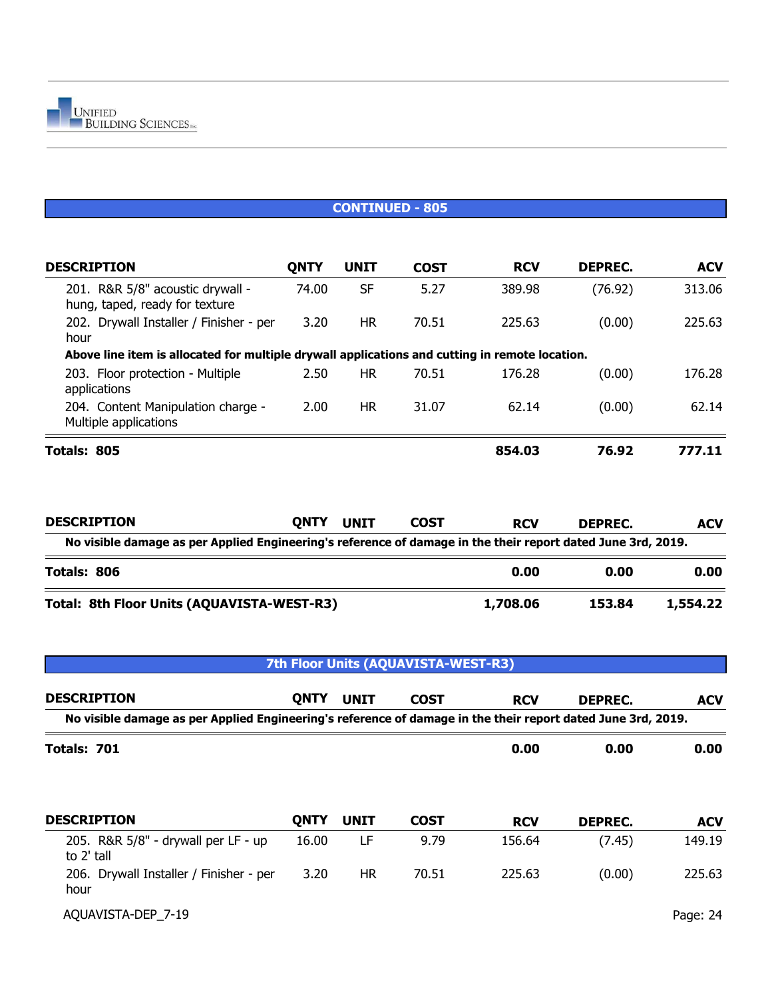| <b>DESCRIPTION</b>                                                                             | <b>QNTY</b> | <b>UNIT</b> | <b>COST</b> | <b>RCV</b> | DEPREC. | <b>ACV</b> |
|------------------------------------------------------------------------------------------------|-------------|-------------|-------------|------------|---------|------------|
| 201. R&R 5/8" acoustic drywall -<br>hung, taped, ready for texture                             | 74.00       | <b>SF</b>   | 5.27        | 389.98     | (76.92) | 313.06     |
| 202. Drywall Installer / Finisher - per<br>hour                                                | 3.20        | <b>HR</b>   | 70.51       | 225.63     | (0.00)  | 225.63     |
| Above line item is allocated for multiple drywall applications and cutting in remote location. |             |             |             |            |         |            |
| 203. Floor protection - Multiple<br>applications                                               | 2.50        | <b>HR</b>   | 70.51       | 176.28     | (0.00)  | 176.28     |
| 204. Content Manipulation charge -<br>Multiple applications                                    | 2.00        | <b>HR</b>   | 31.07       | 62.14      | (0.00)  | 62.14      |
| Totals: 805                                                                                    |             |             |             | 854.03     | 76.92   | 777.11     |

| <b>DESCRIPTION</b>                                                                                           | <b>ONTY</b> | <b>UNIT</b> | <b>COST</b> | <b>RCV</b> | DEPREC. | <b>ACV</b> |  |  |  |  |  |
|--------------------------------------------------------------------------------------------------------------|-------------|-------------|-------------|------------|---------|------------|--|--|--|--|--|
| No visible damage as per Applied Engineering's reference of damage in the their report dated June 3rd, 2019. |             |             |             |            |         |            |  |  |  |  |  |
| Totals: 806                                                                                                  |             |             |             | 0.00       | 0.00    | 0.00       |  |  |  |  |  |
| Total: 8th Floor Units (AQUAVISTA-WEST-R3)                                                                   |             |             |             | 1,708.06   | 153.84  | 1,554.22   |  |  |  |  |  |

| 7th Floor Units (AQUAVISTA-WEST-R3)                                                                          |             |             |             |            |                |            |  |  |
|--------------------------------------------------------------------------------------------------------------|-------------|-------------|-------------|------------|----------------|------------|--|--|
| <b>DESCRIPTION</b>                                                                                           | <b>QNTY</b> | <b>UNIT</b> | <b>COST</b> | <b>RCV</b> | <b>DEPREC.</b> | <b>ACV</b> |  |  |
| No visible damage as per Applied Engineering's reference of damage in the their report dated June 3rd, 2019. |             |             |             |            |                |            |  |  |
| Totals: 701                                                                                                  |             |             |             | 0.00       | 0.00           | 0.00       |  |  |
| <b>DESCRIPTION</b>                                                                                           |             |             |             |            |                |            |  |  |
|                                                                                                              | <b>QNTY</b> | <b>UNIT</b> | <b>COST</b> | <b>RCV</b> | <b>DEPREC.</b> | <b>ACV</b> |  |  |
| 205. R&R 5/8" - drywall per LF - up<br>to 2' tall                                                            | 16.00       | LF          | 9.79        | 156.64     | (7.45)         | 149.19     |  |  |
| 206. Drywall Installer / Finisher - per<br>hour                                                              | 3.20        | <b>HR</b>   | 70.51       | 225.63     | (0.00)         | 225.63     |  |  |
| AQUAVISTA-DEP 7-19                                                                                           |             |             |             |            |                | Page: 24   |  |  |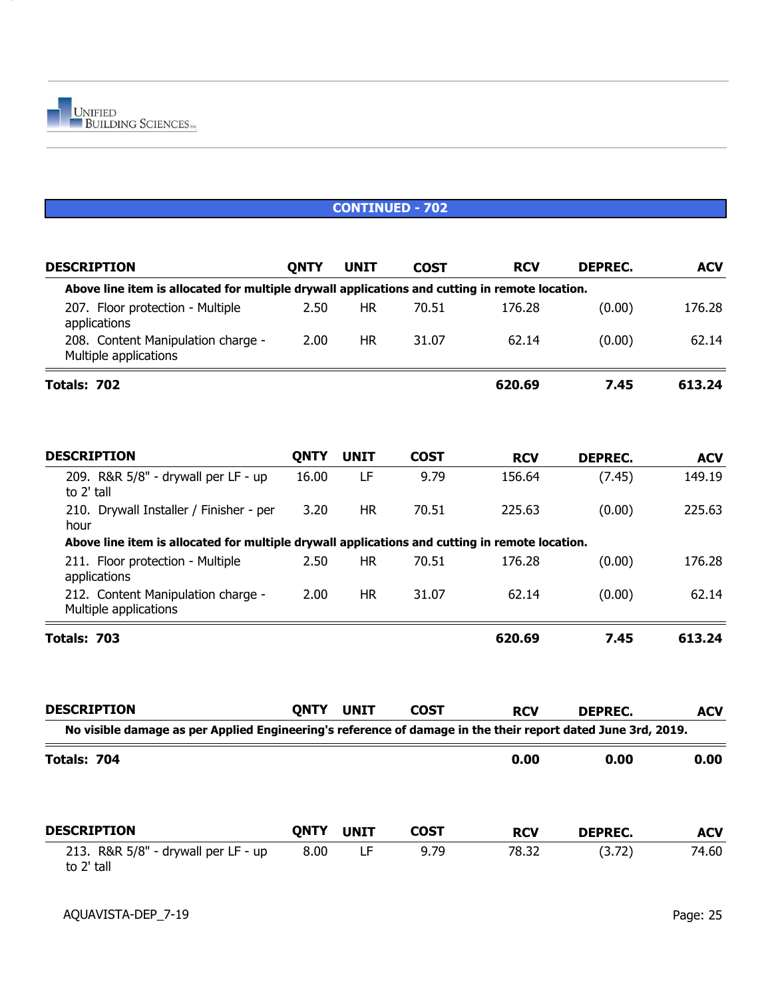| <b>DESCRIPTION</b>                                                                                           | <b>QNTY</b> | <b>UNIT</b> | <b>COST</b> | <b>RCV</b> | <b>DEPREC.</b> | <b>ACV</b> |
|--------------------------------------------------------------------------------------------------------------|-------------|-------------|-------------|------------|----------------|------------|
| Above line item is allocated for multiple drywall applications and cutting in remote location.               |             |             |             |            |                |            |
| 207. Floor protection - Multiple<br>applications                                                             | 2.50        | <b>HR</b>   | 70.51       | 176.28     | (0.00)         | 176.28     |
| 208. Content Manipulation charge -<br>Multiple applications                                                  | 2.00        | HR.         | 31.07       | 62.14      | (0.00)         | 62.14      |
| Totals: 702                                                                                                  |             |             |             | 620.69     | 7.45           | 613.24     |
| <b>DESCRIPTION</b>                                                                                           | <b>QNTY</b> | <b>UNIT</b> | <b>COST</b> | <b>RCV</b> | <b>DEPREC.</b> | <b>ACV</b> |
| 209. R&R 5/8" - drywall per LF - up<br>to 2' tall                                                            | 16.00       | LF          | 9.79        | 156.64     | (7.45)         | 149.19     |
| 210. Drywall Installer / Finisher - per<br>hour                                                              | 3.20        | <b>HR</b>   | 70.51       | 225.63     | (0.00)         | 225.63     |
| Above line item is allocated for multiple drywall applications and cutting in remote location.               |             |             |             |            |                |            |
| 211. Floor protection - Multiple<br>applications                                                             | 2.50        | HR.         | 70.51       | 176.28     | (0.00)         | 176.28     |
| 212. Content Manipulation charge -<br>Multiple applications                                                  | 2.00        | <b>HR</b>   | 31.07       | 62.14      | (0.00)         | 62.14      |
| Totals: 703                                                                                                  |             |             |             | 620.69     | 7.45           | 613.24     |
| <b>DESCRIPTION</b>                                                                                           | <b>QNTY</b> | <b>UNIT</b> | <b>COST</b> | <b>RCV</b> | <b>DEPREC.</b> | <b>ACV</b> |
| No visible damage as per Applied Engineering's reference of damage in the their report dated June 3rd, 2019. |             |             |             |            |                |            |
| Totals: 704                                                                                                  |             |             |             | 0.00       | 0.00           | 0.00       |
| <b>DESCRIPTION</b>                                                                                           | <b>QNTY</b> | <b>UNIT</b> | <b>COST</b> | <b>RCV</b> | <b>DEPREC.</b> | <b>ACV</b> |
| 213. R&R 5/8" - drywall per LF - up<br>to 2' tall                                                            | 8.00        | LF          | 9.79        | 78.32      | (3.72)         | 74.60      |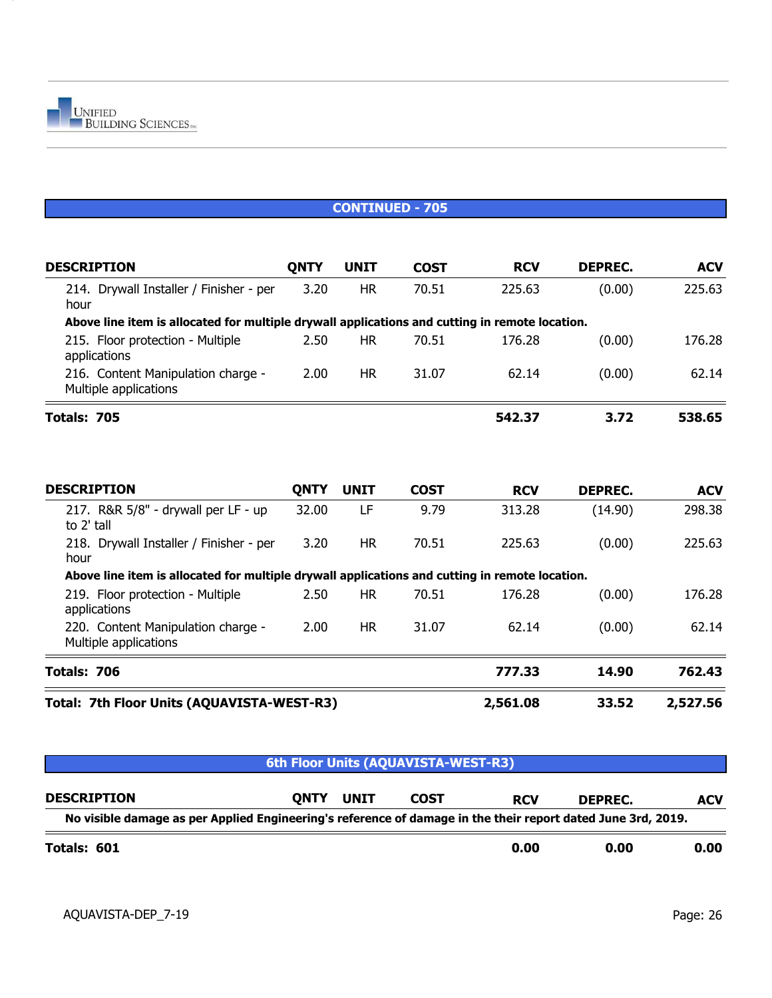| <b>DESCRIPTION</b>                                                                             | <b>QNTY</b> | <b>UNIT</b> | <b>COST</b> | <b>RCV</b> | <b>DEPREC.</b> | <b>ACV</b> |
|------------------------------------------------------------------------------------------------|-------------|-------------|-------------|------------|----------------|------------|
| 214. Drywall Installer / Finisher - per<br>hour                                                | 3.20        | <b>HR</b>   | 70.51       | 225.63     | (0.00)         | 225.63     |
| Above line item is allocated for multiple drywall applications and cutting in remote location. |             |             |             |            |                |            |
| 215. Floor protection - Multiple<br>applications                                               | 2.50        | <b>HR</b>   | 70.51       | 176.28     | (0.00)         | 176.28     |
| 216. Content Manipulation charge -<br>Multiple applications                                    | 2.00        | <b>HR</b>   | 31.07       | 62.14      | (0.00)         | 62.14      |
| Totals: 705                                                                                    |             |             |             | 542.37     | 3.72           | 538.65     |
|                                                                                                |             |             |             |            |                |            |
| <b>DESCRIPTION</b>                                                                             | <b>QNTY</b> | <b>UNIT</b> | <b>COST</b> | <b>RCV</b> | <b>DEPREC.</b> | <b>ACV</b> |
| 217. R&R 5/8" - drywall per LF - up<br>to 2' tall                                              | 32.00       | LF          | 9.79        | 313.28     | (14.90)        | 298.38     |
| 218. Drywall Installer / Finisher - per<br>hour                                                | 3.20        | <b>HR</b>   | 70.51       | 225.63     | (0.00)         | 225.63     |
| Above line item is allocated for multiple drywall applications and cutting in remote location. |             |             |             |            |                |            |
| 219. Floor protection - Multiple<br>applications                                               | 2.50        | <b>HR</b>   | 70.51       | 176.28     | (0.00)         | 176.28     |
| 220. Content Manipulation charge -<br>Multiple applications                                    | 2.00        | <b>HR</b>   | 31.07       | 62.14      | (0.00)         | 62.14      |
| Totals: 706                                                                                    |             |             |             | 777.33     | 14.90          | 762.43     |
| Total: 7th Floor Units (AQUAVISTA-WEST-R3)                                                     | 2,561.08    | 33.52       | 2,527.56    |            |                |            |

| 6th Floor Units (AQUAVISTA-WEST-R3)                                                                          |      |             |             |            |         |            |  |  |  |
|--------------------------------------------------------------------------------------------------------------|------|-------------|-------------|------------|---------|------------|--|--|--|
| <b>DESCRIPTION</b>                                                                                           | ONTY | <b>UNIT</b> | <b>COST</b> | <b>RCV</b> | DEPREC. | <b>ACV</b> |  |  |  |
| No visible damage as per Applied Engineering's reference of damage in the their report dated June 3rd, 2019. |      |             |             |            |         |            |  |  |  |
| Totals: 601                                                                                                  |      |             |             | 0.00       | 0.00    | 0.00       |  |  |  |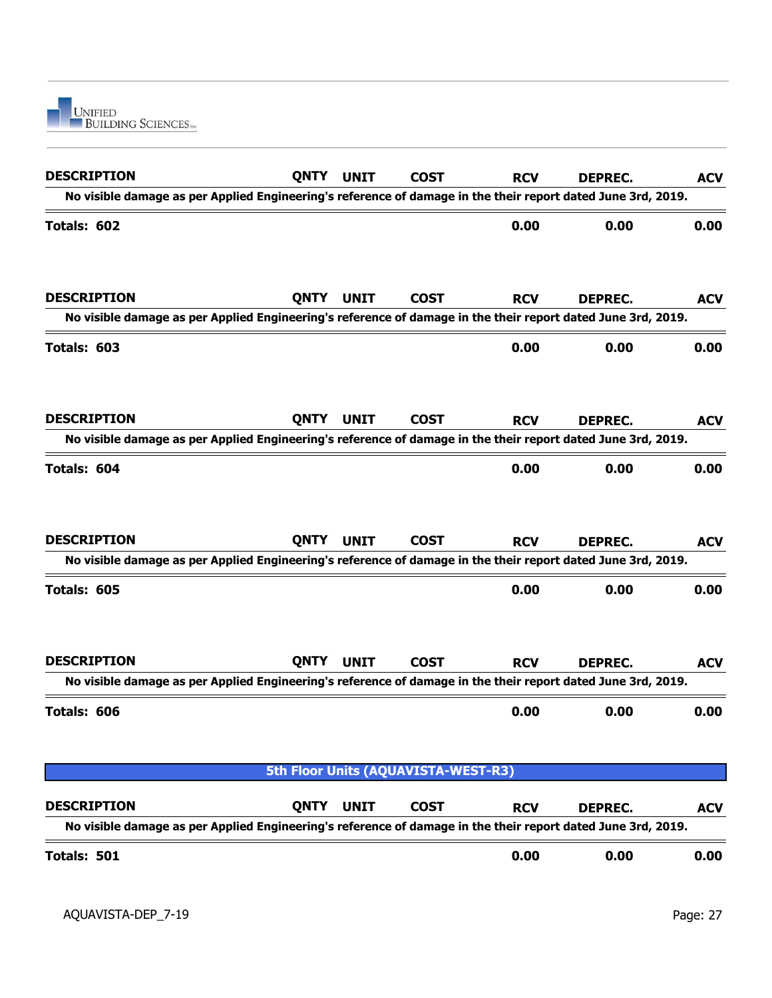

| <b>DESCRIPTION</b>                                                                                                                 | <b>QNTY</b> | <b>UNIT</b> | <b>COST</b>                         | <b>RCV</b> | <b>DEPREC.</b> | <b>ACV</b> |
|------------------------------------------------------------------------------------------------------------------------------------|-------------|-------------|-------------------------------------|------------|----------------|------------|
| No visible damage as per Applied Engineering's reference of damage in the their report dated June 3rd, 2019.                       |             |             |                                     |            |                |            |
| Totals: 602                                                                                                                        |             |             |                                     | 0.00       | 0.00           | 0.00       |
| <b>DESCRIPTION</b><br>No visible damage as per Applied Engineering's reference of damage in the their report dated June 3rd, 2019. | <b>QNTY</b> | <b>UNIT</b> | <b>COST</b>                         | <b>RCV</b> | <b>DEPREC.</b> | <b>ACV</b> |
|                                                                                                                                    |             |             |                                     |            |                |            |
| Totals: 603                                                                                                                        |             |             |                                     | 0.00       | 0.00           | 0.00       |
| <b>DESCRIPTION</b>                                                                                                                 | <b>QNTY</b> | <b>UNIT</b> | <b>COST</b>                         | <b>RCV</b> | <b>DEPREC.</b> | <b>ACV</b> |
| No visible damage as per Applied Engineering's reference of damage in the their report dated June 3rd, 2019.                       |             |             |                                     |            |                |            |
| Totals: 604                                                                                                                        |             |             |                                     | 0.00       | 0.00           | 0.00       |
| <b>DESCRIPTION</b>                                                                                                                 | <b>QNTY</b> | <b>UNIT</b> | <b>COST</b>                         | <b>RCV</b> | <b>DEPREC.</b> | <b>ACV</b> |
| No visible damage as per Applied Engineering's reference of damage in the their report dated June 3rd, 2019.                       |             |             |                                     |            |                |            |
| Totals: 605                                                                                                                        |             |             |                                     | 0.00       | 0.00           | 0.00       |
| <b>DESCRIPTION</b>                                                                                                                 | <b>QNTY</b> | <b>UNIT</b> | <b>COST</b>                         | <b>RCV</b> | <b>DEPREC.</b> | <b>ACV</b> |
| No visible damage as per Applied Engineering's reference of damage in the their report dated June 3rd, 2019.                       |             |             |                                     |            |                |            |
| Totals: 606                                                                                                                        |             |             |                                     | 0.00       | 0.00           | 0.00       |
|                                                                                                                                    |             |             | 5th Floor Units (AQUAVISTA-WEST-R3) |            |                |            |
| <b>DESCRIPTION</b><br>No visible damage as per Applied Engineering's reference of damage in the their report dated June 3rd, 2019. | <b>QNTY</b> | <b>UNIT</b> | <b>COST</b>                         | <b>RCV</b> | <b>DEPREC.</b> | <b>ACV</b> |
|                                                                                                                                    |             |             |                                     |            |                |            |
| Totals: 501                                                                                                                        |             |             |                                     | 0.00       | 0.00           | 0.00       |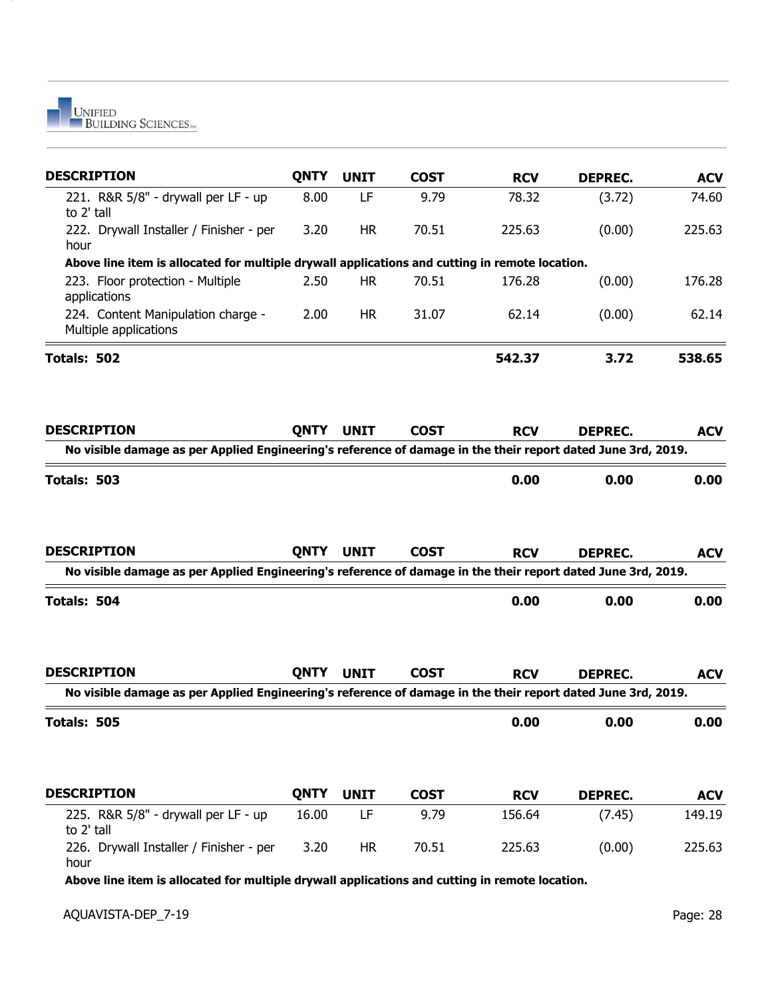

| <b>QNTY</b> | <b>UNIT</b> | <b>COST</b> | <b>RCV</b> | <b>DEPREC.</b> | <b>ACV</b>                                                                                                                                                                                                                                                                                                                                                                                                                                     |
|-------------|-------------|-------------|------------|----------------|------------------------------------------------------------------------------------------------------------------------------------------------------------------------------------------------------------------------------------------------------------------------------------------------------------------------------------------------------------------------------------------------------------------------------------------------|
| 8.00        | LF          | 9.79        | 78.32      | (3.72)         | 74.60                                                                                                                                                                                                                                                                                                                                                                                                                                          |
| 3.20        | <b>HR</b>   | 70.51       | 225.63     | (0.00)         | 225.63                                                                                                                                                                                                                                                                                                                                                                                                                                         |
|             |             |             |            |                |                                                                                                                                                                                                                                                                                                                                                                                                                                                |
| 2.50        | <b>HR</b>   | 70.51       | 176.28     | (0.00)         | 176.28                                                                                                                                                                                                                                                                                                                                                                                                                                         |
| 2.00        | <b>HR</b>   | 31.07       | 62.14      | (0.00)         | 62.14                                                                                                                                                                                                                                                                                                                                                                                                                                          |
|             |             |             | 542.37     | 3.72           | 538.65                                                                                                                                                                                                                                                                                                                                                                                                                                         |
| <b>QNTY</b> | <b>UNIT</b> | <b>COST</b> | <b>RCV</b> | <b>DEPREC.</b> | <b>ACV</b>                                                                                                                                                                                                                                                                                                                                                                                                                                     |
|             |             |             |            |                |                                                                                                                                                                                                                                                                                                                                                                                                                                                |
|             |             |             | 0.00       | 0.00           | 0.00                                                                                                                                                                                                                                                                                                                                                                                                                                           |
| <b>QNTY</b> | <b>UNIT</b> | <b>COST</b> | <b>RCV</b> | <b>DEPREC.</b> | <b>ACV</b>                                                                                                                                                                                                                                                                                                                                                                                                                                     |
|             |             |             |            |                |                                                                                                                                                                                                                                                                                                                                                                                                                                                |
|             |             |             | 0.00       | 0.00           | 0.00                                                                                                                                                                                                                                                                                                                                                                                                                                           |
| <b>QNTY</b> | <b>UNIT</b> | <b>COST</b> | <b>RCV</b> | <b>DEPREC.</b> | <b>ACV</b>                                                                                                                                                                                                                                                                                                                                                                                                                                     |
|             |             |             |            |                |                                                                                                                                                                                                                                                                                                                                                                                                                                                |
|             |             |             | 0.00       | 0.00           | 0.00                                                                                                                                                                                                                                                                                                                                                                                                                                           |
| <b>QNTY</b> | <b>UNIT</b> | <b>COST</b> | <b>RCV</b> | <b>DEPREC.</b> | <b>ACV</b>                                                                                                                                                                                                                                                                                                                                                                                                                                     |
| 16.00       | LF          | 9.79        | 156.64     | (7.45)         | 149.19                                                                                                                                                                                                                                                                                                                                                                                                                                         |
|             |             | 70.51       | 225.63     | (0.00)         | 225.63                                                                                                                                                                                                                                                                                                                                                                                                                                         |
|             |             |             |            |                | Above line item is allocated for multiple drywall applications and cutting in remote location.<br>No visible damage as per Applied Engineering's reference of damage in the their report dated June 3rd, 2019.<br>No visible damage as per Applied Engineering's reference of damage in the their report dated June 3rd, 2019.<br>No visible damage as per Applied Engineering's reference of damage in the their report dated June 3rd, 2019. |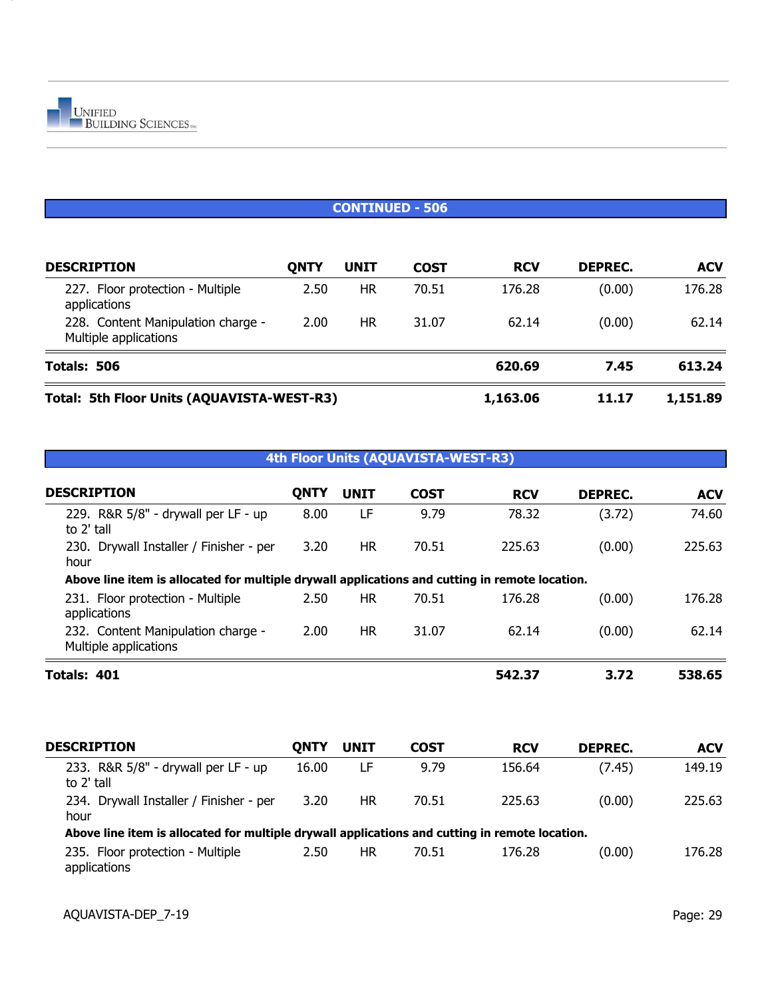

#### **CONTINUED - 506**

| <b>DESCRIPTION</b>                                          | ONTY     | UNIT      | <b>COST</b> | <b>RCV</b> | DEPREC. | <b>ACV</b> |
|-------------------------------------------------------------|----------|-----------|-------------|------------|---------|------------|
| 227. Floor protection - Multiple<br>applications            | 2.50     | HR        | 70.51       | 176.28     | (0.00)  | 176.28     |
| 228. Content Manipulation charge -<br>Multiple applications | 2.00     | <b>HR</b> | 31.07       | 62.14      | (0.00)  | 62.14      |
| Totals: 506                                                 | 620.69   | 7.45      | 613.24      |            |         |            |
| <b>Total: 5th Floor Units (AQUAVISTA-WEST-R3)</b>           | 1,163.06 | 11.17     | 1,151.89    |            |         |            |

## **4th Floor Units (AQUAVISTA-WEST-R3)**

| <b>DESCRIPTION</b>                                                                             | <b>QNTY</b> | <b>UNIT</b> | <b>COST</b> | <b>RCV</b> | DEPREC. | <b>ACV</b> |
|------------------------------------------------------------------------------------------------|-------------|-------------|-------------|------------|---------|------------|
| 229. R&R 5/8" - drywall per LF - up<br>to 2' tall                                              | 8.00        | LF          | 9.79        | 78.32      | (3.72)  | 74.60      |
| 230. Drywall Installer / Finisher - per<br>hour                                                | 3.20        | <b>HR</b>   | 70.51       | 225.63     | (0.00)  | 225.63     |
| Above line item is allocated for multiple drywall applications and cutting in remote location. |             |             |             |            |         |            |
| 231. Floor protection - Multiple<br>applications                                               | 2.50        | <b>HR</b>   | 70.51       | 176.28     | (0.00)  | 176.28     |
| 232. Content Manipulation charge -<br>Multiple applications                                    | 2.00        | HR.         | 31.07       | 62.14      | (0.00)  | 62.14      |
| Totals: 401                                                                                    |             |             |             | 542.37     | 3.72    | 538.65     |
| <b>DESCRIPTION</b>                                                                             | <b>QNTY</b> | <b>UNIT</b> | <b>COST</b> | <b>RCV</b> | DEPREC. | <b>ACV</b> |
| 233. R&R 5/8" - drywall per LF - up<br>to 2' tall                                              | 16.00       | LF          | 9.79        | 156.64     | (7.45)  | 149.19     |
| 234. Drywall Installer / Finisher - per<br>hour                                                | 3.20        | <b>HR</b>   | 70.51       | 225.63     | (0.00)  | 225.63     |
| Above line item is allocated for multiple drywall applications and cutting in remote location. |             |             |             |            |         |            |
| 235. Floor protection - Multiple<br>applications                                               | 2.50        | <b>HR</b>   | 70.51       | 176.28     | (0.00)  | 176.28     |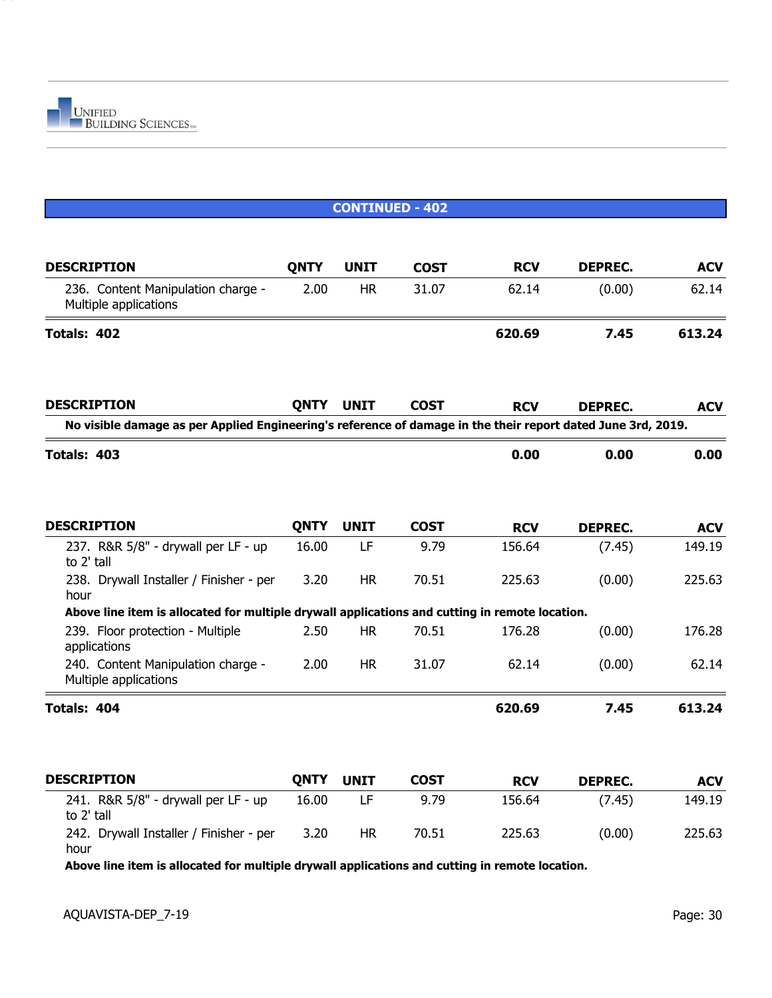

|                                                                                                              | <b>CONTINUED - 402</b> |             |             |            |                |            |  |  |  |  |
|--------------------------------------------------------------------------------------------------------------|------------------------|-------------|-------------|------------|----------------|------------|--|--|--|--|
| <b>DESCRIPTION</b>                                                                                           | <b>QNTY</b>            | <b>UNIT</b> | <b>COST</b> | <b>RCV</b> | <b>DEPREC.</b> | <b>ACV</b> |  |  |  |  |
| 236. Content Manipulation charge -<br>Multiple applications                                                  | 2.00                   | <b>HR</b>   | 31.07       | 62.14      | (0.00)         | 62.14      |  |  |  |  |
| Totals: 402                                                                                                  |                        |             |             | 620.69     | 7.45           | 613.24     |  |  |  |  |
| <b>DESCRIPTION</b>                                                                                           | <b>QNTY</b>            | <b>UNIT</b> | <b>COST</b> | <b>RCV</b> | <b>DEPREC.</b> | <b>ACV</b> |  |  |  |  |
| No visible damage as per Applied Engineering's reference of damage in the their report dated June 3rd, 2019. |                        |             |             |            |                |            |  |  |  |  |
| Totals: 403                                                                                                  |                        |             |             | 0.00       | 0.00           | 0.00       |  |  |  |  |
| <b>DESCRIPTION</b>                                                                                           | <b>QNTY</b>            | <b>UNIT</b> | <b>COST</b> | <b>RCV</b> | <b>DEPREC.</b> | <b>ACV</b> |  |  |  |  |
| 237. R&R 5/8" - drywall per LF - up<br>to 2' tall                                                            | 16.00                  | LF          | 9.79        | 156.64     | (7.45)         | 149.19     |  |  |  |  |
| 238. Drywall Installer / Finisher - per<br>hour                                                              | 3.20                   | <b>HR</b>   | 70.51       | 225.63     | (0.00)         | 225.63     |  |  |  |  |
| Above line item is allocated for multiple drywall applications and cutting in remote location.               |                        |             |             |            |                |            |  |  |  |  |
| 239. Floor protection - Multiple<br>applications                                                             | 2.50                   | <b>HR</b>   | 70.51       | 176.28     | (0.00)         | 176.28     |  |  |  |  |
| 240. Content Manipulation charge -<br>Multiple applications                                                  | 2.00                   | <b>HR</b>   | 31.07       | 62.14      | (0.00)         | 62.14      |  |  |  |  |
| Totals: 404                                                                                                  |                        |             |             | 620.69     | 7.45           | 613.24     |  |  |  |  |
| <b>DESCRIPTION</b>                                                                                           | <b>QNTY</b>            | <b>UNIT</b> | <b>COST</b> | <b>RCV</b> | <b>DEPREC.</b> | <b>ACV</b> |  |  |  |  |
| 241. R&R 5/8" - drywall per LF - up<br>to 2' tall                                                            | 16.00                  | LF          | 9.79        | 156.64     | (7.45)         | 149.19     |  |  |  |  |
| 242. Drywall Installer / Finisher - per<br>hour                                                              | 3.20                   | <b>HR</b>   | 70.51       | 225.63     | (0.00)         | 225.63     |  |  |  |  |

**Above line item is allocated for multiple drywall applications and cutting in remote location.**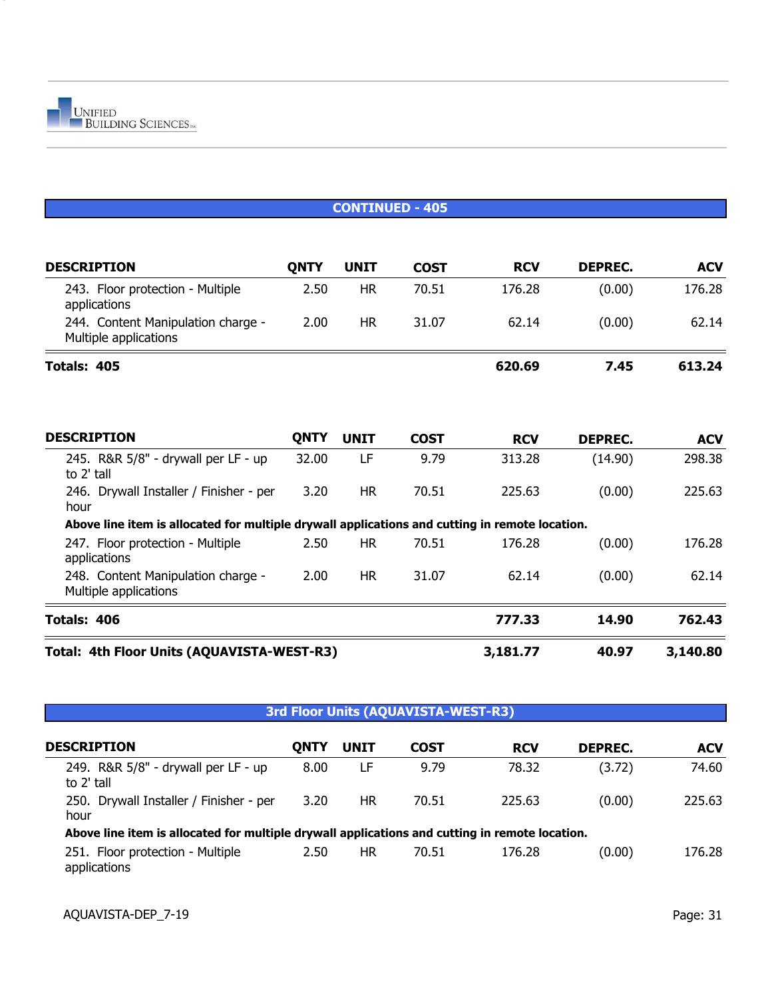

|                                                                                                | <b>CONTINUED - 405</b> |             |             |            |                |            |  |  |  |  |
|------------------------------------------------------------------------------------------------|------------------------|-------------|-------------|------------|----------------|------------|--|--|--|--|
| <b>DESCRIPTION</b>                                                                             | <b>QNTY</b>            | <b>UNIT</b> | <b>COST</b> | <b>RCV</b> | <b>DEPREC.</b> | <b>ACV</b> |  |  |  |  |
| 243. Floor protection - Multiple<br>applications                                               | 2.50                   | <b>HR</b>   | 70.51       | 176.28     | (0.00)         | 176.28     |  |  |  |  |
| 244. Content Manipulation charge -<br>Multiple applications                                    | 2.00                   | <b>HR</b>   | 31.07       | 62.14      | (0.00)         | 62.14      |  |  |  |  |
| Totals: 405                                                                                    |                        |             |             | 620.69     | 7.45           | 613.24     |  |  |  |  |
|                                                                                                |                        |             |             |            |                |            |  |  |  |  |
| <b>DESCRIPTION</b>                                                                             | <b>QNTY</b>            | <b>UNIT</b> | <b>COST</b> | <b>RCV</b> | DEPREC.        | <b>ACV</b> |  |  |  |  |
| 245. R&R 5/8" - drywall per LF - up<br>to 2' tall                                              | 32.00                  | LF          | 9.79        | 313.28     | (14.90)        | 298.38     |  |  |  |  |
| 246. Drywall Installer / Finisher - per<br>hour                                                | 3.20                   | <b>HR</b>   | 70.51       | 225.63     | (0.00)         | 225.63     |  |  |  |  |
| Above line item is allocated for multiple drywall applications and cutting in remote location. |                        |             |             |            |                |            |  |  |  |  |
| 247. Floor protection - Multiple<br>applications                                               | 2.50                   | <b>HR</b>   | 70.51       | 176.28     | (0.00)         | 176.28     |  |  |  |  |
| 248. Content Manipulation charge -<br>Multiple applications                                    | 2.00                   | <b>HR</b>   | 31.07       | 62.14      | (0.00)         | 62.14      |  |  |  |  |
| Totals: 406                                                                                    |                        |             |             | 777.33     | 14.90          | 762.43     |  |  |  |  |
| Total: 4th Floor Units (AQUAVISTA-WEST-R3)                                                     |                        |             |             | 3,181.77   | 40.97          | 3,140.80   |  |  |  |  |

| 3rd Floor Units (AQUAVISTA-WEST-R3)                                                            |             |             |             |            |         |            |  |
|------------------------------------------------------------------------------------------------|-------------|-------------|-------------|------------|---------|------------|--|
| <b>DESCRIPTION</b>                                                                             | <b>ONTY</b> | <b>UNIT</b> | <b>COST</b> | <b>RCV</b> | DEPREC. | <b>ACV</b> |  |
| 249. R&R 5/8" - drywall per LF - up<br>to 2' tall                                              | 8.00        | LF          | 9.79        | 78.32      | (3.72)  | 74.60      |  |
| 250. Drywall Installer / Finisher - per<br>hour                                                | 3.20        | HR.         | 70.51       | 225.63     | (0.00)  | 225.63     |  |
| Above line item is allocated for multiple drywall applications and cutting in remote location. |             |             |             |            |         |            |  |
| 251. Floor protection - Multiple<br>applications                                               | 2.50        | <b>HR</b>   | 70.51       | 176.28     | (0.00)  | 176.28     |  |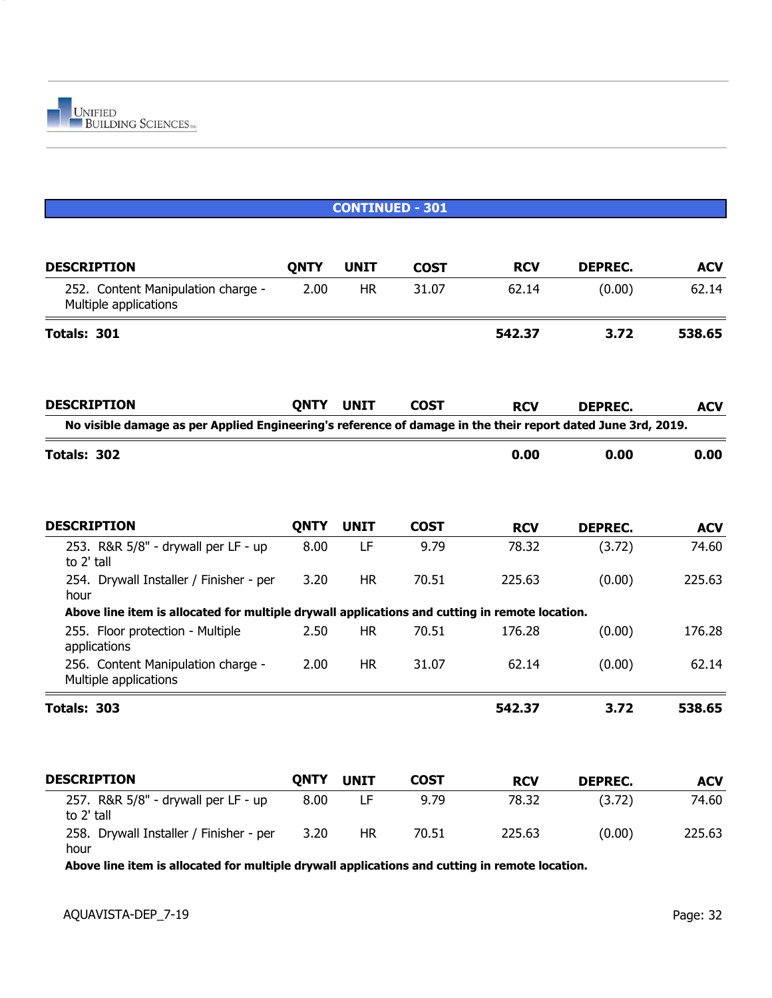

|                                                                                                              | <b>CONTINUED - 301</b> |             |             |            |                |            |  |  |
|--------------------------------------------------------------------------------------------------------------|------------------------|-------------|-------------|------------|----------------|------------|--|--|
| <b>DESCRIPTION</b>                                                                                           | <b>QNTY</b>            | <b>UNIT</b> | <b>COST</b> | <b>RCV</b> | <b>DEPREC.</b> | <b>ACV</b> |  |  |
| 252. Content Manipulation charge -<br>Multiple applications                                                  | 2.00                   | <b>HR</b>   | 31.07       | 62.14      | (0.00)         | 62.14      |  |  |
| Totals: 301                                                                                                  |                        |             |             | 542.37     | 3.72           | 538.65     |  |  |
| <b>DESCRIPTION</b>                                                                                           | <b>QNTY</b>            | <b>UNIT</b> | <b>COST</b> | <b>RCV</b> | <b>DEPREC.</b> | <b>ACV</b> |  |  |
| No visible damage as per Applied Engineering's reference of damage in the their report dated June 3rd, 2019. |                        |             |             |            |                |            |  |  |
| Totals: 302                                                                                                  |                        |             |             | 0.00       | 0.00           | 0.00       |  |  |
| <b>DESCRIPTION</b>                                                                                           | <b>QNTY</b>            | <b>UNIT</b> | <b>COST</b> | <b>RCV</b> | <b>DEPREC.</b> | <b>ACV</b> |  |  |
| 253. R&R 5/8" - drywall per LF - up<br>to 2' tall                                                            | 8.00                   | LF          | 9.79        | 78.32      | (3.72)         | 74.60      |  |  |
| 254. Drywall Installer / Finisher - per<br>hour                                                              | 3.20                   | <b>HR</b>   | 70.51       | 225.63     | (0.00)         | 225.63     |  |  |
| Above line item is allocated for multiple drywall applications and cutting in remote location.               |                        |             |             |            |                |            |  |  |
| 255. Floor protection - Multiple<br>applications                                                             | 2.50                   | <b>HR</b>   | 70.51       | 176.28     | (0.00)         | 176.28     |  |  |
| 256. Content Manipulation charge -<br>Multiple applications                                                  | 2.00                   | <b>HR</b>   | 31.07       | 62.14      | (0.00)         | 62.14      |  |  |
| Totals: 303                                                                                                  |                        |             |             | 542.37     | 3.72           | 538.65     |  |  |
| <b>DESCRIPTION</b>                                                                                           | <b>QNTY</b>            | <b>UNIT</b> | <b>COST</b> | <b>RCV</b> | <b>DEPREC.</b> | <b>ACV</b> |  |  |
| 257. R&R 5/8" - drywall per LF - up<br>to 2' tall                                                            | 8.00                   | LF          | 9.79        | 78.32      | (3.72)         | 74.60      |  |  |
| 258. Drywall Installer / Finisher - per<br>hour                                                              | 3.20                   | <b>HR</b>   | 70.51       | 225.63     | (0.00)         | 225.63     |  |  |

**Above line item is allocated for multiple drywall applications and cutting in remote location.**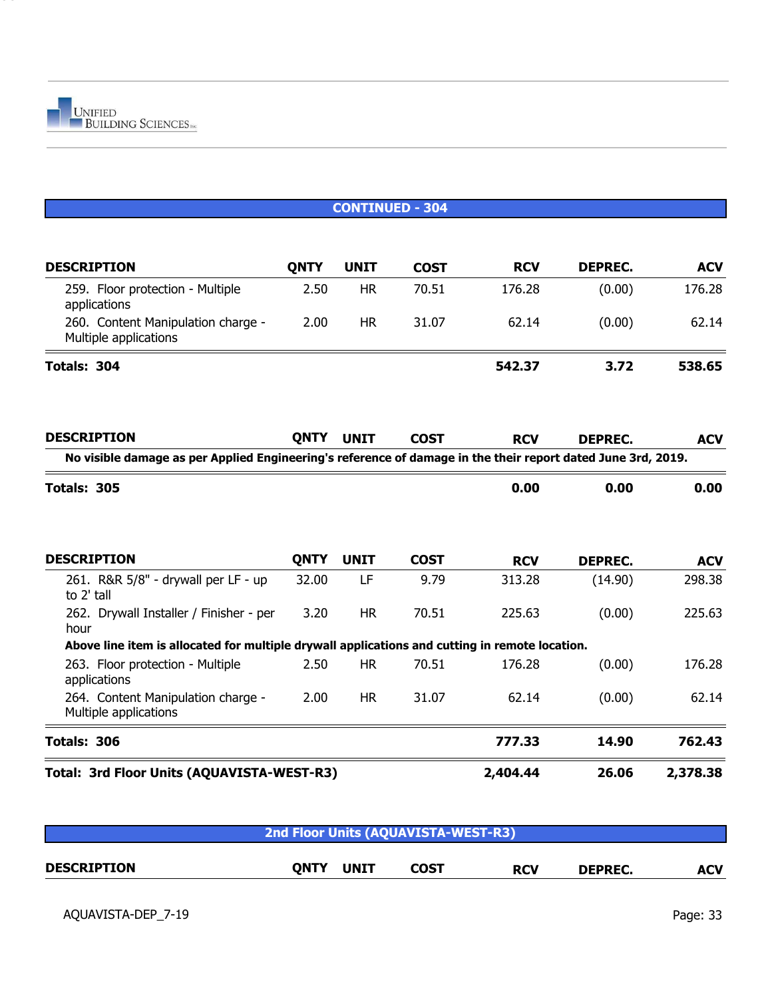

|                                                                                                              |             |             | <b>CONTINUED - 304</b> |            |                |            |
|--------------------------------------------------------------------------------------------------------------|-------------|-------------|------------------------|------------|----------------|------------|
| <b>DESCRIPTION</b>                                                                                           | <b>QNTY</b> | <b>UNIT</b> | <b>COST</b>            | <b>RCV</b> | <b>DEPREC.</b> | <b>ACV</b> |
| 259. Floor protection - Multiple<br>applications                                                             | 2.50        | <b>HR</b>   | 70.51                  | 176.28     | (0.00)         | 176.28     |
| 260. Content Manipulation charge -<br>Multiple applications                                                  | 2.00        | <b>HR</b>   | 31.07                  | 62.14      | (0.00)         | 62.14      |
| Totals: 304                                                                                                  |             |             |                        | 542.37     | 3.72           | 538.65     |
| <b>DESCRIPTION</b>                                                                                           | <b>QNTY</b> | <b>UNIT</b> | <b>COST</b>            | <b>RCV</b> | <b>DEPREC.</b> | <b>ACV</b> |
| No visible damage as per Applied Engineering's reference of damage in the their report dated June 3rd, 2019. |             |             |                        |            |                |            |
| Totals: 305                                                                                                  |             |             |                        | 0.00       | 0.00           | 0.00       |
| <b>DESCRIPTION</b>                                                                                           | <b>QNTY</b> | <b>UNIT</b> | <b>COST</b>            | <b>RCV</b> | <b>DEPREC.</b> | <b>ACV</b> |
| 261. R&R 5/8" - drywall per LF - up<br>to 2' tall                                                            | 32.00       | LF          | 9.79                   | 313.28     | (14.90)        | 298.38     |
| 262. Drywall Installer / Finisher - per<br>hour                                                              | 3.20        | <b>HR</b>   | 70.51                  | 225.63     | (0.00)         | 225.63     |
| Above line item is allocated for multiple drywall applications and cutting in remote location.               |             |             |                        |            |                |            |
| 263. Floor protection - Multiple<br>applications                                                             | 2.50        | <b>HR</b>   | 70.51                  | 176.28     | (0.00)         | 176.28     |
| 264. Content Manipulation charge -<br>Multiple applications                                                  | 2.00        | <b>HR</b>   | 31.07                  | 62.14      | (0.00)         | 62.14      |
| Totals: 306                                                                                                  |             |             |                        | 777.33     | 14.90          | 762.43     |
| Total: 3rd Floor Units (AQUAVISTA-WEST-R3)                                                                   |             |             |                        | 2,404.44   | 26.06          | 2,378.38   |

| 2nd Floor Units (AQUAVISTA-WEST-R3) |      |             |      |            |                |            |  |  |
|-------------------------------------|------|-------------|------|------------|----------------|------------|--|--|
| <b>DESCRIPTION</b>                  | ONTY | <b>UNIT</b> | COST | <b>RCV</b> | <b>DEPREC.</b> | <b>ACV</b> |  |  |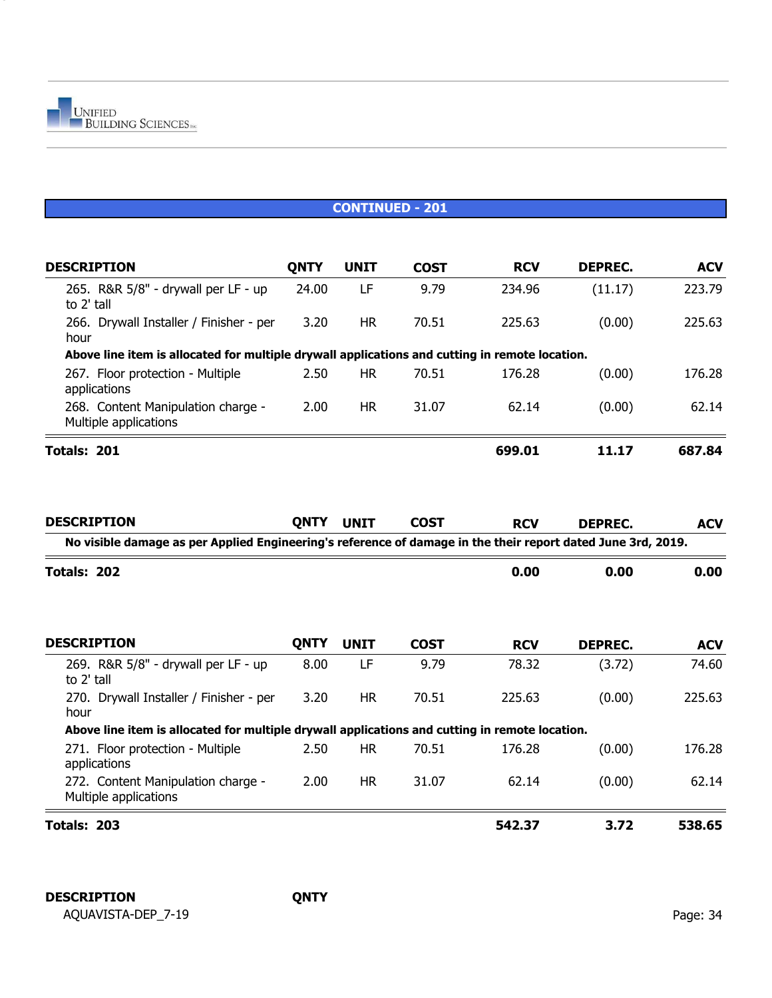

| <b>DESCRIPTION</b>                                                                             | ONTY  | UNIT      | <b>COST</b> | <b>RCV</b> | DEPREC. | <b>ACV</b> |
|------------------------------------------------------------------------------------------------|-------|-----------|-------------|------------|---------|------------|
| 265. R&R 5/8" - drywall per LF - up<br>to 2' tall                                              | 24.00 | LF        | 9.79        | 234.96     | (11.17) | 223.79     |
| 266. Drywall Installer / Finisher - per<br>hour                                                | 3.20  | <b>HR</b> | 70.51       | 225.63     | (0.00)  | 225.63     |
| Above line item is allocated for multiple drywall applications and cutting in remote location. |       |           |             |            |         |            |
| 267. Floor protection - Multiple<br>applications                                               | 2.50  | <b>HR</b> | 70.51       | 176.28     | (0.00)  | 176.28     |
| 268. Content Manipulation charge -<br>Multiple applications                                    | 2.00  | <b>HR</b> | 31.07       | 62.14      | (0.00)  | 62.14      |
| Totals: 201                                                                                    |       |           |             | 699.01     | 11.17   | 687.84     |

| <b>DESCRIPTION</b>                                                                                           | <b>QNTY</b> | <b>UNIT</b> | <b>COST</b> | <b>RCV</b> | <b>DEPREC.</b> | <b>ACV</b> |
|--------------------------------------------------------------------------------------------------------------|-------------|-------------|-------------|------------|----------------|------------|
| No visible damage as per Applied Engineering's reference of damage in the their report dated June 3rd, 2019. |             |             |             |            |                |            |
| Totals: 202                                                                                                  |             |             |             | 0.00       | 0.00           | 0.00       |
| <b>DESCRIPTION</b>                                                                                           | <b>QNTY</b> | <b>UNIT</b> | <b>COST</b> | <b>RCV</b> | <b>DEPREC.</b> | <b>ACV</b> |
| 269. R&R 5/8" - drywall per LF - up<br>to 2' tall                                                            | 8.00        | LF          | 9.79        | 78.32      | (3.72)         | 74.60      |
| 270. Drywall Installer / Finisher - per<br>hour                                                              | 3.20        | <b>HR</b>   | 70.51       | 225.63     | (0.00)         | 225.63     |
| Above line item is allocated for multiple drywall applications and cutting in remote location.               |             |             |             |            |                |            |
| 271. Floor protection - Multiple<br>applications                                                             | 2.50        | HR.         | 70.51       | 176.28     | (0.00)         | 176.28     |
| 272. Content Manipulation charge -<br>Multiple applications                                                  | 2.00        | <b>HR</b>   | 31.07       | 62.14      | (0.00)         | 62.14      |
| Totals: 203                                                                                                  |             |             |             | 542.37     | 3.72           | 538.65     |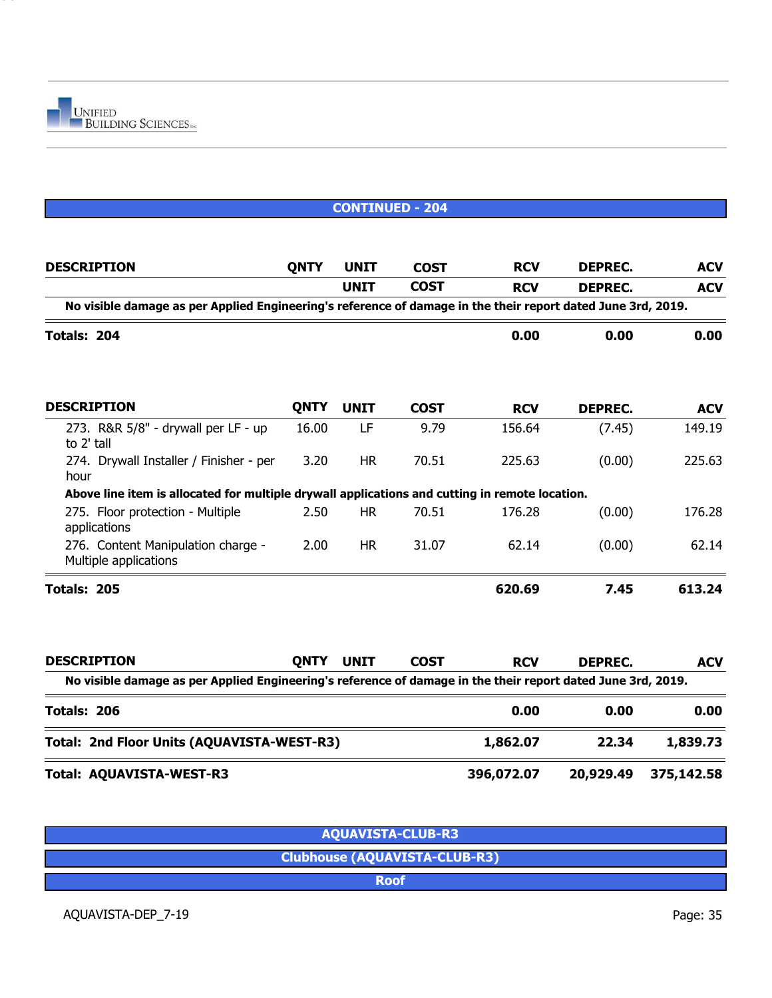

|                                                                                                              |             |             | <b>CONTINUED - 204</b> |            |                |            |
|--------------------------------------------------------------------------------------------------------------|-------------|-------------|------------------------|------------|----------------|------------|
|                                                                                                              |             |             |                        |            |                |            |
| <b>DESCRIPTION</b>                                                                                           | <b>QNTY</b> | <b>UNIT</b> | <b>COST</b>            | <b>RCV</b> | <b>DEPREC.</b> | <b>ACV</b> |
|                                                                                                              |             | <b>UNIT</b> | <b>COST</b>            | <b>RCV</b> | <b>DEPREC.</b> | <b>ACV</b> |
| No visible damage as per Applied Engineering's reference of damage in the their report dated June 3rd, 2019. |             |             |                        |            |                |            |
| Totals: 204                                                                                                  |             |             |                        | 0.00       | 0.00           | 0.00       |
| <b>DESCRIPTION</b>                                                                                           | <b>QNTY</b> | <b>UNIT</b> | <b>COST</b>            | <b>RCV</b> | <b>DEPREC.</b> | <b>ACV</b> |
| 273. R&R 5/8" - drywall per LF - up<br>to 2' tall                                                            | 16.00       | LF          | 9.79                   | 156.64     | (7.45)         | 149.19     |
| 274. Drywall Installer / Finisher - per<br>hour                                                              | 3.20        | <b>HR</b>   | 70.51                  | 225.63     | (0.00)         | 225.63     |
| Above line item is allocated for multiple drywall applications and cutting in remote location.               |             |             |                        |            |                |            |
| 275. Floor protection - Multiple<br>applications                                                             | 2.50        | <b>HR</b>   | 70.51                  | 176.28     | (0.00)         | 176.28     |
| 276. Content Manipulation charge -<br>Multiple applications                                                  | 2.00        | <b>HR</b>   | 31.07                  | 62.14      | (0.00)         | 62.14      |
| Totals: 205                                                                                                  |             |             |                        | 620.69     | 7.45           | 613.24     |
| <b>DESCRIPTION</b>                                                                                           | <b>QNTY</b> | <b>UNIT</b> | <b>COST</b>            | <b>RCV</b> | <b>DEPREC.</b> | <b>ACV</b> |
| No visible damage as per Applied Engineering's reference of damage in the their report dated June 3rd, 2019. |             |             |                        |            |                |            |
| Totals: 206                                                                                                  |             |             |                        | 0.00       | 0.00           | 0.00       |
| Total: 2nd Floor Units (AQUAVISTA-WEST-R3)                                                                   |             |             |                        | 1,862.07   | 22.34          | 1,839.73   |
| Total: AQUAVISTA-WEST-R3                                                                                     |             |             |                        | 396,072.07 | 20,929.49      | 375,142.58 |

| <b>AQUAVISTA-CLUB-R3</b>             |
|--------------------------------------|
| <b>Clubhouse (AQUAVISTA-CLUB-R3)</b> |
| <b>Roof</b>                          |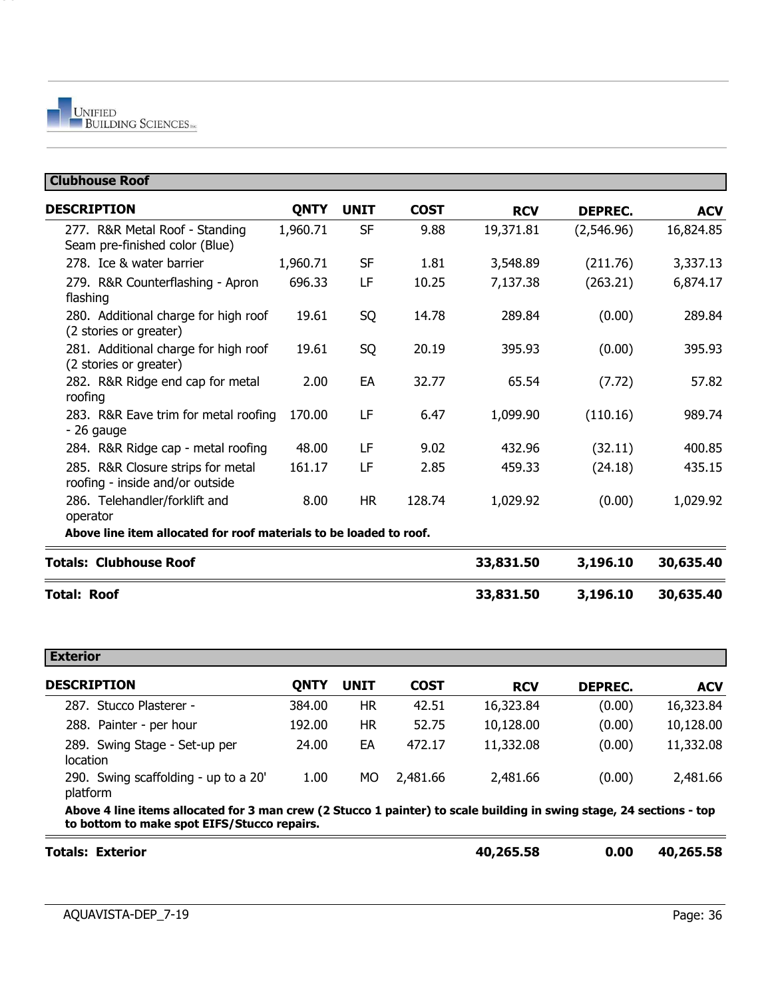| <b>Clubhouse Roof</b>                                                |             |             |             |            |                |            |
|----------------------------------------------------------------------|-------------|-------------|-------------|------------|----------------|------------|
| <b>DESCRIPTION</b>                                                   | <b>QNTY</b> | <b>UNIT</b> | <b>COST</b> | <b>RCV</b> | <b>DEPREC.</b> | <b>ACV</b> |
| 277. R&R Metal Roof - Standing<br>Seam pre-finished color (Blue)     | 1,960.71    | <b>SF</b>   | 9.88        | 19,371.81  | (2,546.96)     | 16,824.85  |
| 278. Ice & water barrier                                             | 1,960.71    | <b>SF</b>   | 1.81        | 3,548.89   | (211.76)       | 3,337.13   |
| 279. R&R Counterflashing - Apron<br>flashing                         | 696.33      | LF          | 10.25       | 7,137.38   | (263.21)       | 6,874.17   |
| 280. Additional charge for high roof<br>(2 stories or greater)       | 19.61       | SQ          | 14.78       | 289.84     | (0.00)         | 289.84     |
| 281. Additional charge for high roof<br>(2 stories or greater)       | 19.61       | SQ          | 20.19       | 395.93     | (0.00)         | 395.93     |
| 282. R&R Ridge end cap for metal<br>roofing                          | 2.00        | EA          | 32.77       | 65.54      | (7.72)         | 57.82      |
| 283. R&R Eave trim for metal roofing<br>- 26 gauge                   | 170.00      | LF          | 6.47        | 1,099.90   | (110.16)       | 989.74     |
| 284. R&R Ridge cap - metal roofing                                   | 48.00       | LF          | 9.02        | 432.96     | (32.11)        | 400.85     |
| 285. R&R Closure strips for metal<br>roofing - inside and/or outside | 161.17      | LF          | 2.85        | 459.33     | (24.18)        | 435.15     |
| 286. Telehandler/forklift and<br>operator                            | 8.00        | <b>HR</b>   | 128.74      | 1,029.92   | (0.00)         | 1,029.92   |
| Above line item allocated for roof materials to be loaded to roof.   |             |             |             |            |                |            |
| <b>Totals: Clubhouse Roof</b>                                        |             |             |             | 33,831.50  | 3,196.10       | 30,635.40  |
| <b>Total: Roof</b>                                                   |             |             |             | 33,831.50  | 3,196.10       | 30,635.40  |

| <b>Exterior</b>                                                                                                      |        |             |             |            |                |            |
|----------------------------------------------------------------------------------------------------------------------|--------|-------------|-------------|------------|----------------|------------|
| <b>DESCRIPTION</b>                                                                                                   | ONTY   | <b>UNIT</b> | <b>COST</b> | <b>RCV</b> | <b>DEPREC.</b> | <b>ACV</b> |
| 287. Stucco Plasterer -                                                                                              | 384.00 | HR.         | 42.51       | 16,323.84  | (0.00)         | 16,323.84  |
| 288. Painter - per hour                                                                                              | 192.00 | HR          | 52.75       | 10,128.00  | (0.00)         | 10,128.00  |
| 289. Swing Stage - Set-up per<br>location                                                                            | 24.00  | EA          | 472.17      | 11,332.08  | (0.00)         | 11,332.08  |
| 290. Swing scaffolding - up to a 20'<br>platform                                                                     | 1.00   | MO.         | 2,481.66    | 2,481.66   | (0.00)         | 2,481.66   |
| Above 4 line items allocated for 3 man crew (2 Stucco 1 painter) to scale building in swing stage, 24 sections - top |        |             |             |            |                |            |

**to bottom to make spot EIFS/Stucco repairs.**  $=$ 

| <b>Totals: Exterior</b> | 40,265.58 | 0.00 | 40,265.58 |
|-------------------------|-----------|------|-----------|
|                         |           |      |           |

 $\equiv$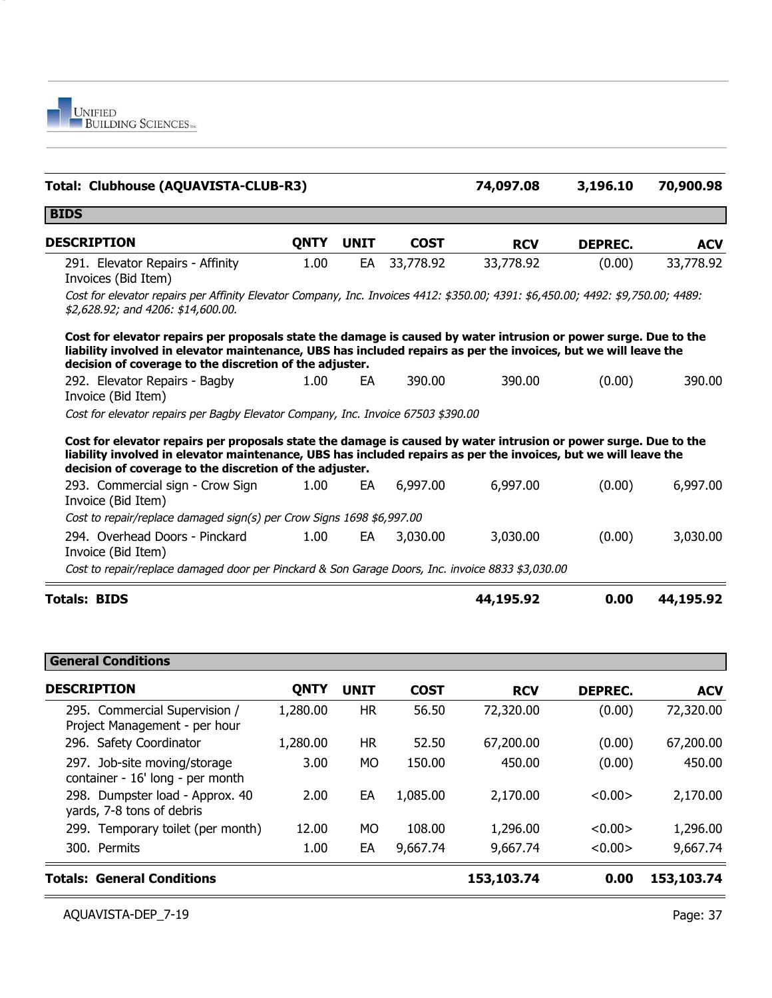

| Total: Clubhouse (AQUAVISTA-CLUB-R3)                                                                                                                                                                                                                                                           |             |             |             | 74,097.08  | 3,196.10       | 70,900.98  |
|------------------------------------------------------------------------------------------------------------------------------------------------------------------------------------------------------------------------------------------------------------------------------------------------|-------------|-------------|-------------|------------|----------------|------------|
| <b>BIDS</b>                                                                                                                                                                                                                                                                                    |             |             |             |            |                |            |
| <b>DESCRIPTION</b>                                                                                                                                                                                                                                                                             | <b>QNTY</b> | <b>UNIT</b> | <b>COST</b> | <b>RCV</b> | <b>DEPREC.</b> | <b>ACV</b> |
| 291. Elevator Repairs - Affinity<br>Invoices (Bid Item)                                                                                                                                                                                                                                        | 1.00        | EA          | 33,778.92   | 33,778.92  | (0.00)         | 33,778.92  |
| Cost for elevator repairs per Affinity Elevator Company, Inc. Invoices 4412: \$350.00; 4391: \$6,450.00; 4492: \$9,750.00; 4489:<br>\$2,628.92; and 4206: \$14,600.00.                                                                                                                         |             |             |             |            |                |            |
| Cost for elevator repairs per proposals state the damage is caused by water intrusion or power surge. Due to the<br>liability involved in elevator maintenance, UBS has included repairs as per the invoices, but we will leave the<br>decision of coverage to the discretion of the adjuster. |             |             |             |            |                |            |
| 292. Elevator Repairs - Bagby<br>Invoice (Bid Item)                                                                                                                                                                                                                                            | 1.00        | EA          | 390.00      | 390.00     | (0.00)         | 390.00     |
| Cost for elevator repairs per Bagby Elevator Company, Inc. Invoice 67503 \$390.00                                                                                                                                                                                                              |             |             |             |            |                |            |
| Cost for elevator repairs per proposals state the damage is caused by water intrusion or power surge. Due to the<br>liability involved in elevator maintenance, UBS has included repairs as per the invoices, but we will leave the<br>decision of coverage to the discretion of the adjuster. |             |             |             |            |                |            |
| 293. Commercial sign - Crow Sign<br>Invoice (Bid Item)                                                                                                                                                                                                                                         | 1.00        | EA          | 6,997.00    | 6,997.00   | (0.00)         | 6,997.00   |
| Cost to repair/replace damaged sign(s) per Crow Signs 1698 \$6,997.00                                                                                                                                                                                                                          |             |             |             |            |                |            |
| 294. Overhead Doors - Pinckard<br>Invoice (Bid Item)                                                                                                                                                                                                                                           | 1.00        | EA          | 3,030.00    | 3,030.00   | (0.00)         | 3,030.00   |
| Cost to repair/replace damaged door per Pinckard & Son Garage Doors, Inc. invoice 8833 \$3,030.00                                                                                                                                                                                              |             |             |             |            |                |            |
| <b>Totals: BIDS</b>                                                                                                                                                                                                                                                                            |             |             |             | 44,195.92  | 0.00           | 44,195.92  |

| <b>General Conditions</b>                                        |             |             |             |            |                |            |
|------------------------------------------------------------------|-------------|-------------|-------------|------------|----------------|------------|
| <b>DESCRIPTION</b>                                               | <b>QNTY</b> | <b>UNIT</b> | <b>COST</b> | <b>RCV</b> | <b>DEPREC.</b> | <b>ACV</b> |
| 295. Commercial Supervision /<br>Project Management - per hour   | 1,280.00    | <b>HR</b>   | 56.50       | 72,320.00  | (0.00)         | 72,320.00  |
| 296. Safety Coordinator                                          | 1,280.00    | HR          | 52.50       | 67,200.00  | (0.00)         | 67,200.00  |
| 297. Job-site moving/storage<br>container - 16' long - per month | 3.00        | <b>MO</b>   | 150.00      | 450.00     | (0.00)         | 450.00     |
| 298. Dumpster load - Approx. 40<br>yards, 7-8 tons of debris     | 2.00        | EA          | 1,085.00    | 2,170.00   | < 0.00         | 2,170.00   |
| 299. Temporary toilet (per month)                                | 12.00       | MO.         | 108.00      | 1,296.00   | < 0.00         | 1,296.00   |
| 300. Permits                                                     | 1.00        | EA          | 9,667.74    | 9,667.74   | < 0.00         | 9,667.74   |
| <b>Totals: General Conditions</b>                                |             |             |             | 153,103.74 | 0.00           | 153,103.74 |

÷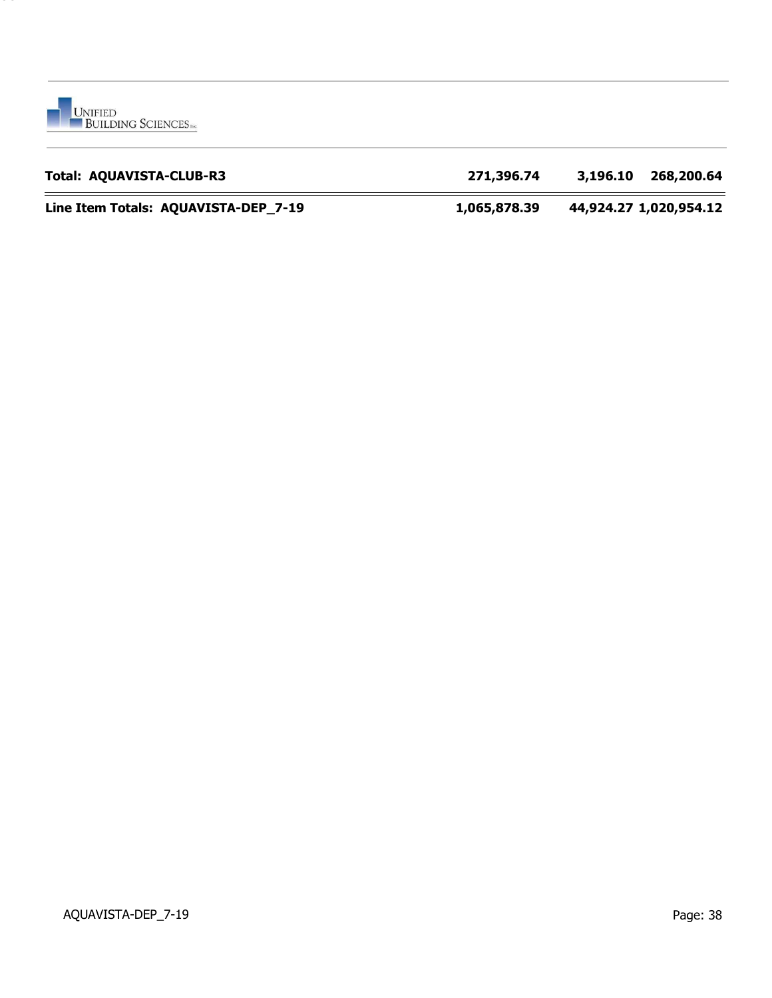

### **Total: AQUAVISTA-CLUB-R3 271,396.74 3,196.10 268,200.64**

**Line Item Totals: AQUAVISTA-DEP\_7-19 1,065,878.39 44,924.27 1,020,954.12**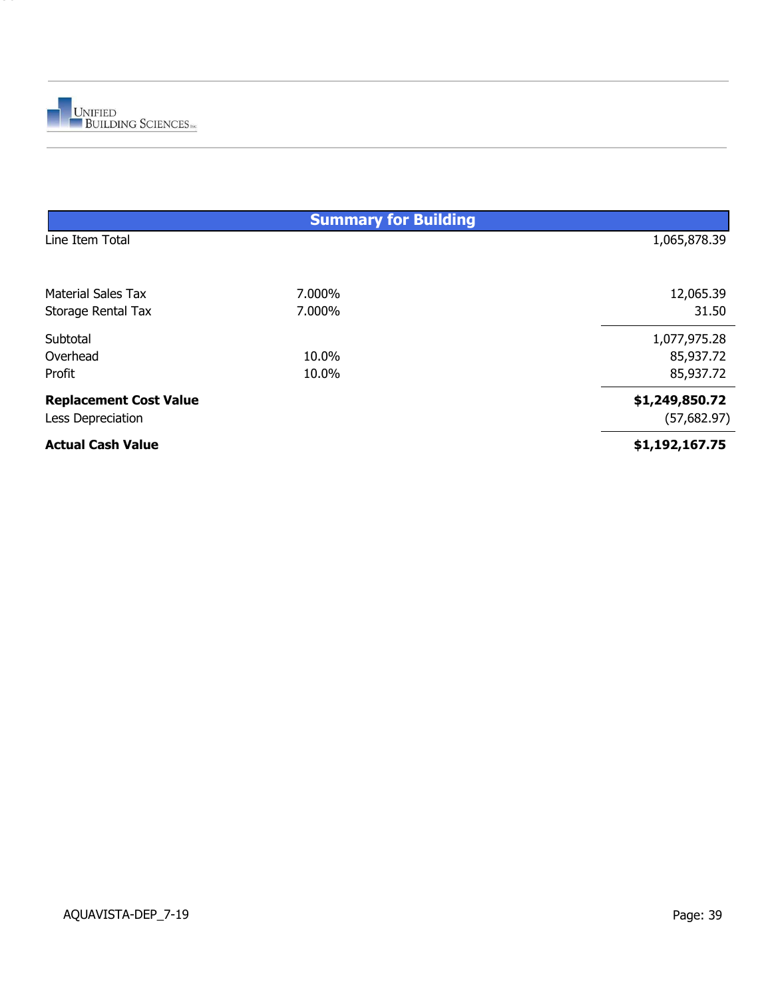

|                               | <b>Summary for Building</b> |                |
|-------------------------------|-----------------------------|----------------|
| Line Item Total               |                             | 1,065,878.39   |
| <b>Material Sales Tax</b>     | 7.000%                      | 12,065.39      |
| Storage Rental Tax            | 7.000%                      | 31.50          |
| Subtotal                      |                             | 1,077,975.28   |
| Overhead                      | 10.0%                       | 85,937.72      |
| Profit                        | 10.0%                       | 85,937.72      |
| <b>Replacement Cost Value</b> |                             | \$1,249,850.72 |
| Less Depreciation             |                             | (57,682.97)    |
| <b>Actual Cash Value</b>      |                             | \$1,192,167.75 |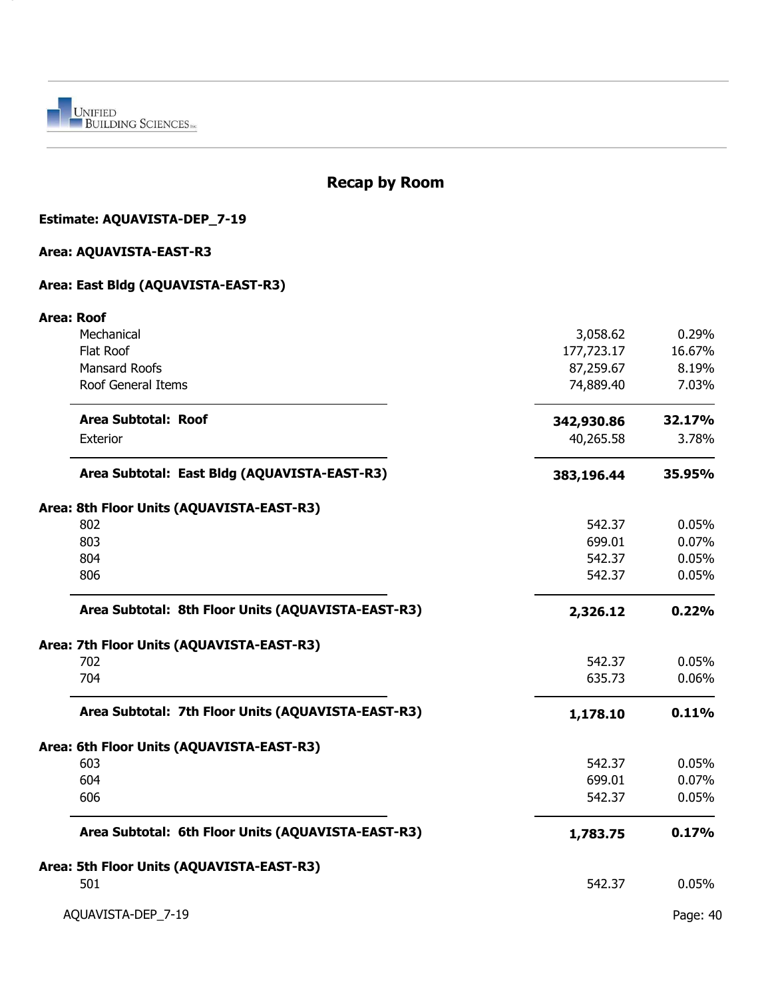

 $\sim$ 

## **Recap by Room**

### **Estimate: AQUAVISTA-DEP\_7-19**

### **Area: AQUAVISTA-EAST-R3**

#### **Area: East Bldg (AQUAVISTA-EAST-R3)**

| <b>Area: Roof</b>                                  |            |          |
|----------------------------------------------------|------------|----------|
| Mechanical                                         | 3,058.62   | 0.29%    |
| Flat Roof                                          | 177,723.17 | 16.67%   |
| <b>Mansard Roofs</b>                               | 87,259.67  | 8.19%    |
| Roof General Items                                 | 74,889.40  | 7.03%    |
| Area Subtotal: Roof                                | 342,930.86 | 32.17%   |
| Exterior                                           | 40,265.58  | 3.78%    |
| Area Subtotal: East Bldg (AQUAVISTA-EAST-R3)       | 383,196.44 | 35.95%   |
| Area: 8th Floor Units (AQUAVISTA-EAST-R3)          |            |          |
| 802                                                | 542.37     | 0.05%    |
| 803                                                | 699.01     | 0.07%    |
| 804                                                | 542.37     | 0.05%    |
| 806                                                | 542.37     | 0.05%    |
| Area Subtotal: 8th Floor Units (AQUAVISTA-EAST-R3) | 2,326.12   | 0.22%    |
| Area: 7th Floor Units (AQUAVISTA-EAST-R3)          |            |          |
| 702                                                | 542.37     | 0.05%    |
| 704                                                | 635.73     | 0.06%    |
| Area Subtotal: 7th Floor Units (AQUAVISTA-EAST-R3) | 1,178.10   | 0.11%    |
| Area: 6th Floor Units (AQUAVISTA-EAST-R3)          |            |          |
| 603                                                | 542.37     | 0.05%    |
| 604                                                | 699.01     | 0.07%    |
| 606                                                | 542.37     | 0.05%    |
| Area Subtotal: 6th Floor Units (AQUAVISTA-EAST-R3) | 1,783.75   | 0.17%    |
| Area: 5th Floor Units (AQUAVISTA-EAST-R3)          |            |          |
| 501                                                | 542.37     | 0.05%    |
| AQUAVISTA-DEP_7-19                                 |            | Page: 40 |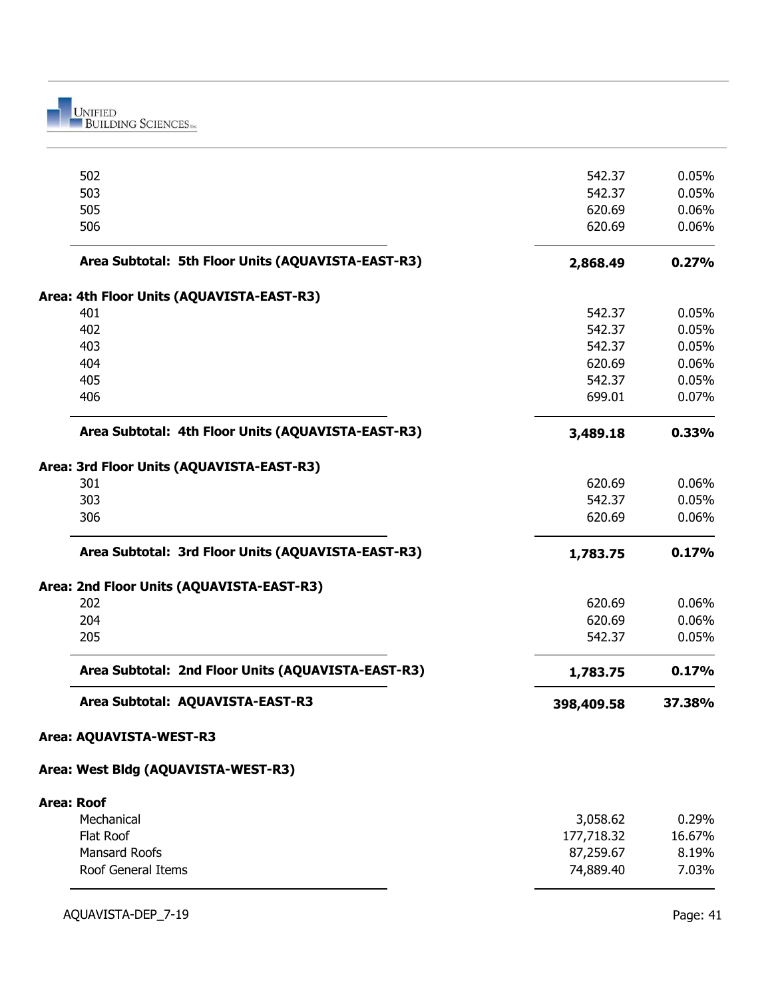UNIFIED<br>BUILDING SCIENCES

|                   | 502                                                | 542.37     | 0.05%  |
|-------------------|----------------------------------------------------|------------|--------|
|                   | 503                                                | 542.37     | 0.05%  |
|                   | 505                                                | 620.69     | 0.06%  |
|                   | 506                                                | 620.69     | 0.06%  |
|                   | Area Subtotal: 5th Floor Units (AQUAVISTA-EAST-R3) | 2,868.49   | 0.27%  |
|                   | Area: 4th Floor Units (AQUAVISTA-EAST-R3)          |            |        |
|                   | 401                                                | 542.37     | 0.05%  |
|                   | 402                                                | 542.37     | 0.05%  |
|                   | 403                                                | 542.37     | 0.05%  |
|                   | 404                                                | 620.69     | 0.06%  |
|                   | 405                                                | 542.37     | 0.05%  |
|                   | 406                                                | 699.01     | 0.07%  |
|                   | Area Subtotal: 4th Floor Units (AQUAVISTA-EAST-R3) | 3,489.18   | 0.33%  |
|                   | Area: 3rd Floor Units (AQUAVISTA-EAST-R3)          |            |        |
|                   | 301                                                | 620.69     | 0.06%  |
|                   | 303                                                | 542.37     | 0.05%  |
|                   | 306                                                | 620.69     | 0.06%  |
|                   | Area Subtotal: 3rd Floor Units (AQUAVISTA-EAST-R3) | 1,783.75   | 0.17%  |
|                   | Area: 2nd Floor Units (AQUAVISTA-EAST-R3)          |            |        |
|                   | 202                                                | 620.69     | 0.06%  |
|                   | 204                                                | 620.69     | 0.06%  |
|                   | 205                                                | 542.37     | 0.05%  |
|                   | Area Subtotal: 2nd Floor Units (AQUAVISTA-EAST-R3) | 1,783.75   | 0.17%  |
|                   | Area Subtotal: AQUAVISTA-EAST-R3                   | 398,409.58 | 37.38% |
|                   | Area: AQUAVISTA-WEST-R3                            |            |        |
|                   | Area: West Bldg (AQUAVISTA-WEST-R3)                |            |        |
| <b>Area: Roof</b> |                                                    |            |        |
|                   | Mechanical                                         | 3,058.62   | 0.29%  |
|                   | Flat Roof                                          | 177,718.32 | 16.67% |
|                   | <b>Mansard Roofs</b>                               | 87,259.67  | 8.19%  |
|                   |                                                    |            |        |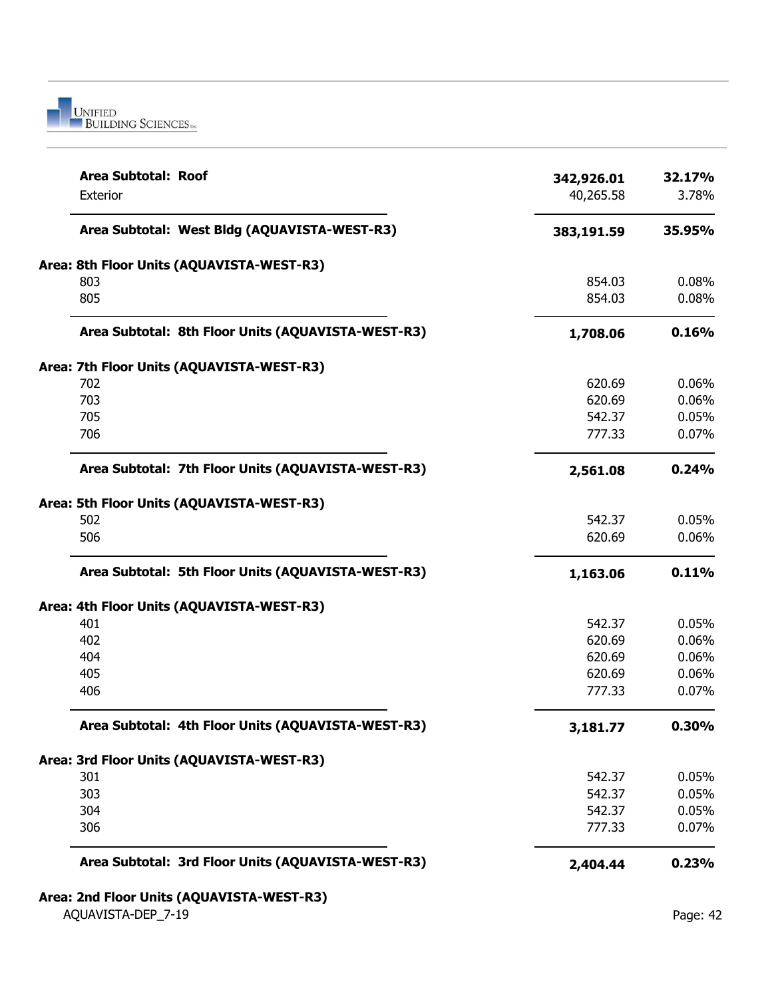

| Area Subtotal: Roof<br>Exterior                    | 342,926.01<br>40,265.58 | 32.17%<br>3.78% |
|----------------------------------------------------|-------------------------|-----------------|
| Area Subtotal: West Bldg (AQUAVISTA-WEST-R3)       | 383,191.59              | 35.95%          |
| Area: 8th Floor Units (AQUAVISTA-WEST-R3)          |                         |                 |
| 803                                                | 854.03                  | 0.08%           |
| 805                                                | 854.03                  | 0.08%           |
| Area Subtotal: 8th Floor Units (AQUAVISTA-WEST-R3) | 1,708.06                | 0.16%           |
| Area: 7th Floor Units (AQUAVISTA-WEST-R3)          |                         |                 |
| 702                                                | 620.69                  | 0.06%           |
| 703                                                | 620.69                  | 0.06%           |
| 705                                                | 542.37                  | 0.05%           |
| 706                                                | 777.33                  | 0.07%           |
| Area Subtotal: 7th Floor Units (AQUAVISTA-WEST-R3) | 2,561.08                | 0.24%           |
| Area: 5th Floor Units (AQUAVISTA-WEST-R3)          |                         |                 |
| 502                                                | 542.37                  | 0.05%           |
| 506                                                | 620.69                  | 0.06%           |
| Area Subtotal: 5th Floor Units (AQUAVISTA-WEST-R3) | 1,163.06                | 0.11%           |
| Area: 4th Floor Units (AQUAVISTA-WEST-R3)          |                         |                 |
| 401                                                | 542.37                  | 0.05%           |
| 402                                                | 620.69                  | 0.06%           |
| 404                                                | 620.69                  | 0.06%           |
| 405                                                | 620.69                  | 0.06%           |
| 406                                                | 777.33                  | 0.07%           |
| Area Subtotal: 4th Floor Units (AQUAVISTA-WEST-R3) | 3,181.77                | 0.30%           |
| Area: 3rd Floor Units (AQUAVISTA-WEST-R3)          |                         |                 |
| 301                                                | 542.37                  | 0.05%           |
| 303                                                | 542.37                  | 0.05%           |
| 304                                                | 542.37                  | 0.05%           |
| 306                                                | 777.33                  | 0.07%           |
| Area Subtotal: 3rd Floor Units (AQUAVISTA-WEST-R3) | 2,404.44                | 0.23%           |
| Area: 2nd Floor Units (AQUAVISTA-WEST-R3)          |                         |                 |
| AQUAVISTA-DEP_7-19                                 |                         | Page: 42        |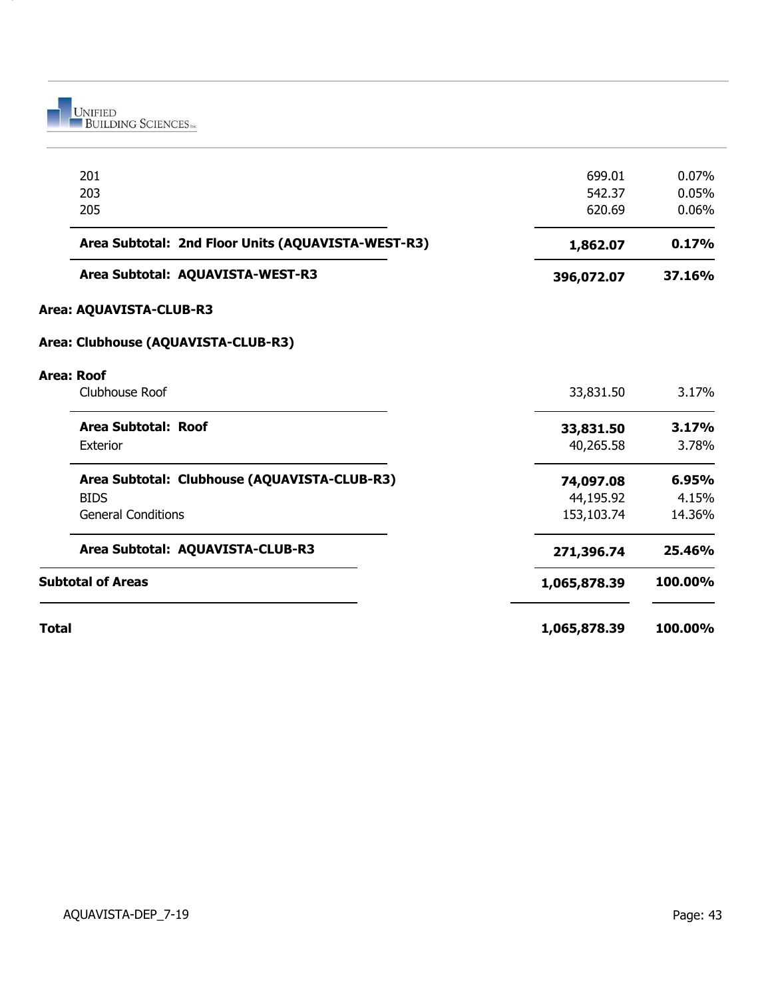

|              | 201                                                | 699.01       | 0.07%   |
|--------------|----------------------------------------------------|--------------|---------|
|              | 203                                                | 542.37       | 0.05%   |
|              | 205                                                | 620.69       | 0.06%   |
|              | Area Subtotal: 2nd Floor Units (AQUAVISTA-WEST-R3) | 1,862.07     | 0.17%   |
|              | Area Subtotal: AQUAVISTA-WEST-R3                   | 396,072.07   | 37.16%  |
|              | Area: AQUAVISTA-CLUB-R3                            |              |         |
|              | Area: Clubhouse (AQUAVISTA-CLUB-R3)                |              |         |
|              | <b>Area: Roof</b>                                  |              |         |
|              | Clubhouse Roof                                     | 33,831.50    | 3.17%   |
|              | Area Subtotal: Roof                                | 33,831.50    | 3.17%   |
|              | Exterior                                           | 40,265.58    | 3.78%   |
|              | Area Subtotal: Clubhouse (AQUAVISTA-CLUB-R3)       | 74,097.08    | 6.95%   |
|              | <b>BIDS</b>                                        | 44,195.92    | 4.15%   |
|              | <b>General Conditions</b>                          | 153,103.74   | 14.36%  |
|              | Area Subtotal: AQUAVISTA-CLUB-R3                   | 271,396.74   | 25.46%  |
|              | <b>Subtotal of Areas</b>                           | 1,065,878.39 | 100.00% |
| <b>Total</b> |                                                    | 1,065,878.39 | 100.00% |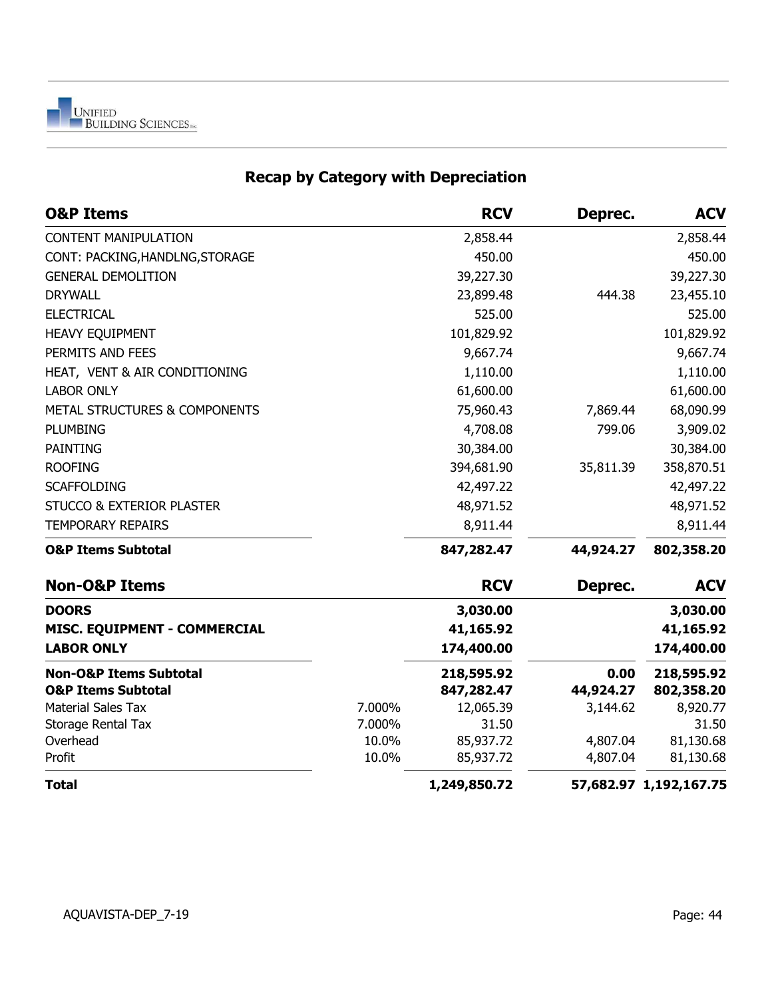

# **Recap by Category with Depreciation**

| <b>O&amp;P Items</b>                     |        | <b>RCV</b>   | Deprec.   | <b>ACV</b>             |
|------------------------------------------|--------|--------------|-----------|------------------------|
| <b>CONTENT MANIPULATION</b>              |        | 2,858.44     |           | 2,858.44               |
| CONT: PACKING, HANDLNG, STORAGE          |        | 450.00       |           | 450.00                 |
| <b>GENERAL DEMOLITION</b>                |        | 39,227.30    |           | 39,227.30              |
| <b>DRYWALL</b>                           |        | 23,899.48    | 444.38    | 23,455.10              |
| <b>ELECTRICAL</b>                        |        | 525.00       |           | 525.00                 |
| HEAVY EQUIPMENT                          |        | 101,829.92   |           | 101,829.92             |
| PERMITS AND FEES                         |        | 9,667.74     |           | 9,667.74               |
| HEAT, VENT & AIR CONDITIONING            |        | 1,110.00     |           | 1,110.00               |
| <b>LABOR ONLY</b>                        |        | 61,600.00    |           | 61,600.00              |
| <b>METAL STRUCTURES &amp; COMPONENTS</b> |        | 75,960.43    | 7,869.44  | 68,090.99              |
| <b>PLUMBING</b>                          |        | 4,708.08     | 799.06    | 3,909.02               |
| <b>PAINTING</b>                          |        | 30,384.00    |           | 30,384.00              |
| <b>ROOFING</b>                           |        | 394,681.90   | 35,811.39 | 358,870.51             |
| <b>SCAFFOLDING</b>                       |        | 42,497.22    |           | 42,497.22              |
| <b>STUCCO &amp; EXTERIOR PLASTER</b>     |        | 48,971.52    |           | 48,971.52              |
| <b>TEMPORARY REPAIRS</b>                 |        | 8,911.44     |           | 8,911.44               |
| <b>O&amp;P Items Subtotal</b>            |        | 847,282.47   | 44,924.27 | 802,358.20             |
| <b>Non-O&amp;P Items</b>                 |        | <b>RCV</b>   | Deprec.   | <b>ACV</b>             |
| <b>DOORS</b>                             |        | 3,030.00     |           | 3,030.00               |
| MISC. EQUIPMENT - COMMERCIAL             |        | 41,165.92    |           | 41,165.92              |
| <b>LABOR ONLY</b>                        |        | 174,400.00   |           | 174,400.00             |
| <b>Non-O&amp;P Items Subtotal</b>        |        | 218,595.92   | 0.00      | 218,595.92             |
| <b>O&amp;P Items Subtotal</b>            |        | 847,282.47   | 44,924.27 | 802,358.20             |
| <b>Material Sales Tax</b>                | 7.000% | 12,065.39    | 3,144.62  | 8,920.77               |
| Storage Rental Tax                       | 7.000% | 31.50        |           | 31.50                  |
| Overhead                                 | 10.0%  | 85,937.72    | 4,807.04  | 81,130.68              |
| Profit                                   | 10.0%  | 85,937.72    | 4,807.04  | 81,130.68              |
| <b>Total</b>                             |        | 1,249,850.72 |           | 57,682.97 1,192,167.75 |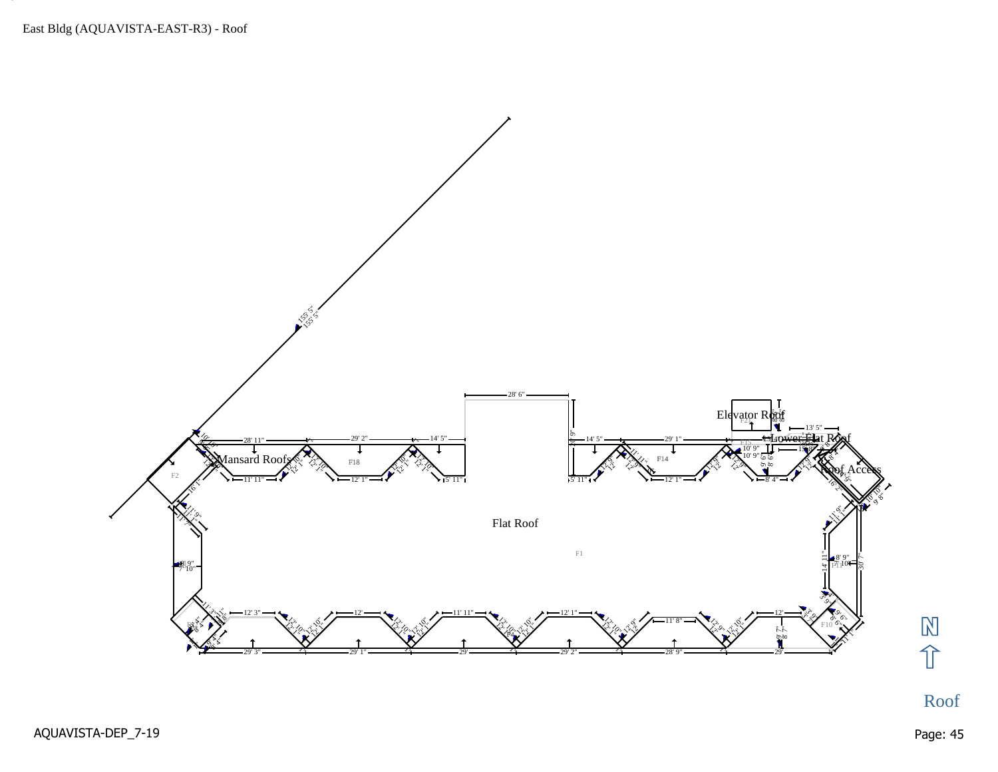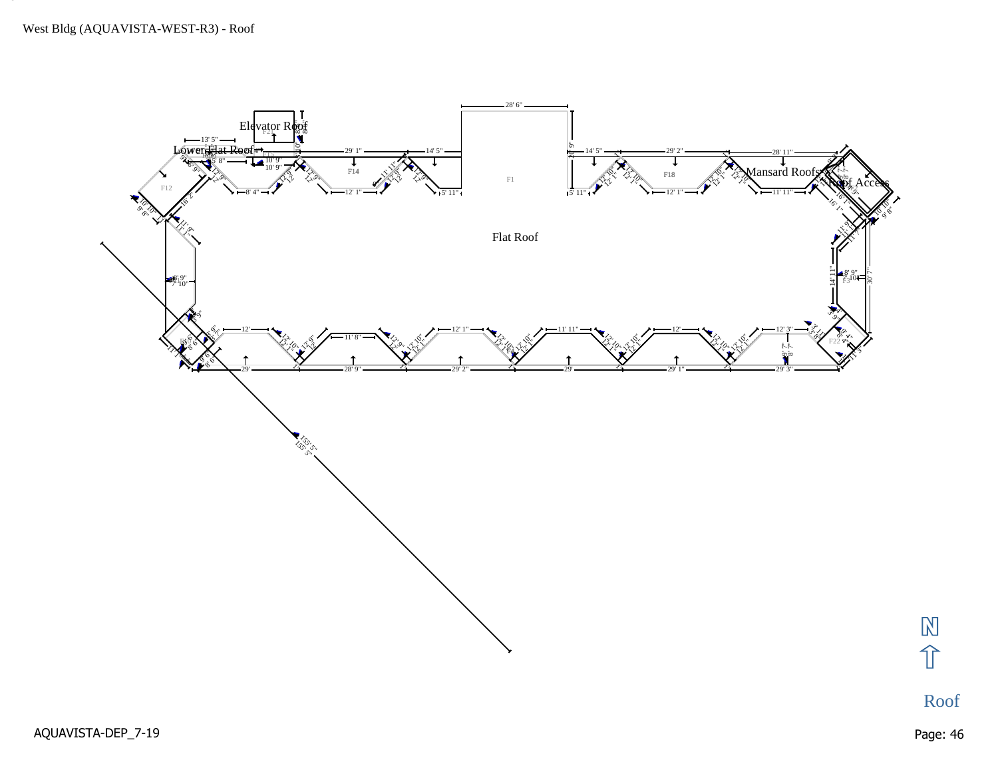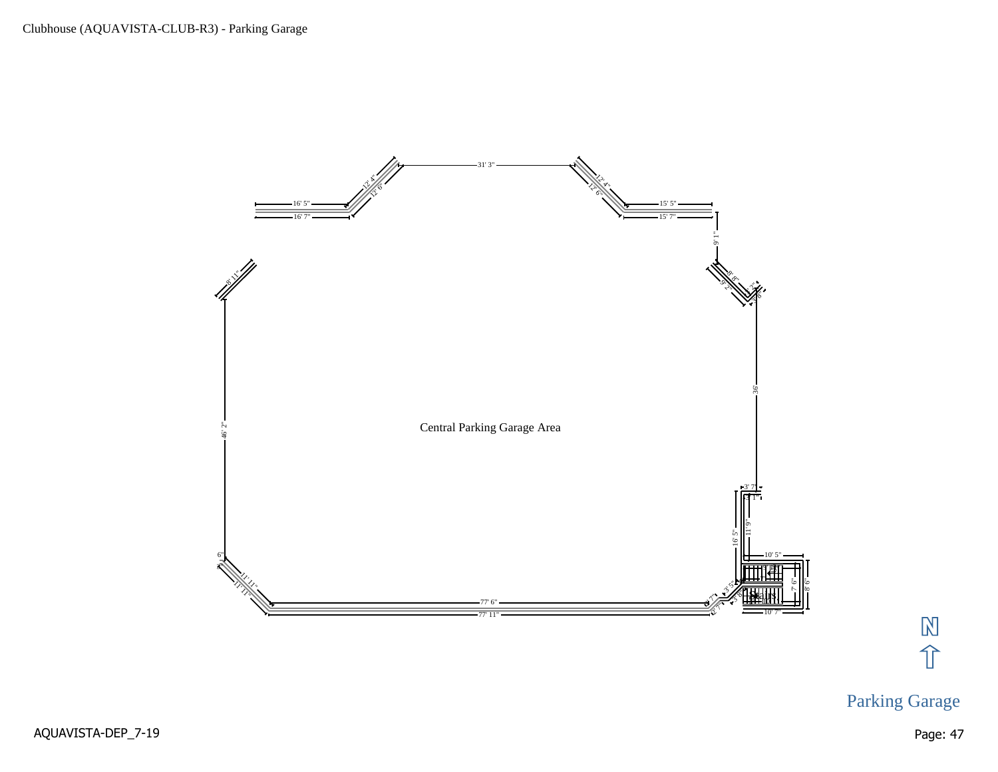

# 冈介

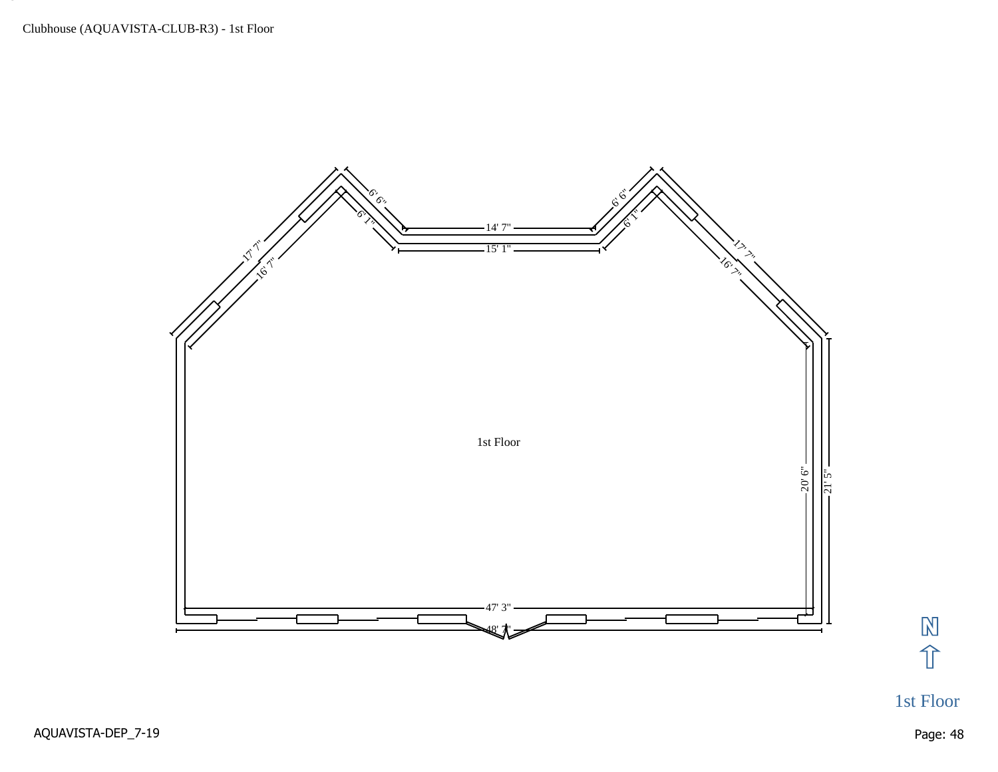

冈介

1st Floor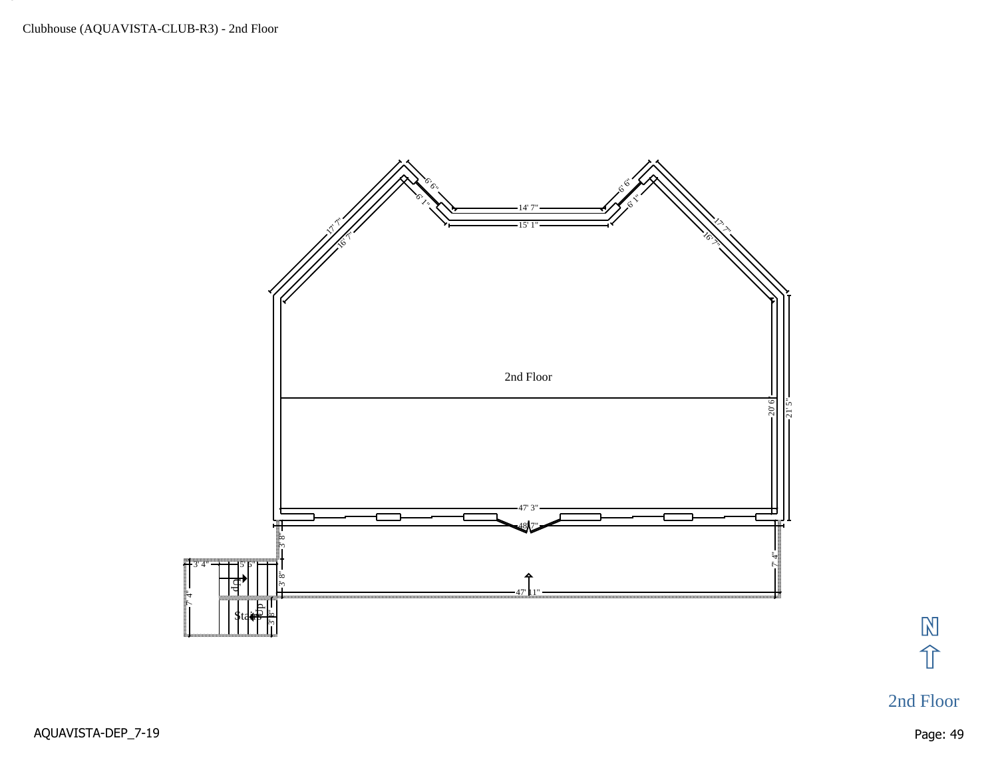

 $\mathbb{N}$ 介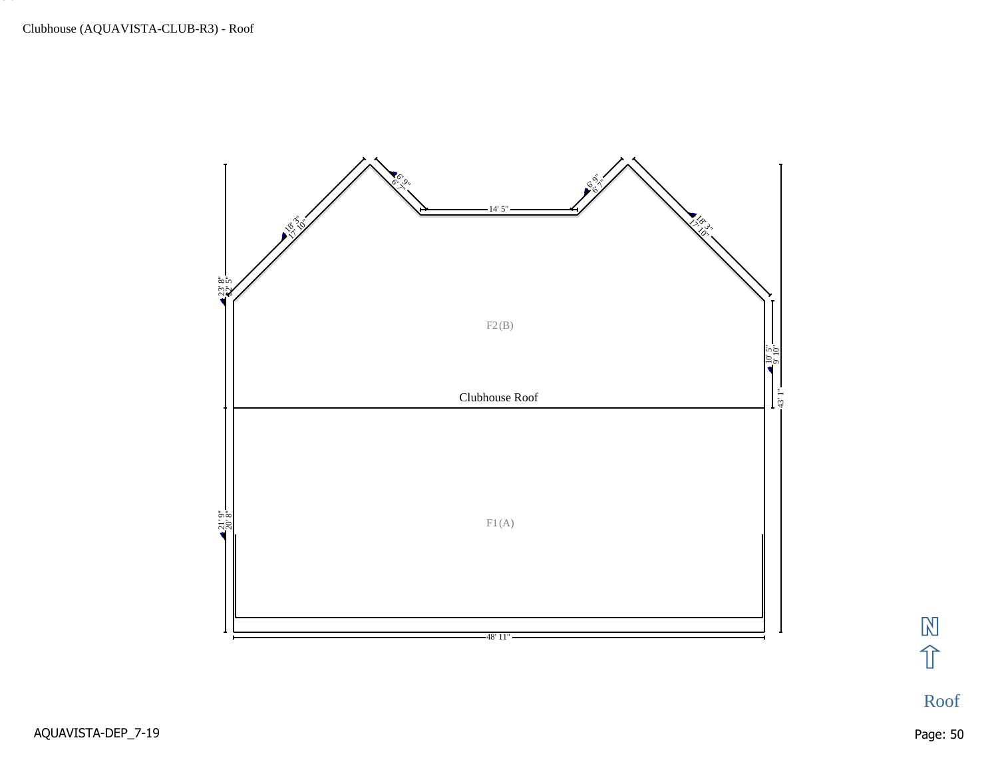

冈介

Roof